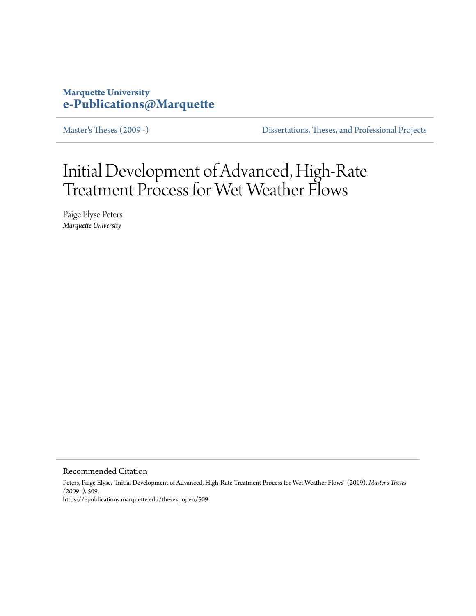# **Marquette University [e-Publications@Marquette](https://epublications.marquette.edu)**

[Master's Theses \(2009 -\)](https://epublications.marquette.edu/theses_open) [Dissertations, Theses, and Professional Projects](https://epublications.marquette.edu/diss_theses)

# Initial Development of Advanced, High-Rate Treatment Process for Wet Weather Flows

Paige Elyse Peters *Marquette University*

Recommended Citation

Peters, Paige Elyse, "Initial Development of Advanced, High-Rate Treatment Process for Wet Weather Flows" (2019). *Master's Theses (2009 -)*. 509. https://epublications.marquette.edu/theses\_open/509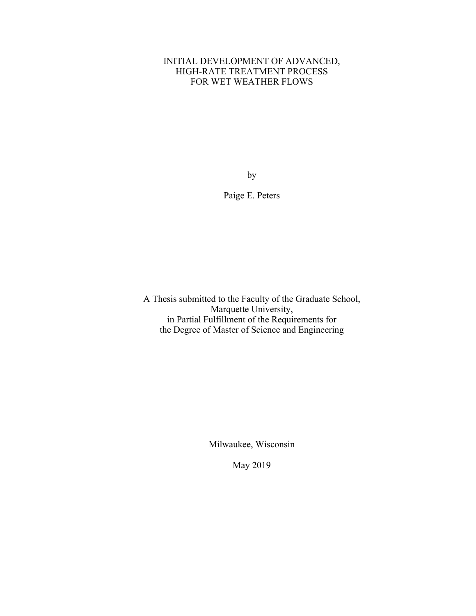# INITIAL DEVELOPMENT OF ADVANCED, HIGH-RATE TREATMENT PROCESS FOR WET WEATHER FLOWS

by

Paige E. Peters

A Thesis submitted to the Faculty of the Graduate School, Marquette University, in Partial Fulfillment of the Requirements for the Degree of Master of Science and Engineering

Milwaukee, Wisconsin

May 2019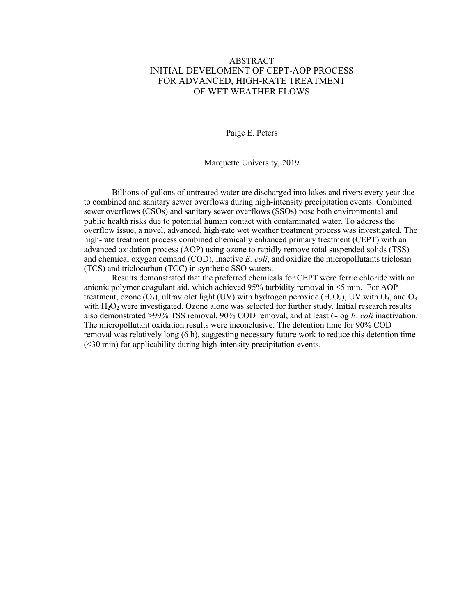# ABSTRACT INITIAL DEVELOMENT OF CEPT-AOP PROCESS FOR ADVANCED, HIGH-RATE TREATMENT OF WET WEATHER FLOWS

Paige E. Peters

Marquette University, 2019

Billions of gallons of untreated water are discharged into lakes and rivers every year due to combined and sanitary sewer overflows during high-intensity precipitation events. Combined sewer overflows (CSOs) and sanitary sewer overflows (SSOs) pose both environmental and public health risks due to potential human contact with contaminated water. To address the overflow issue, a novel, advanced, high-rate wet weather treatment process was investigated. The high-rate treatment process combined chemically enhanced primary treatment (CEPT) with an advanced oxidation process (AOP) using ozone to rapidly remove total suspended solids (TSS) and chemical oxygen demand (COD), inactive *E. coli*, and oxidize the micropollutants triclosan (TCS) and triclocarban (TCC) in synthetic SSO waters.

Results demonstrated that the preferred chemicals for CEPT were ferric chloride with an anionic polymer coagulant aid, which achieved 95% turbidity removal in <5 min. For AOP treatment, ozone  $(O_3)$ , ultraviolet light (UV) with hydrogen peroxide (H<sub>2</sub>O<sub>2</sub>), UV with  $O_3$ , and  $O_3$ with  $H_2O_2$  were investigated. Ozone alone was selected for further study. Initial research results also demonstrated >99% TSS removal, 90% COD removal, and at least 6-log *E. coli* inactivation. The micropollutant oxidation results were inconclusive. The detention time for 90% COD removal was relatively long (6 h), suggesting necessary future work to reduce this detention time (<30 min) for applicability during high-intensity precipitation events.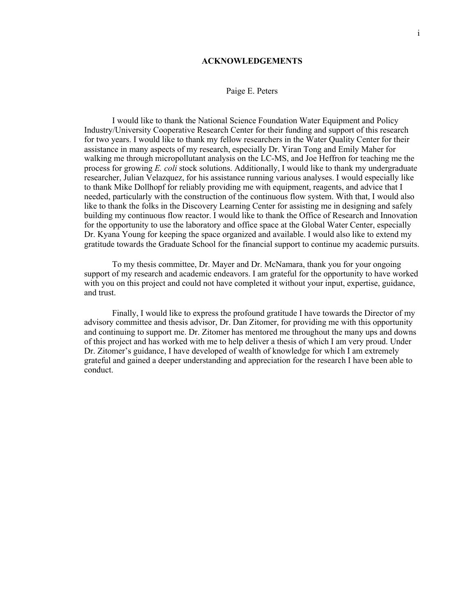#### **ACKNOWLEDGEMENTS**

# Paige E. Peters

I would like to thank the National Science Foundation Water Equipment and Policy Industry/University Cooperative Research Center for their funding and support of this research for two years. I would like to thank my fellow researchers in the Water Quality Center for their assistance in many aspects of my research, especially Dr. Yiran Tong and Emily Maher for walking me through micropollutant analysis on the LC-MS, and Joe Heffron for teaching me the process for growing *E. coli* stock solutions. Additionally, I would like to thank my undergraduate researcher, Julian Velazquez, for his assistance running various analyses. I would especially like to thank Mike Dollhopf for reliably providing me with equipment, reagents, and advice that I needed, particularly with the construction of the continuous flow system. With that, I would also like to thank the folks in the Discovery Learning Center for assisting me in designing and safely building my continuous flow reactor. I would like to thank the Office of Research and Innovation for the opportunity to use the laboratory and office space at the Global Water Center, especially Dr. Kyana Young for keeping the space organized and available. I would also like to extend my gratitude towards the Graduate School for the financial support to continue my academic pursuits.

To my thesis committee, Dr. Mayer and Dr. McNamara, thank you for your ongoing support of my research and academic endeavors. I am grateful for the opportunity to have worked with you on this project and could not have completed it without your input, expertise, guidance, and trust.

Finally, I would like to express the profound gratitude I have towards the Director of my advisory committee and thesis advisor, Dr. Dan Zitomer, for providing me with this opportunity and continuing to support me. Dr. Zitomer has mentored me throughout the many ups and downs of this project and has worked with me to help deliver a thesis of which I am very proud. Under Dr. Zitomer's guidance, I have developed of wealth of knowledge for which I am extremely grateful and gained a deeper understanding and appreciation for the research I have been able to conduct.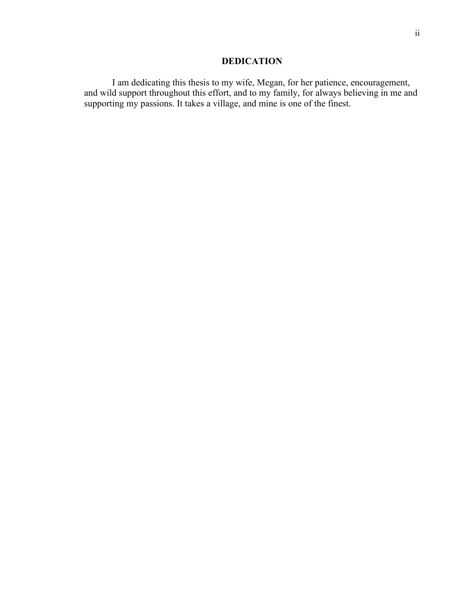# **DEDICATION**

I am dedicating this thesis to my wife, Megan, for her patience, encouragement, and wild support throughout this effort, and to my family, for always believing in me and supporting my passions. It takes a village, and mine is one of the finest.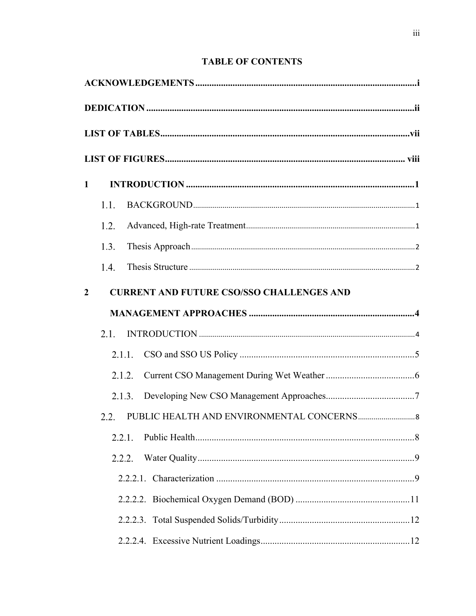# **TABLE OF CONTENTS**

| $\mathbf{1}$     |      |                                                  |  |
|------------------|------|--------------------------------------------------|--|
|                  | 1.1. |                                                  |  |
|                  | 1.2. |                                                  |  |
|                  | 1.3. |                                                  |  |
|                  | 1.4. |                                                  |  |
| $\boldsymbol{2}$ |      | <b>CURRENT AND FUTURE CSO/SSO CHALLENGES AND</b> |  |
|                  |      |                                                  |  |
|                  | 2.1. |                                                  |  |
|                  |      | 2.1.1.                                           |  |
|                  |      | 2.1.2.                                           |  |
|                  |      | 2.1.3.                                           |  |
|                  | 2.2. |                                                  |  |
|                  |      | 2.2.1.                                           |  |
|                  |      | 2.2.2.                                           |  |
|                  |      |                                                  |  |
|                  |      |                                                  |  |
|                  |      |                                                  |  |
|                  |      |                                                  |  |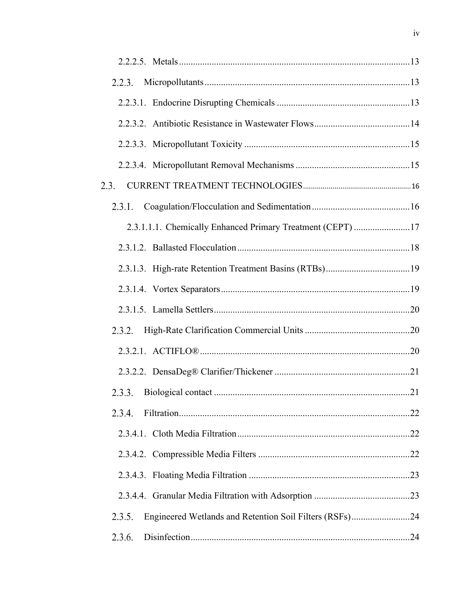| 2.2.3.                                                            |  |
|-------------------------------------------------------------------|--|
|                                                                   |  |
|                                                                   |  |
|                                                                   |  |
|                                                                   |  |
| 2.3.                                                              |  |
| 2.3.1.                                                            |  |
| 2.3.1.1.1. Chemically Enhanced Primary Treatment (CEPT) 17        |  |
|                                                                   |  |
|                                                                   |  |
|                                                                   |  |
|                                                                   |  |
| 2.3.2.                                                            |  |
|                                                                   |  |
|                                                                   |  |
| 2.3.3.                                                            |  |
| 2.3.4.                                                            |  |
|                                                                   |  |
|                                                                   |  |
|                                                                   |  |
|                                                                   |  |
| Engineered Wetlands and Retention Soil Filters (RSFs)24<br>2.3.5. |  |
| 2.3.6.                                                            |  |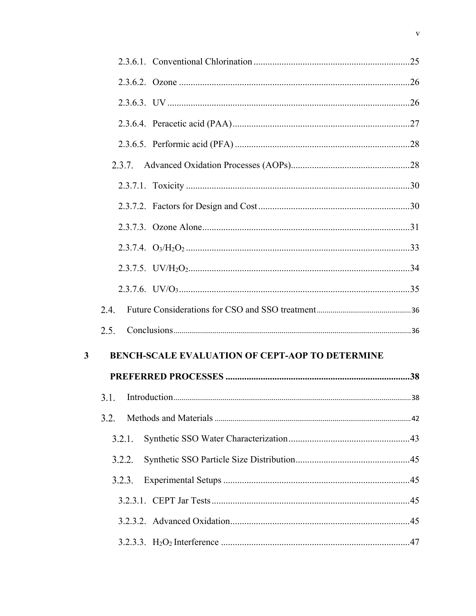|              | 2.3.7.                                                 |  |
|--------------|--------------------------------------------------------|--|
|              |                                                        |  |
|              |                                                        |  |
|              |                                                        |  |
|              |                                                        |  |
|              |                                                        |  |
|              |                                                        |  |
|              | 2.4.                                                   |  |
|              | 2.5.                                                   |  |
| $\mathbf{3}$ | <b>BENCH-SCALE EVALUATION OF CEPT-AOP TO DETERMINE</b> |  |
|              |                                                        |  |
|              |                                                        |  |
|              | 3.2.                                                   |  |
|              | 3.2.1.                                                 |  |
|              | 3.2.2.                                                 |  |
|              |                                                        |  |
|              | 3.2.3.                                                 |  |
|              |                                                        |  |
|              |                                                        |  |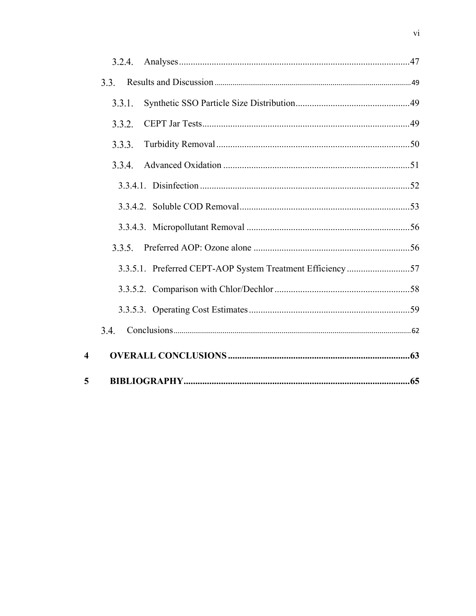|                         | 3.2.4.                                                    |  |
|-------------------------|-----------------------------------------------------------|--|
|                         | 3.3.                                                      |  |
|                         | 3.3.1.                                                    |  |
|                         | 3.3.2.                                                    |  |
|                         | 3.3.3.                                                    |  |
|                         | 3.3.4.                                                    |  |
|                         |                                                           |  |
|                         |                                                           |  |
|                         |                                                           |  |
|                         | 3.3.5.                                                    |  |
|                         | 3.3.5.1. Preferred CEPT-AOP System Treatment Efficiency57 |  |
|                         |                                                           |  |
|                         |                                                           |  |
|                         | 3.4.                                                      |  |
| $\overline{\mathbf{4}}$ |                                                           |  |
| 5                       |                                                           |  |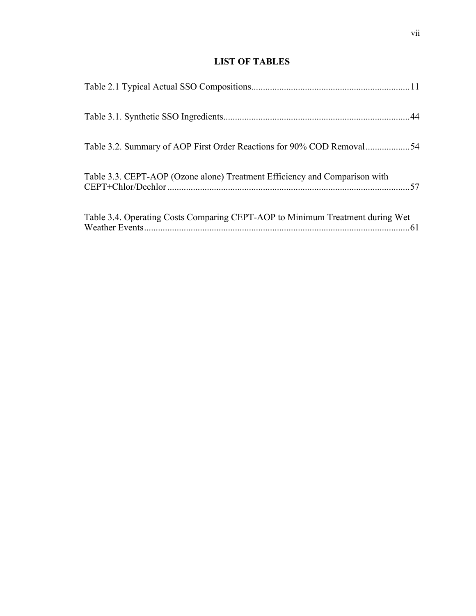# **LIST OF TABLES**

| Table 3.2. Summary of AOP First Order Reactions for 90% COD Removal54         |  |
|-------------------------------------------------------------------------------|--|
| Table 3.3. CEPT-AOP (Ozone alone) Treatment Efficiency and Comparison with    |  |
| Table 3.4. Operating Costs Comparing CEPT-AOP to Minimum Treatment during Wet |  |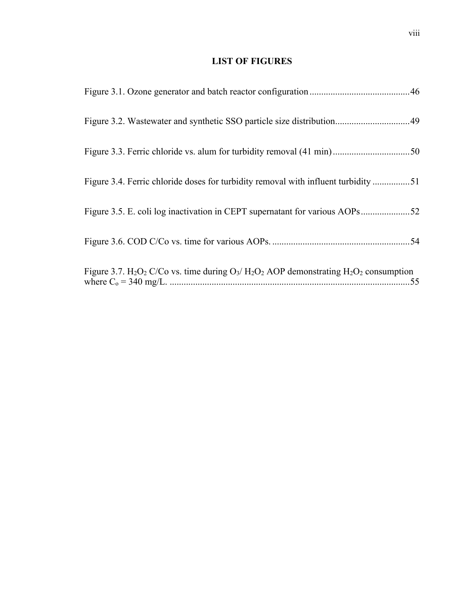# **LIST OF FIGURES**

| Figure 3.2. Wastewater and synthetic SSO particle size distribution49                                                                                            |
|------------------------------------------------------------------------------------------------------------------------------------------------------------------|
|                                                                                                                                                                  |
| Figure 3.4. Ferric chloride doses for turbidity removal with influent turbidity 51                                                                               |
| Figure 3.5. E. coli log inactivation in CEPT supernatant for various AOPs52                                                                                      |
|                                                                                                                                                                  |
| Figure 3.7. H <sub>2</sub> O <sub>2</sub> C/Co vs. time during $O_3$ / H <sub>2</sub> O <sub>2</sub> AOP demonstrating H <sub>2</sub> O <sub>2</sub> consumption |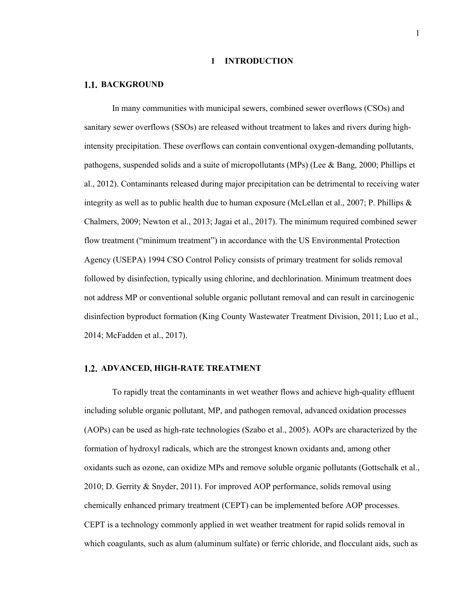#### **1 INTRODUCTION**

#### **1.1. BACKGROUND**

In many communities with municipal sewers, combined sewer overflows (CSOs) and sanitary sewer overflows (SSOs) are released without treatment to lakes and rivers during highintensity precipitation. These overflows can contain conventional oxygen-demanding pollutants, pathogens, suspended solids and a suite of micropollutants (MPs) (Lee & Bang, 2000; Phillips et al., 2012). Contaminants released during major precipitation can be detrimental to receiving water integrity as well as to public health due to human exposure (McLellan et al., 2007; P. Phillips & Chalmers, 2009; Newton et al., 2013; Jagai et al., 2017). The minimum required combined sewer flow treatment ("minimum treatment") in accordance with the US Environmental Protection Agency (USEPA) 1994 CSO Control Policy consists of primary treatment for solids removal followed by disinfection, typically using chlorine, and dechlorination. Minimum treatment does not address MP or conventional soluble organic pollutant removal and can result in carcinogenic disinfection byproduct formation (King County Wastewater Treatment Division, 2011; Luo et al., 2014; McFadden et al., 2017).

# **ADVANCED, HIGH-RATE TREATMENT**

To rapidly treat the contaminants in wet weather flows and achieve high-quality effluent including soluble organic pollutant, MP, and pathogen removal, advanced oxidation processes (AOPs) can be used as high-rate technologies (Szabo et al., 2005). AOPs are characterized by the formation of hydroxyl radicals, which are the strongest known oxidants and, among other oxidants such as ozone, can oxidize MPs and remove soluble organic pollutants (Gottschalk et al., 2010; D. Gerrity & Snyder, 2011). For improved AOP performance, solids removal using chemically enhanced primary treatment (CEPT) can be implemented before AOP processes. CEPT is a technology commonly applied in wet weather treatment for rapid solids removal in which coagulants, such as alum (aluminum sulfate) or ferric chloride, and flocculant aids, such as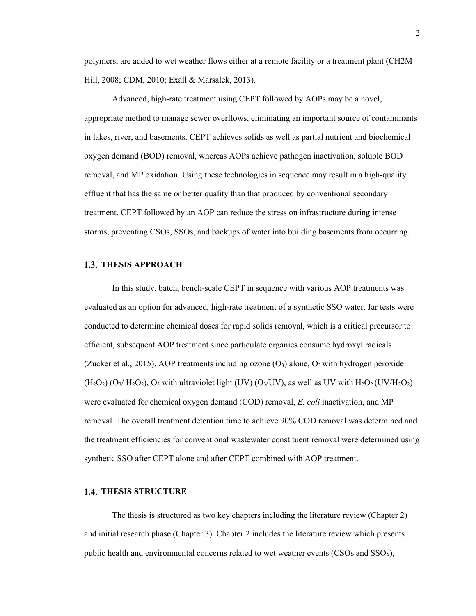polymers, are added to wet weather flows either at a remote facility or a treatment plant (CH2M Hill, 2008; CDM, 2010; Exall & Marsalek, 2013).

Advanced, high-rate treatment using CEPT followed by AOPs may be a novel, appropriate method to manage sewer overflows, eliminating an important source of contaminants in lakes, river, and basements. CEPT achieves solids as well as partial nutrient and biochemical oxygen demand (BOD) removal, whereas AOPs achieve pathogen inactivation, soluble BOD removal, and MP oxidation. Using these technologies in sequence may result in a high-quality effluent that has the same or better quality than that produced by conventional secondary treatment. CEPT followed by an AOP can reduce the stress on infrastructure during intense storms, preventing CSOs, SSOs, and backups of water into building basements from occurring.

# **1.3. THESIS APPROACH**

In this study, batch, bench-scale CEPT in sequence with various AOP treatments was evaluated as an option for advanced, high-rate treatment of a synthetic SSO water. Jar tests were conducted to determine chemical doses for rapid solids removal, which is a critical precursor to efficient, subsequent AOP treatment since particulate organics consume hydroxyl radicals (Zucker et al., 2015). AOP treatments including ozone  $(O_3)$  alone,  $O_3$  with hydrogen peroxide  $(H_2O_2)$   $(O_3/H_2O_2)$ ,  $O_3$  with ultraviolet light (UV)  $(O_3/UV)$ , as well as UV with  $H_2O_2$  (UV/ $H_2O_2$ ) were evaluated for chemical oxygen demand (COD) removal, *E. coli* inactivation, and MP removal. The overall treatment detention time to achieve 90% COD removal was determined and the treatment efficiencies for conventional wastewater constituent removal were determined using synthetic SSO after CEPT alone and after CEPT combined with AOP treatment.

# **THESIS STRUCTURE**

The thesis is structured as two key chapters including the literature review (Chapter 2) and initial research phase (Chapter 3). Chapter 2 includes the literature review which presents public health and environmental concerns related to wet weather events (CSOs and SSOs),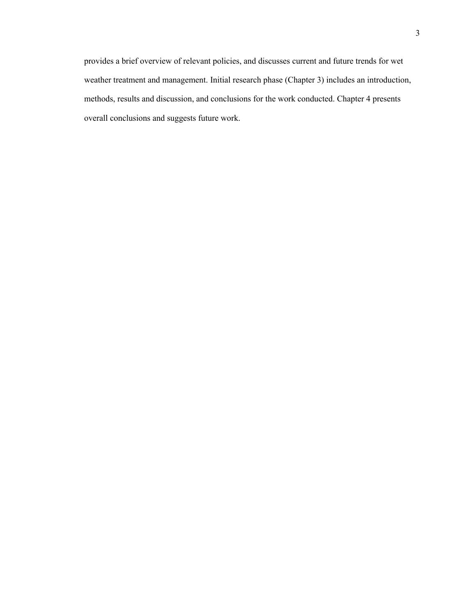provides a brief overview of relevant policies, and discusses current and future trends for wet weather treatment and management. Initial research phase (Chapter 3) includes an introduction, methods, results and discussion, and conclusions for the work conducted. Chapter 4 presents overall conclusions and suggests future work.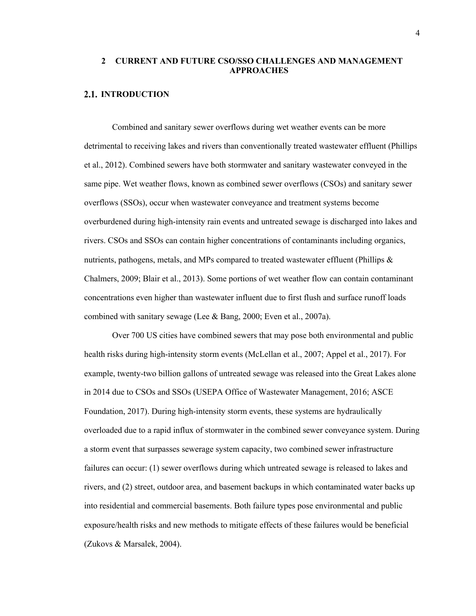# **2 CURRENT AND FUTURE CSO/SSO CHALLENGES AND MANAGEMENT APPROACHES**

# **2.1. INTRODUCTION**

Combined and sanitary sewer overflows during wet weather events can be more detrimental to receiving lakes and rivers than conventionally treated wastewater effluent (Phillips et al., 2012). Combined sewers have both stormwater and sanitary wastewater conveyed in the same pipe. Wet weather flows, known as combined sewer overflows (CSOs) and sanitary sewer overflows (SSOs), occur when wastewater conveyance and treatment systems become overburdened during high-intensity rain events and untreated sewage is discharged into lakes and rivers. CSOs and SSOs can contain higher concentrations of contaminants including organics, nutrients, pathogens, metals, and MPs compared to treated wastewater effluent (Phillips & Chalmers, 2009; Blair et al., 2013). Some portions of wet weather flow can contain contaminant concentrations even higher than wastewater influent due to first flush and surface runoff loads combined with sanitary sewage (Lee & Bang, 2000; Even et al., 2007a).

Over 700 US cities have combined sewers that may pose both environmental and public health risks during high-intensity storm events (McLellan et al., 2007; Appel et al., 2017). For example, twenty-two billion gallons of untreated sewage was released into the Great Lakes alone in 2014 due to CSOs and SSOs (USEPA Office of Wastewater Management, 2016; ASCE Foundation, 2017). During high-intensity storm events, these systems are hydraulically overloaded due to a rapid influx of stormwater in the combined sewer conveyance system. During a storm event that surpasses sewerage system capacity, two combined sewer infrastructure failures can occur: (1) sewer overflows during which untreated sewage is released to lakes and rivers, and (2) street, outdoor area, and basement backups in which contaminated water backs up into residential and commercial basements. Both failure types pose environmental and public exposure/health risks and new methods to mitigate effects of these failures would be beneficial (Zukovs & Marsalek, 2004).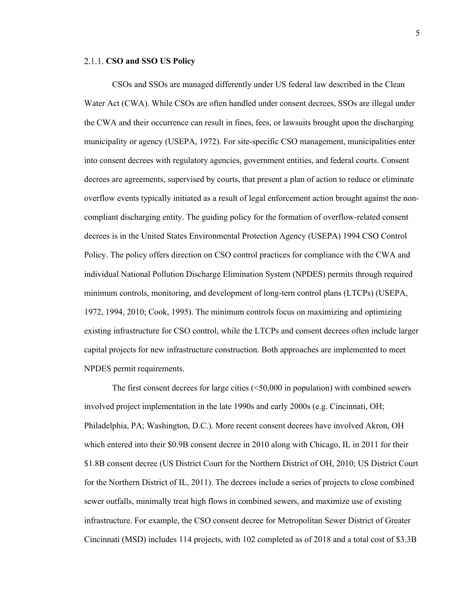# **CSO and SSO US Policy**

CSOs and SSOs are managed differently under US federal law described in the Clean Water Act (CWA). While CSOs are often handled under consent decrees, SSOs are illegal under the CWA and their occurrence can result in fines, fees, or lawsuits brought upon the discharging municipality or agency (USEPA, 1972). For site-specific CSO management, municipalities enter into consent decrees with regulatory agencies, government entities, and federal courts. Consent decrees are agreements, supervised by courts, that present a plan of action to reduce or eliminate overflow events typically initiated as a result of legal enforcement action brought against the noncompliant discharging entity. The guiding policy for the formation of overflow-related consent decrees is in the United States Environmental Protection Agency (USEPA) 1994 CSO Control Policy. The policy offers direction on CSO control practices for compliance with the CWA and individual National Pollution Discharge Elimination System (NPDES) permits through required minimum controls, monitoring, and development of long-tern control plans (LTCPs) (USEPA, 1972, 1994, 2010; Cook, 1995). The minimum controls focus on maximizing and optimizing existing infrastructure for CSO control, while the LTCPs and consent decrees often include larger capital projects for new infrastructure construction. Both approaches are implemented to meet NPDES permit requirements.

The first consent decrees for large cities (<50,000 in population) with combined sewers involved project implementation in the late 1990s and early 2000s (e.g. Cincinnati, OH; Philadelphia, PA; Washington, D.C.). More recent consent decrees have involved Akron, OH which entered into their \$0.9B consent decree in 2010 along with Chicago, IL in 2011 for their \$1.8B consent decree (US District Court for the Northern District of OH, 2010; US District Court for the Northern District of IL, 2011). The decrees include a series of projects to close combined sewer outfalls, minimally treat high flows in combined sewers, and maximize use of existing infrastructure. For example, the CSO consent decree for Metropolitan Sewer District of Greater Cincinnati (MSD) includes 114 projects, with 102 completed as of 2018 and a total cost of \$3.3B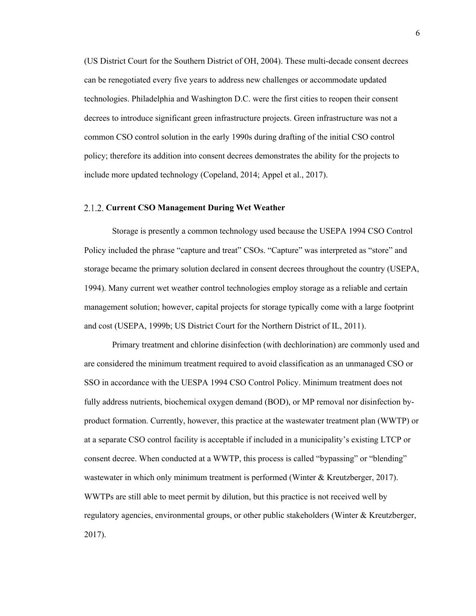(US District Court for the Southern District of OH, 2004). These multi-decade consent decrees can be renegotiated every five years to address new challenges or accommodate updated technologies. Philadelphia and Washington D.C. were the first cities to reopen their consent decrees to introduce significant green infrastructure projects. Green infrastructure was not a common CSO control solution in the early 1990s during drafting of the initial CSO control policy; therefore its addition into consent decrees demonstrates the ability for the projects to include more updated technology (Copeland, 2014; Appel et al., 2017).

# **Current CSO Management During Wet Weather**

Storage is presently a common technology used because the USEPA 1994 CSO Control Policy included the phrase "capture and treat" CSOs. "Capture" was interpreted as "store" and storage became the primary solution declared in consent decrees throughout the country (USEPA, 1994). Many current wet weather control technologies employ storage as a reliable and certain management solution; however, capital projects for storage typically come with a large footprint and cost (USEPA, 1999b; US District Court for the Northern District of IL, 2011).

Primary treatment and chlorine disinfection (with dechlorination) are commonly used and are considered the minimum treatment required to avoid classification as an unmanaged CSO or SSO in accordance with the UESPA 1994 CSO Control Policy. Minimum treatment does not fully address nutrients, biochemical oxygen demand (BOD), or MP removal nor disinfection byproduct formation. Currently, however, this practice at the wastewater treatment plan (WWTP) or at a separate CSO control facility is acceptable if included in a municipality's existing LTCP or consent decree. When conducted at a WWTP, this process is called "bypassing" or "blending" wastewater in which only minimum treatment is performed (Winter & Kreutzberger, 2017). WWTPs are still able to meet permit by dilution, but this practice is not received well by regulatory agencies, environmental groups, or other public stakeholders (Winter & Kreutzberger, 2017).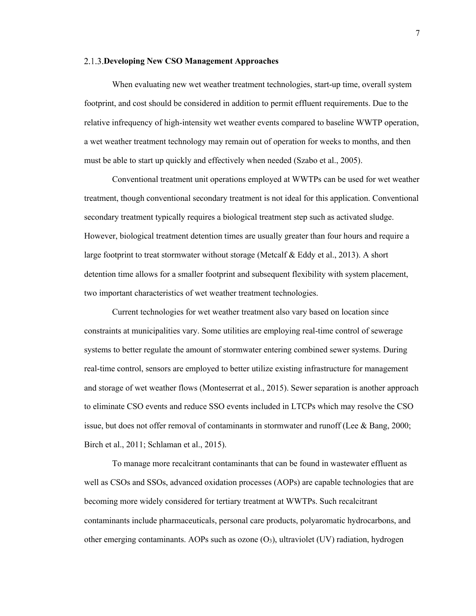#### **Developing New CSO Management Approaches**

When evaluating new wet weather treatment technologies, start-up time, overall system footprint, and cost should be considered in addition to permit effluent requirements. Due to the relative infrequency of high-intensity wet weather events compared to baseline WWTP operation, a wet weather treatment technology may remain out of operation for weeks to months, and then must be able to start up quickly and effectively when needed (Szabo et al., 2005).

Conventional treatment unit operations employed at WWTPs can be used for wet weather treatment, though conventional secondary treatment is not ideal for this application. Conventional secondary treatment typically requires a biological treatment step such as activated sludge. However, biological treatment detention times are usually greater than four hours and require a large footprint to treat stormwater without storage (Metcalf & Eddy et al., 2013). A short detention time allows for a smaller footprint and subsequent flexibility with system placement, two important characteristics of wet weather treatment technologies.

Current technologies for wet weather treatment also vary based on location since constraints at municipalities vary. Some utilities are employing real-time control of sewerage systems to better regulate the amount of stormwater entering combined sewer systems. During real-time control, sensors are employed to better utilize existing infrastructure for management and storage of wet weather flows (Monteserrat et al., 2015). Sewer separation is another approach to eliminate CSO events and reduce SSO events included in LTCPs which may resolve the CSO issue, but does not offer removal of contaminants in stormwater and runoff (Lee & Bang, 2000; Birch et al., 2011; Schlaman et al., 2015).

To manage more recalcitrant contaminants that can be found in wastewater effluent as well as CSOs and SSOs, advanced oxidation processes (AOPs) are capable technologies that are becoming more widely considered for tertiary treatment at WWTPs. Such recalcitrant contaminants include pharmaceuticals, personal care products, polyaromatic hydrocarbons, and other emerging contaminants. AOPs such as ozone  $(O_3)$ , ultraviolet (UV) radiation, hydrogen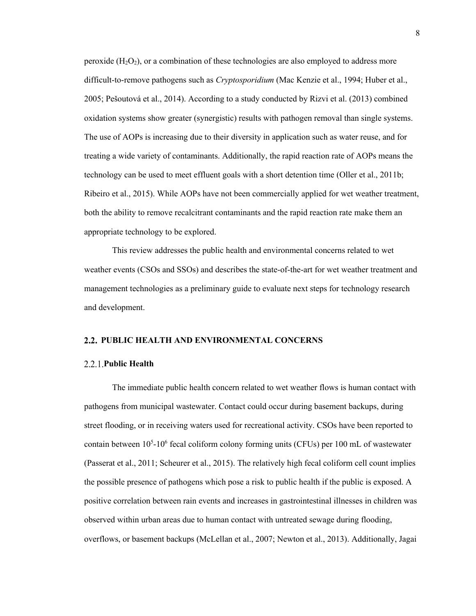peroxide  $(H_2O_2)$ , or a combination of these technologies are also employed to address more difficult-to-remove pathogens such as *Cryptosporidium* (Mac Kenzie et al., 1994; Huber et al., 2005; Pešoutová et al., 2014). According to a study conducted by Rizvi et al. (2013) combined oxidation systems show greater (synergistic) results with pathogen removal than single systems. The use of AOPs is increasing due to their diversity in application such as water reuse, and for treating a wide variety of contaminants. Additionally, the rapid reaction rate of AOPs means the technology can be used to meet effluent goals with a short detention time (Oller et al., 2011b; Ribeiro et al., 2015). While AOPs have not been commercially applied for wet weather treatment, both the ability to remove recalcitrant contaminants and the rapid reaction rate make them an appropriate technology to be explored.

This review addresses the public health and environmental concerns related to wet weather events (CSOs and SSOs) and describes the state-of-the-art for wet weather treatment and management technologies as a preliminary guide to evaluate next steps for technology research and development.

# **PUBLIC HEALTH AND ENVIRONMENTAL CONCERNS**

# **Public Health**

The immediate public health concern related to wet weather flows is human contact with pathogens from municipal wastewater. Contact could occur during basement backups, during street flooding, or in receiving waters used for recreational activity. CSOs have been reported to contain between 10<sup>5</sup>-10<sup>6</sup> fecal coliform colony forming units (CFUs) per 100 mL of wastewater (Passerat et al., 2011; Scheurer et al., 2015). The relatively high fecal coliform cell count implies the possible presence of pathogens which pose a risk to public health if the public is exposed. A positive correlation between rain events and increases in gastrointestinal illnesses in children was observed within urban areas due to human contact with untreated sewage during flooding, overflows, or basement backups (McLellan et al., 2007; Newton et al., 2013). Additionally, Jagai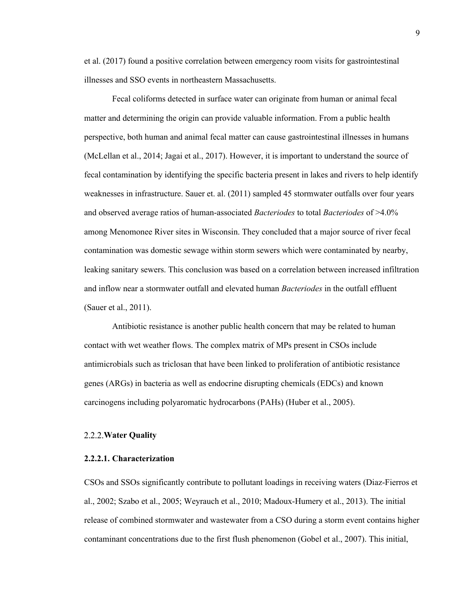et al. (2017) found a positive correlation between emergency room visits for gastrointestinal illnesses and SSO events in northeastern Massachusetts.

Fecal coliforms detected in surface water can originate from human or animal fecal matter and determining the origin can provide valuable information. From a public health perspective, both human and animal fecal matter can cause gastrointestinal illnesses in humans (McLellan et al., 2014; Jagai et al., 2017). However, it is important to understand the source of fecal contamination by identifying the specific bacteria present in lakes and rivers to help identify weaknesses in infrastructure. Sauer et. al. (2011) sampled 45 stormwater outfalls over four years and observed average ratios of human-associated *Bacteriodes* to total *Bacteriodes* of >4.0% among Menomonee River sites in Wisconsin. They concluded that a major source of river fecal contamination was domestic sewage within storm sewers which were contaminated by nearby, leaking sanitary sewers. This conclusion was based on a correlation between increased infiltration and inflow near a stormwater outfall and elevated human *Bacteriodes* in the outfall effluent (Sauer et al., 2011).

Antibiotic resistance is another public health concern that may be related to human contact with wet weather flows. The complex matrix of MPs present in CSOs include antimicrobials such as triclosan that have been linked to proliferation of antibiotic resistance genes (ARGs) in bacteria as well as endocrine disrupting chemicals (EDCs) and known carcinogens including polyaromatic hydrocarbons (PAHs) (Huber et al., 2005).

# **Water Quality**

#### **2.2.2.1. Characterization**

CSOs and SSOs significantly contribute to pollutant loadings in receiving waters (Diaz-Fierros et al., 2002; Szabo et al., 2005; Weyrauch et al., 2010; Madoux-Humery et al., 2013). The initial release of combined stormwater and wastewater from a CSO during a storm event contains higher contaminant concentrations due to the first flush phenomenon (Gobel et al., 2007). This initial,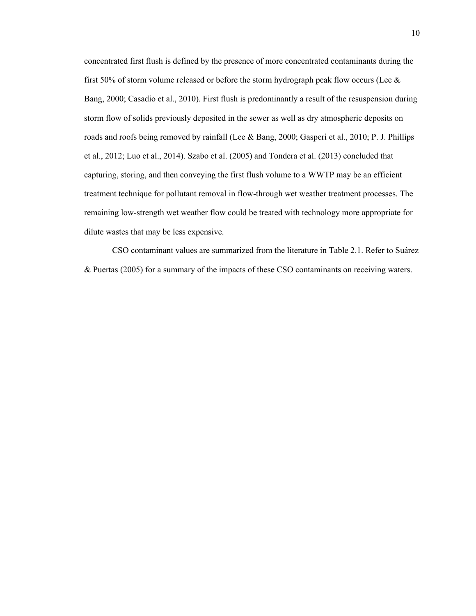concentrated first flush is defined by the presence of more concentrated contaminants during the first 50% of storm volume released or before the storm hydrograph peak flow occurs (Lee  $\&$ Bang, 2000; Casadio et al., 2010). First flush is predominantly a result of the resuspension during storm flow of solids previously deposited in the sewer as well as dry atmospheric deposits on roads and roofs being removed by rainfall (Lee & Bang, 2000; Gasperi et al., 2010; P. J. Phillips et al., 2012; Luo et al., 2014). Szabo et al. (2005) and Tondera et al. (2013) concluded that capturing, storing, and then conveying the first flush volume to a WWTP may be an efficient treatment technique for pollutant removal in flow-through wet weather treatment processes. The remaining low-strength wet weather flow could be treated with technology more appropriate for dilute wastes that may be less expensive.

CSO contaminant values are summarized from the literature in Table 2.1. Refer to Suárez & Puertas (2005) for a summary of the impacts of these CSO contaminants on receiving waters.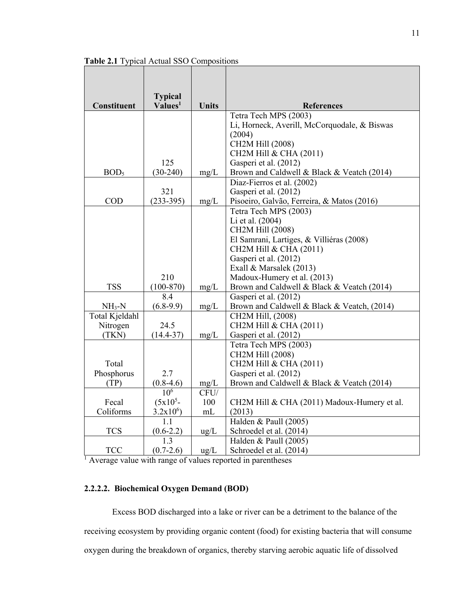| Constituent      | <b>Typical</b><br>Values <sup>1</sup> | <b>Units</b>  | <b>References</b>                            |
|------------------|---------------------------------------|---------------|----------------------------------------------|
|                  |                                       |               | Tetra Tech MPS (2003)                        |
|                  |                                       |               | Li, Horneck, Averill, McCorquodale, & Biswas |
|                  |                                       |               | (2004)                                       |
|                  |                                       |               | CH2M Hill (2008)                             |
|                  |                                       |               | CH2M Hill & CHA (2011)                       |
|                  | 125                                   |               | Gasperi et al. (2012)                        |
| BOD <sub>5</sub> | $(30-240)$                            | mg/L          | Brown and Caldwell & Black & Veatch (2014)   |
|                  |                                       |               | Diaz-Fierros et al. (2002)                   |
|                  | 321                                   |               | Gasperi et al. (2012)                        |
| <b>COD</b>       | $(233-395)$                           | mg/L          | Pisoeiro, Galvão, Ferreira, & Matos (2016)   |
|                  |                                       |               | Tetra Tech MPS (2003)                        |
|                  |                                       |               | Li et al. (2004)                             |
|                  |                                       |               | CH2M Hill (2008)                             |
|                  |                                       |               | El Samrani, Lartiges, & Villiéras (2008)     |
|                  |                                       |               | CH2M Hill & CHA (2011)                       |
|                  |                                       |               | Gasperi et al. (2012)                        |
|                  |                                       |               | Exall & Marsalek (2013)                      |
|                  | 210                                   |               | Madoux-Humery et al. (2013)                  |
| <b>TSS</b>       | $(100-870)$                           | mg/L          | Brown and Caldwell & Black & Veatch (2014)   |
|                  | 8.4                                   |               | Gasperi et al. (2012)                        |
| $NH3-N$          | $(6.8-9.9)$                           | mg/L          | Brown and Caldwell & Black & Veatch, (2014)  |
| Total Kjeldahl   |                                       |               | CH2M Hill, (2008)                            |
| Nitrogen         | 24.5                                  |               | CH2M Hill & CHA (2011)                       |
| (TKN)            | $(14.4 - 37)$                         | mg/L          | Gasperi et al. (2012)                        |
|                  |                                       |               | Tetra Tech MPS (2003)                        |
|                  |                                       |               | CH2M Hill (2008)                             |
| Total            |                                       |               | CH2M Hill & CHA (2011)                       |
| Phosphorus       | 2.7                                   |               | Gasperi et al. (2012)                        |
| (TP)             | $(0.8-4.6)$                           | mg/L          | Brown and Caldwell & Black & Veatch (2014)   |
|                  | $10^{\overline{6}}$                   | CFU/          |                                              |
| Fecal            | $(5x105 -$                            | 100           | CH2M Hill & CHA (2011) Madoux-Humery et al.  |
| Coliforms        | $3.2x10^6$                            | mL            | (2013)                                       |
|                  | 1.1                                   |               | Halden & Paull (2005)                        |
| <b>TCS</b>       | $(0.6-2.2)$                           | $\text{ug/L}$ | Schroedel et al. (2014)                      |
|                  | 1.3                                   |               | Halden & Paull (2005)                        |
| <b>TCC</b>       | $(0.7-2.6)$                           | $\text{ug/L}$ | Schroedel et al. (2014)                      |

**Table 2.1** Typical Actual SSO Compositions

<sup>1</sup> Average value with range of values reported in parentheses

# **2.2.2.2. Biochemical Oxygen Demand (BOD)**

Excess BOD discharged into a lake or river can be a detriment to the balance of the receiving ecosystem by providing organic content (food) for existing bacteria that will consume oxygen during the breakdown of organics, thereby starving aerobic aquatic life of dissolved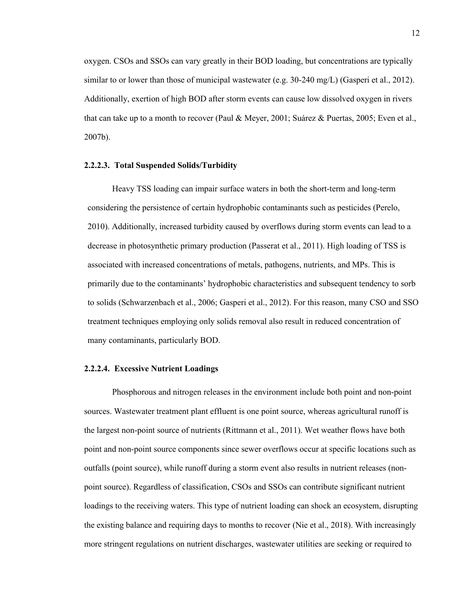oxygen. CSOs and SSOs can vary greatly in their BOD loading, but concentrations are typically similar to or lower than those of municipal wastewater (e.g. 30-240 mg/L) (Gasperi et al., 2012). Additionally, exertion of high BOD after storm events can cause low dissolved oxygen in rivers that can take up to a month to recover (Paul & Meyer, 2001; Suárez & Puertas, 2005; Even et al., 2007b).

#### **2.2.2.3. Total Suspended Solids/Turbidity**

Heavy TSS loading can impair surface waters in both the short-term and long-term considering the persistence of certain hydrophobic contaminants such as pesticides (Perelo, 2010). Additionally, increased turbidity caused by overflows during storm events can lead to a decrease in photosynthetic primary production (Passerat et al., 2011). High loading of TSS is associated with increased concentrations of metals, pathogens, nutrients, and MPs. This is primarily due to the contaminants' hydrophobic characteristics and subsequent tendency to sorb to solids (Schwarzenbach et al., 2006; Gasperi et al., 2012). For this reason, many CSO and SSO treatment techniques employing only solids removal also result in reduced concentration of many contaminants, particularly BOD.

#### **2.2.2.4. Excessive Nutrient Loadings**

Phosphorous and nitrogen releases in the environment include both point and non-point sources. Wastewater treatment plant effluent is one point source, whereas agricultural runoff is the largest non-point source of nutrients (Rittmann et al., 2011). Wet weather flows have both point and non-point source components since sewer overflows occur at specific locations such as outfalls (point source), while runoff during a storm event also results in nutrient releases (nonpoint source). Regardless of classification, CSOs and SSOs can contribute significant nutrient loadings to the receiving waters. This type of nutrient loading can shock an ecosystem, disrupting the existing balance and requiring days to months to recover (Nie et al., 2018). With increasingly more stringent regulations on nutrient discharges, wastewater utilities are seeking or required to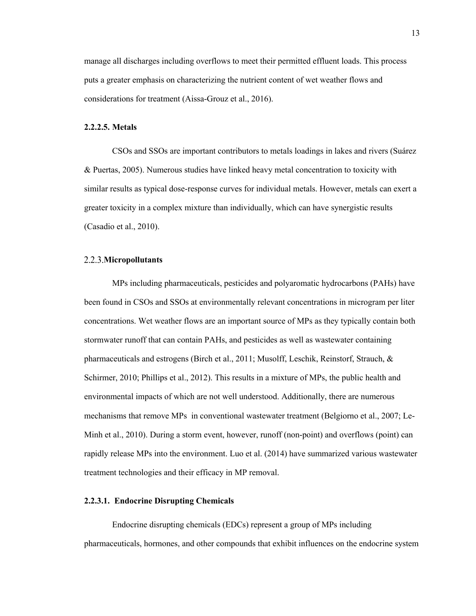manage all discharges including overflows to meet their permitted effluent loads. This process puts a greater emphasis on characterizing the nutrient content of wet weather flows and considerations for treatment (Aissa-Grouz et al., 2016).

# **2.2.2.5. Metals**

CSOs and SSOs are important contributors to metals loadings in lakes and rivers (Suárez & Puertas, 2005). Numerous studies have linked heavy metal concentration to toxicity with similar results as typical dose-response curves for individual metals. However, metals can exert a greater toxicity in a complex mixture than individually, which can have synergistic results (Casadio et al., 2010).

#### **Micropollutants**

MPs including pharmaceuticals, pesticides and polyaromatic hydrocarbons (PAHs) have been found in CSOs and SSOs at environmentally relevant concentrations in microgram per liter concentrations. Wet weather flows are an important source of MPs as they typically contain both stormwater runoff that can contain PAHs, and pesticides as well as wastewater containing pharmaceuticals and estrogens (Birch et al., 2011; Musolff, Leschik, Reinstorf, Strauch, & Schirmer, 2010; Phillips et al., 2012). This results in a mixture of MPs, the public health and environmental impacts of which are not well understood. Additionally, there are numerous mechanisms that remove MPs in conventional wastewater treatment (Belgiorno et al., 2007; Le-Minh et al., 2010). During a storm event, however, runoff (non-point) and overflows (point) can rapidly release MPs into the environment. Luo et al. (2014) have summarized various wastewater treatment technologies and their efficacy in MP removal.

# **2.2.3.1. Endocrine Disrupting Chemicals**

Endocrine disrupting chemicals (EDCs) represent a group of MPs including pharmaceuticals, hormones, and other compounds that exhibit influences on the endocrine system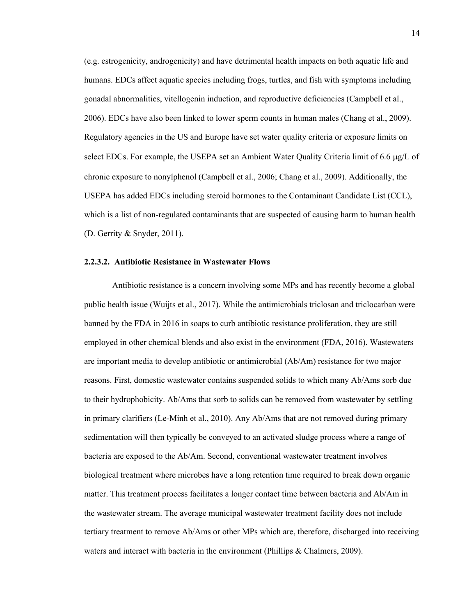(e.g. estrogenicity, androgenicity) and have detrimental health impacts on both aquatic life and humans. EDCs affect aquatic species including frogs, turtles, and fish with symptoms including gonadal abnormalities, vitellogenin induction, and reproductive deficiencies (Campbell et al., 2006). EDCs have also been linked to lower sperm counts in human males (Chang et al., 2009). Regulatory agencies in the US and Europe have set water quality criteria or exposure limits on select EDCs. For example, the USEPA set an Ambient Water Quality Criteria limit of 6.6 µg/L of chronic exposure to nonylphenol (Campbell et al., 2006; Chang et al., 2009). Additionally, the USEPA has added EDCs including steroid hormones to the Contaminant Candidate List (CCL), which is a list of non-regulated contaminants that are suspected of causing harm to human health (D. Gerrity & Snyder, 2011).

# **2.2.3.2. Antibiotic Resistance in Wastewater Flows**

Antibiotic resistance is a concern involving some MPs and has recently become a global public health issue (Wuijts et al., 2017). While the antimicrobials triclosan and triclocarban were banned by the FDA in 2016 in soaps to curb antibiotic resistance proliferation, they are still employed in other chemical blends and also exist in the environment (FDA, 2016). Wastewaters are important media to develop antibiotic or antimicrobial (Ab/Am) resistance for two major reasons. First, domestic wastewater contains suspended solids to which many Ab/Ams sorb due to their hydrophobicity. Ab/Ams that sorb to solids can be removed from wastewater by settling in primary clarifiers (Le-Minh et al., 2010). Any Ab/Ams that are not removed during primary sedimentation will then typically be conveyed to an activated sludge process where a range of bacteria are exposed to the Ab/Am. Second, conventional wastewater treatment involves biological treatment where microbes have a long retention time required to break down organic matter. This treatment process facilitates a longer contact time between bacteria and Ab/Am in the wastewater stream. The average municipal wastewater treatment facility does not include tertiary treatment to remove Ab/Ams or other MPs which are, therefore, discharged into receiving waters and interact with bacteria in the environment (Phillips & Chalmers, 2009).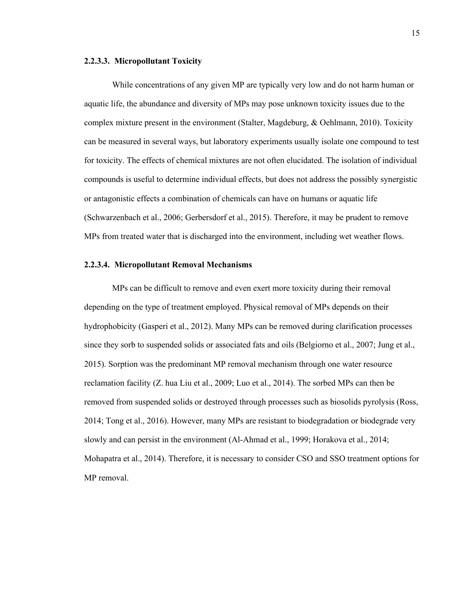## **2.2.3.3. Micropollutant Toxicity**

While concentrations of any given MP are typically very low and do not harm human or aquatic life, the abundance and diversity of MPs may pose unknown toxicity issues due to the complex mixture present in the environment (Stalter, Magdeburg, & Oehlmann, 2010). Toxicity can be measured in several ways, but laboratory experiments usually isolate one compound to test for toxicity. The effects of chemical mixtures are not often elucidated. The isolation of individual compounds is useful to determine individual effects, but does not address the possibly synergistic or antagonistic effects a combination of chemicals can have on humans or aquatic life (Schwarzenbach et al., 2006; Gerbersdorf et al., 2015). Therefore, it may be prudent to remove MPs from treated water that is discharged into the environment, including wet weather flows.

# **2.2.3.4. Micropollutant Removal Mechanisms**

MPs can be difficult to remove and even exert more toxicity during their removal depending on the type of treatment employed. Physical removal of MPs depends on their hydrophobicity (Gasperi et al., 2012). Many MPs can be removed during clarification processes since they sorb to suspended solids or associated fats and oils (Belgiorno et al., 2007; Jung et al., 2015). Sorption was the predominant MP removal mechanism through one water resource reclamation facility (Z. hua Liu et al., 2009; Luo et al., 2014). The sorbed MPs can then be removed from suspended solids or destroyed through processes such as biosolids pyrolysis (Ross, 2014; Tong et al., 2016). However, many MPs are resistant to biodegradation or biodegrade very slowly and can persist in the environment (Al-Ahmad et al., 1999; Horakova et al., 2014; Mohapatra et al., 2014). Therefore, it is necessary to consider CSO and SSO treatment options for MP removal.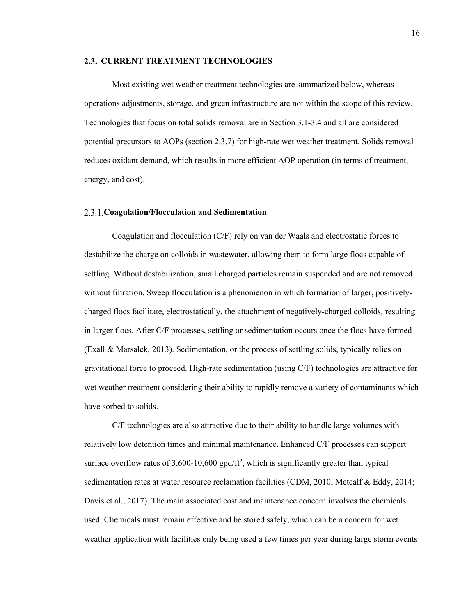#### **CURRENT TREATMENT TECHNOLOGIES**

Most existing wet weather treatment technologies are summarized below, whereas operations adjustments, storage, and green infrastructure are not within the scope of this review. Technologies that focus on total solids removal are in Section 3.1-3.4 and all are considered potential precursors to AOPs (section 2.3.7) for high-rate wet weather treatment. Solids removal reduces oxidant demand, which results in more efficient AOP operation (in terms of treatment, energy, and cost).

#### **Coagulation/Flocculation and Sedimentation**

Coagulation and flocculation (C/F) rely on van der Waals and electrostatic forces to destabilize the charge on colloids in wastewater, allowing them to form large flocs capable of settling. Without destabilization, small charged particles remain suspended and are not removed without filtration. Sweep flocculation is a phenomenon in which formation of larger, positivelycharged flocs facilitate, electrostatically, the attachment of negatively-charged colloids, resulting in larger flocs. After C/F processes, settling or sedimentation occurs once the flocs have formed (Exall & Marsalek, 2013). Sedimentation, or the process of settling solids, typically relies on gravitational force to proceed. High-rate sedimentation (using C/F) technologies are attractive for wet weather treatment considering their ability to rapidly remove a variety of contaminants which have sorbed to solids.

C/F technologies are also attractive due to their ability to handle large volumes with relatively low detention times and minimal maintenance. Enhanced C/F processes can support surface overflow rates of  $3,600$ -10,600 gpd/ft<sup>2</sup>, which is significantly greater than typical sedimentation rates at water resource reclamation facilities (CDM, 2010; Metcalf & Eddy, 2014; Davis et al., 2017). The main associated cost and maintenance concern involves the chemicals used. Chemicals must remain effective and be stored safely, which can be a concern for wet weather application with facilities only being used a few times per year during large storm events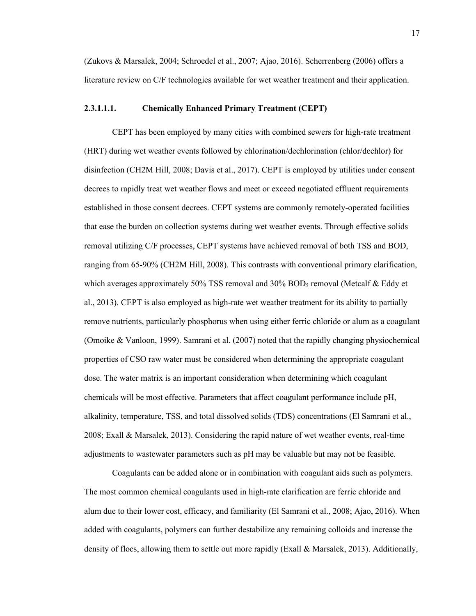(Zukovs & Marsalek, 2004; Schroedel et al., 2007; Ajao, 2016). Scherrenberg (2006) offers a literature review on C/F technologies available for wet weather treatment and their application.

# **2.3.1.1.1. Chemically Enhanced Primary Treatment (CEPT)**

CEPT has been employed by many cities with combined sewers for high-rate treatment (HRT) during wet weather events followed by chlorination/dechlorination (chlor/dechlor) for disinfection (CH2M Hill, 2008; Davis et al., 2017). CEPT is employed by utilities under consent decrees to rapidly treat wet weather flows and meet or exceed negotiated effluent requirements established in those consent decrees. CEPT systems are commonly remotely-operated facilities that ease the burden on collection systems during wet weather events. Through effective solids removal utilizing C/F processes, CEPT systems have achieved removal of both TSS and BOD, ranging from 65-90% (CH2M Hill, 2008). This contrasts with conventional primary clarification, which averages approximately 50% TSS removal and 30% BOD<sub>5</sub> removal (Metcalf & Eddy et al., 2013). CEPT is also employed as high-rate wet weather treatment for its ability to partially remove nutrients, particularly phosphorus when using either ferric chloride or alum as a coagulant (Omoike & Vanloon, 1999). Samrani et al. (2007) noted that the rapidly changing physiochemical properties of CSO raw water must be considered when determining the appropriate coagulant dose. The water matrix is an important consideration when determining which coagulant chemicals will be most effective. Parameters that affect coagulant performance include pH, alkalinity, temperature, TSS, and total dissolved solids (TDS) concentrations (El Samrani et al., 2008; Exall & Marsalek, 2013). Considering the rapid nature of wet weather events, real-time adjustments to wastewater parameters such as pH may be valuable but may not be feasible.

Coagulants can be added alone or in combination with coagulant aids such as polymers. The most common chemical coagulants used in high-rate clarification are ferric chloride and alum due to their lower cost, efficacy, and familiarity (El Samrani et al., 2008; Ajao, 2016). When added with coagulants, polymers can further destabilize any remaining colloids and increase the density of flocs, allowing them to settle out more rapidly (Exall & Marsalek, 2013). Additionally,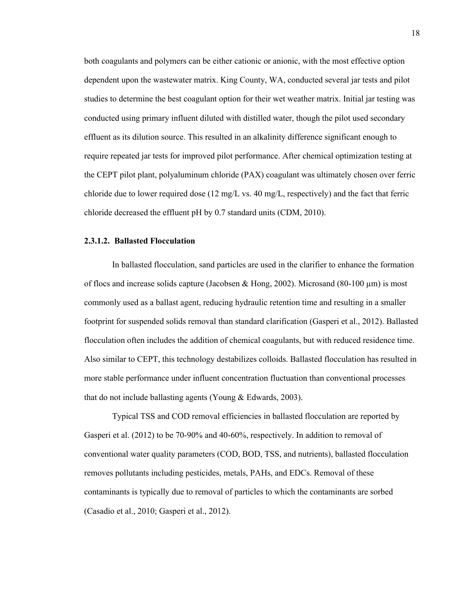both coagulants and polymers can be either cationic or anionic, with the most effective option dependent upon the wastewater matrix. King County, WA, conducted several jar tests and pilot studies to determine the best coagulant option for their wet weather matrix. Initial jar testing was conducted using primary influent diluted with distilled water, though the pilot used secondary effluent as its dilution source. This resulted in an alkalinity difference significant enough to require repeated jar tests for improved pilot performance. After chemical optimization testing at the CEPT pilot plant, polyaluminum chloride (PAX) coagulant was ultimately chosen over ferric chloride due to lower required dose  $(12 \text{ mg/L vs. } 40 \text{ mg/L}, \text{respectively})$  and the fact that ferric chloride decreased the effluent pH by 0.7 standard units (CDM, 2010).

#### **2.3.1.2. Ballasted Flocculation**

In ballasted flocculation, sand particles are used in the clarifier to enhance the formation of flocs and increase solids capture (Jacobsen & Hong, 2002). Microsand (80-100  $\mu$ m) is most commonly used as a ballast agent, reducing hydraulic retention time and resulting in a smaller footprint for suspended solids removal than standard clarification (Gasperi et al., 2012). Ballasted flocculation often includes the addition of chemical coagulants, but with reduced residence time. Also similar to CEPT, this technology destabilizes colloids. Ballasted flocculation has resulted in more stable performance under influent concentration fluctuation than conventional processes that do not include ballasting agents (Young & Edwards, 2003).

Typical TSS and COD removal efficiencies in ballasted flocculation are reported by Gasperi et al. (2012) to be 70-90% and 40-60%, respectively. In addition to removal of conventional water quality parameters (COD, BOD, TSS, and nutrients), ballasted flocculation removes pollutants including pesticides, metals, PAHs, and EDCs. Removal of these contaminants is typically due to removal of particles to which the contaminants are sorbed (Casadio et al., 2010; Gasperi et al., 2012).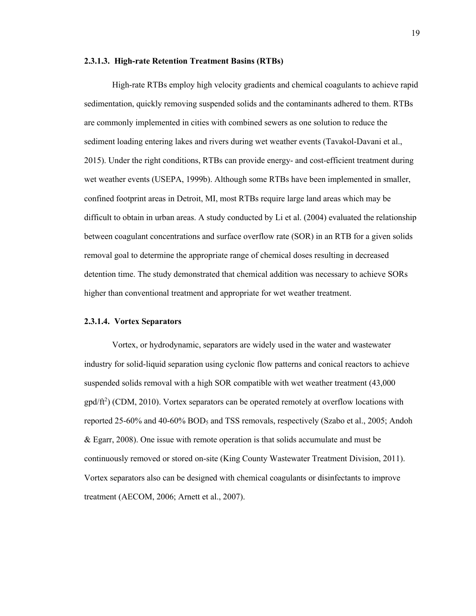## **2.3.1.3. High-rate Retention Treatment Basins (RTBs)**

High-rate RTBs employ high velocity gradients and chemical coagulants to achieve rapid sedimentation, quickly removing suspended solids and the contaminants adhered to them. RTBs are commonly implemented in cities with combined sewers as one solution to reduce the sediment loading entering lakes and rivers during wet weather events (Tavakol-Davani et al., 2015). Under the right conditions, RTBs can provide energy- and cost-efficient treatment during wet weather events (USEPA, 1999b). Although some RTBs have been implemented in smaller, confined footprint areas in Detroit, MI, most RTBs require large land areas which may be difficult to obtain in urban areas. A study conducted by Li et al. (2004) evaluated the relationship between coagulant concentrations and surface overflow rate (SOR) in an RTB for a given solids removal goal to determine the appropriate range of chemical doses resulting in decreased detention time. The study demonstrated that chemical addition was necessary to achieve SORs higher than conventional treatment and appropriate for wet weather treatment.

# **2.3.1.4. Vortex Separators**

Vortex, or hydrodynamic, separators are widely used in the water and wastewater industry for solid-liquid separation using cyclonic flow patterns and conical reactors to achieve suspended solids removal with a high SOR compatible with wet weather treatment (43,000 gpd/ft<sup>2</sup>) (CDM, 2010). Vortex separators can be operated remotely at overflow locations with reported 25-60% and 40-60%  $BOD<sub>5</sub>$  and TSS removals, respectively (Szabo et al., 2005; Andoh & Egarr, 2008). One issue with remote operation is that solids accumulate and must be continuously removed or stored on-site (King County Wastewater Treatment Division, 2011). Vortex separators also can be designed with chemical coagulants or disinfectants to improve treatment (AECOM, 2006; Arnett et al., 2007).

19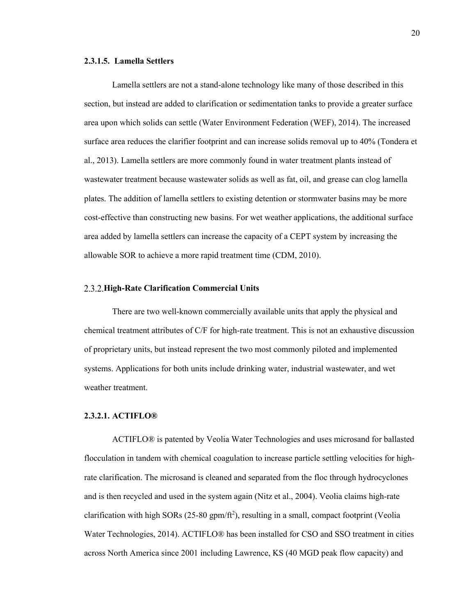#### **2.3.1.5. Lamella Settlers**

Lamella settlers are not a stand-alone technology like many of those described in this section, but instead are added to clarification or sedimentation tanks to provide a greater surface area upon which solids can settle (Water Environment Federation (WEF), 2014). The increased surface area reduces the clarifier footprint and can increase solids removal up to 40% (Tondera et al., 2013). Lamella settlers are more commonly found in water treatment plants instead of wastewater treatment because wastewater solids as well as fat, oil, and grease can clog lamella plates. The addition of lamella settlers to existing detention or stormwater basins may be more cost-effective than constructing new basins. For wet weather applications, the additional surface area added by lamella settlers can increase the capacity of a CEPT system by increasing the allowable SOR to achieve a more rapid treatment time (CDM, 2010).

# **High-Rate Clarification Commercial Units**

There are two well-known commercially available units that apply the physical and chemical treatment attributes of C/F for high-rate treatment. This is not an exhaustive discussion of proprietary units, but instead represent the two most commonly piloted and implemented systems. Applications for both units include drinking water, industrial wastewater, and wet weather treatment.

# **2.3.2.1. ACTIFLO®**

ACTIFLO® is patented by Veolia Water Technologies and uses microsand for ballasted flocculation in tandem with chemical coagulation to increase particle settling velocities for highrate clarification. The microsand is cleaned and separated from the floc through hydrocyclones and is then recycled and used in the system again (Nitz et al., 2004). Veolia claims high-rate clarification with high SORs ( $25-80$  gpm/ft<sup>2</sup>), resulting in a small, compact footprint (Veolia Water Technologies, 2014). ACTIFLO® has been installed for CSO and SSO treatment in cities across North America since 2001 including Lawrence, KS (40 MGD peak flow capacity) and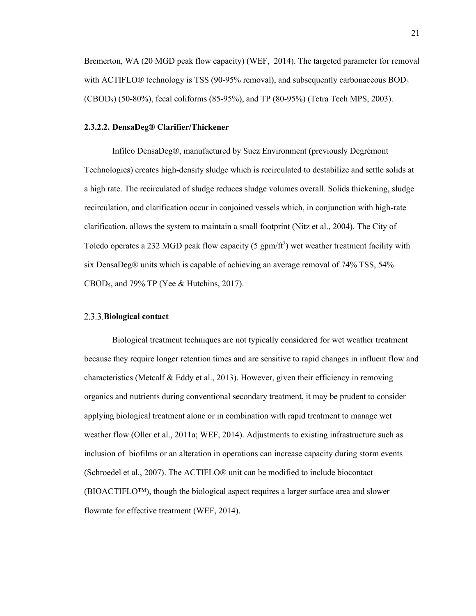Bremerton, WA (20 MGD peak flow capacity) (WEF, 2014). The targeted parameter for removal with ACTIFLO $\odot$  technology is TSS (90-95% removal), and subsequently carbonaceous BOD<sub>5</sub>  $(CBOD<sub>5</sub>)$  (50-80%), fecal coliforms (85-95%), and TP (80-95%) (Tetra Tech MPS, 2003).

## **2.3.2.2. DensaDeg® Clarifier/Thickener**

Infilco DensaDeg®, manufactured by Suez Environment (previously Degrémont Technologies) creates high-density sludge which is recirculated to destabilize and settle solids at a high rate. The recirculated of sludge reduces sludge volumes overall. Solids thickening, sludge recirculation, and clarification occur in conjoined vessels which, in conjunction with high-rate clarification, allows the system to maintain a small footprint (Nitz et al., 2004). The City of Toledo operates a 232 MGD peak flow capacity (5  $gpm/ft^2$ ) wet weather treatment facility with six DensaDeg® units which is capable of achieving an average removal of 74% TSS, 54% CBOD5, and 79% TP (Yee & Hutchins, 2017).

# **Biological contact**

Biological treatment techniques are not typically considered for wet weather treatment because they require longer retention times and are sensitive to rapid changes in influent flow and characteristics (Metcalf & Eddy et al., 2013). However, given their efficiency in removing organics and nutrients during conventional secondary treatment, it may be prudent to consider applying biological treatment alone or in combination with rapid treatment to manage wet weather flow (Oller et al., 2011a; WEF, 2014). Adjustments to existing infrastructure such as inclusion of biofilms or an alteration in operations can increase capacity during storm events (Schroedel et al., 2007). The ACTIFLO® unit can be modified to include biocontact (BIOACTIFLO™), though the biological aspect requires a larger surface area and slower flowrate for effective treatment (WEF, 2014).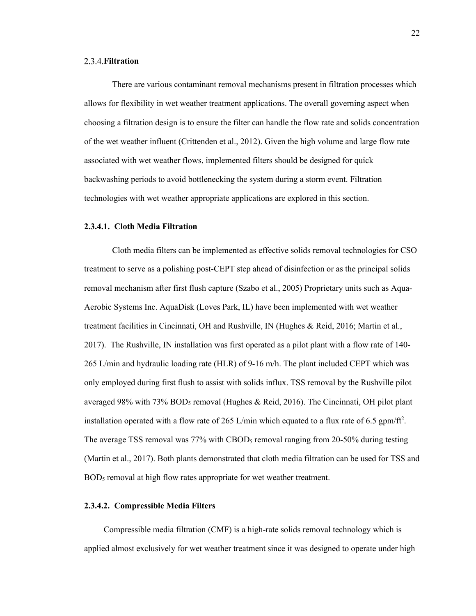# **Filtration**

There are various contaminant removal mechanisms present in filtration processes which allows for flexibility in wet weather treatment applications. The overall governing aspect when choosing a filtration design is to ensure the filter can handle the flow rate and solids concentration of the wet weather influent (Crittenden et al., 2012). Given the high volume and large flow rate associated with wet weather flows, implemented filters should be designed for quick backwashing periods to avoid bottlenecking the system during a storm event. Filtration technologies with wet weather appropriate applications are explored in this section.

# **2.3.4.1. Cloth Media Filtration**

Cloth media filters can be implemented as effective solids removal technologies for CSO treatment to serve as a polishing post-CEPT step ahead of disinfection or as the principal solids removal mechanism after first flush capture (Szabo et al., 2005) Proprietary units such as Aqua-Aerobic Systems Inc. AquaDisk (Loves Park, IL) have been implemented with wet weather treatment facilities in Cincinnati, OH and Rushville, IN (Hughes & Reid, 2016; Martin et al., 2017). The Rushville, IN installation was first operated as a pilot plant with a flow rate of 140- 265 L/min and hydraulic loading rate (HLR) of 9-16 m/h. The plant included CEPT which was only employed during first flush to assist with solids influx. TSS removal by the Rushville pilot averaged 98% with 73% BOD<sub>5</sub> removal (Hughes & Reid, 2016). The Cincinnati, OH pilot plant installation operated with a flow rate of 265 L/min which equated to a flux rate of 6.5 gpm/ft<sup>2</sup>. The average TSS removal was  $77\%$  with CBOD<sub>5</sub> removal ranging from 20-50% during testing (Martin et al., 2017). Both plants demonstrated that cloth media filtration can be used for TSS and BOD<sub>5</sub> removal at high flow rates appropriate for wet weather treatment.

#### **2.3.4.2. Compressible Media Filters**

Compressible media filtration (CMF) is a high-rate solids removal technology which is applied almost exclusively for wet weather treatment since it was designed to operate under high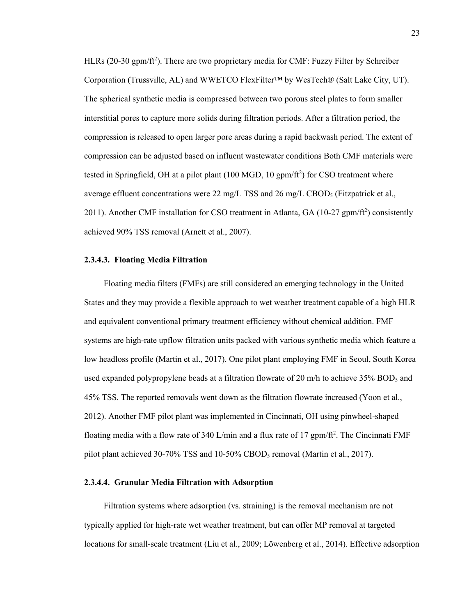HLRs (20-30 gpm/ft<sup>2</sup>). There are two proprietary media for CMF: Fuzzy Filter by Schreiber Corporation (Trussville, AL) and WWETCO FlexFilter™ by WesTech® (Salt Lake City, UT). The spherical synthetic media is compressed between two porous steel plates to form smaller interstitial pores to capture more solids during filtration periods. After a filtration period, the compression is released to open larger pore areas during a rapid backwash period. The extent of compression can be adjusted based on influent wastewater conditions Both CMF materials were tested in Springfield, OH at a pilot plant  $(100 \text{ MGD}, 10 \text{ gpm/ft}^2)$  for CSO treatment where average effluent concentrations were 22 mg/L TSS and 26 mg/L CBOD<sub>5</sub> (Fitzpatrick et al., 2011). Another CMF installation for CSO treatment in Atlanta, GA (10-27 gpm/ft<sup>2</sup>) consistently achieved 90% TSS removal (Arnett et al., 2007).

#### **2.3.4.3. Floating Media Filtration**

Floating media filters (FMFs) are still considered an emerging technology in the United States and they may provide a flexible approach to wet weather treatment capable of a high HLR and equivalent conventional primary treatment efficiency without chemical addition. FMF systems are high-rate upflow filtration units packed with various synthetic media which feature a low headloss profile (Martin et al., 2017). One pilot plant employing FMF in Seoul, South Korea used expanded polypropylene beads at a filtration flowrate of 20 m/h to achieve  $35\%$  BOD<sub>5</sub> and 45% TSS. The reported removals went down as the filtration flowrate increased (Yoon et al., 2012). Another FMF pilot plant was implemented in Cincinnati, OH using pinwheel-shaped floating media with a flow rate of 340 L/min and a flux rate of 17  $gpm/ft^2$ . The Cincinnati FMF pilot plant achieved 30-70% TSS and 10-50% CBOD5 removal (Martin et al., 2017).

# **2.3.4.4. Granular Media Filtration with Adsorption**

Filtration systems where adsorption (vs. straining) is the removal mechanism are not typically applied for high-rate wet weather treatment, but can offer MP removal at targeted locations for small-scale treatment (Liu et al., 2009; Löwenberg et al., 2014). Effective adsorption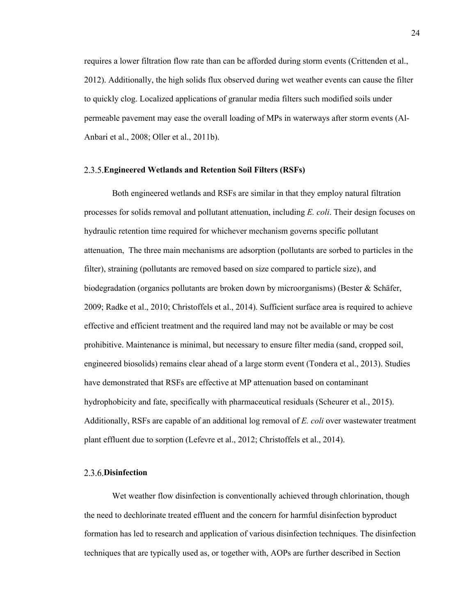requires a lower filtration flow rate than can be afforded during storm events (Crittenden et al., 2012). Additionally, the high solids flux observed during wet weather events can cause the filter to quickly clog. Localized applications of granular media filters such modified soils under permeable pavement may ease the overall loading of MPs in waterways after storm events (Al-Anbari et al., 2008; Oller et al., 2011b).

# **Engineered Wetlands and Retention Soil Filters (RSFs)**

Both engineered wetlands and RSFs are similar in that they employ natural filtration processes for solids removal and pollutant attenuation, including *E. coli*. Their design focuses on hydraulic retention time required for whichever mechanism governs specific pollutant attenuation, The three main mechanisms are adsorption (pollutants are sorbed to particles in the filter), straining (pollutants are removed based on size compared to particle size), and biodegradation (organics pollutants are broken down by microorganisms) (Bester & Schäfer, 2009; Radke et al., 2010; Christoffels et al., 2014). Sufficient surface area is required to achieve effective and efficient treatment and the required land may not be available or may be cost prohibitive. Maintenance is minimal, but necessary to ensure filter media (sand, cropped soil, engineered biosolids) remains clear ahead of a large storm event (Tondera et al., 2013). Studies have demonstrated that RSFs are effective at MP attenuation based on contaminant hydrophobicity and fate, specifically with pharmaceutical residuals (Scheurer et al., 2015). Additionally, RSFs are capable of an additional log removal of *E. coli* over wastewater treatment plant effluent due to sorption (Lefevre et al., 2012; Christoffels et al., 2014).

# **Disinfection**

Wet weather flow disinfection is conventionally achieved through chlorination, though the need to dechlorinate treated effluent and the concern for harmful disinfection byproduct formation has led to research and application of various disinfection techniques. The disinfection techniques that are typically used as, or together with, AOPs are further described in Section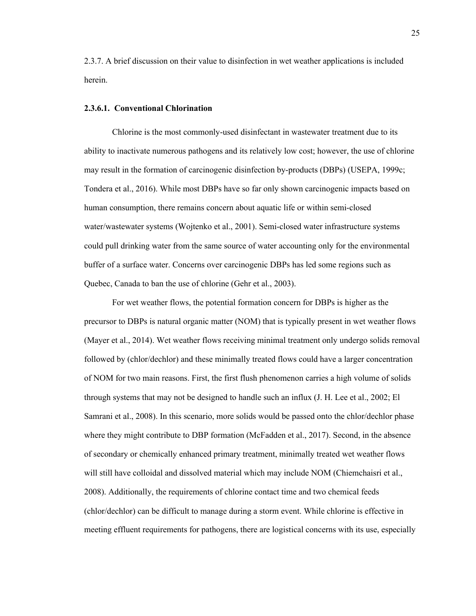2.3.7. A brief discussion on their value to disinfection in wet weather applications is included herein.

## **2.3.6.1. Conventional Chlorination**

Chlorine is the most commonly-used disinfectant in wastewater treatment due to its ability to inactivate numerous pathogens and its relatively low cost; however, the use of chlorine may result in the formation of carcinogenic disinfection by-products (DBPs) (USEPA, 1999c; Tondera et al., 2016). While most DBPs have so far only shown carcinogenic impacts based on human consumption, there remains concern about aquatic life or within semi-closed water/wastewater systems (Wojtenko et al., 2001). Semi-closed water infrastructure systems could pull drinking water from the same source of water accounting only for the environmental buffer of a surface water. Concerns over carcinogenic DBPs has led some regions such as Quebec, Canada to ban the use of chlorine (Gehr et al., 2003).

For wet weather flows, the potential formation concern for DBPs is higher as the precursor to DBPs is natural organic matter (NOM) that is typically present in wet weather flows (Mayer et al., 2014). Wet weather flows receiving minimal treatment only undergo solids removal followed by (chlor/dechlor) and these minimally treated flows could have a larger concentration of NOM for two main reasons. First, the first flush phenomenon carries a high volume of solids through systems that may not be designed to handle such an influx (J. H. Lee et al., 2002; El Samrani et al., 2008). In this scenario, more solids would be passed onto the chlor/dechlor phase where they might contribute to DBP formation (McFadden et al., 2017). Second, in the absence of secondary or chemically enhanced primary treatment, minimally treated wet weather flows will still have colloidal and dissolved material which may include NOM (Chiemchaisri et al., 2008). Additionally, the requirements of chlorine contact time and two chemical feeds (chlor/dechlor) can be difficult to manage during a storm event. While chlorine is effective in meeting effluent requirements for pathogens, there are logistical concerns with its use, especially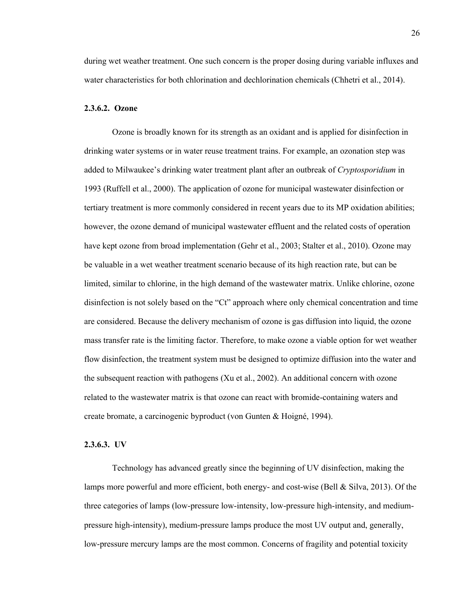during wet weather treatment. One such concern is the proper dosing during variable influxes and water characteristics for both chlorination and dechlorination chemicals (Chhetri et al., 2014).

## **2.3.6.2. Ozone**

Ozone is broadly known for its strength as an oxidant and is applied for disinfection in drinking water systems or in water reuse treatment trains. For example, an ozonation step was added to Milwaukee's drinking water treatment plant after an outbreak of *Cryptosporidium* in 1993 (Ruffell et al., 2000). The application of ozone for municipal wastewater disinfection or tertiary treatment is more commonly considered in recent years due to its MP oxidation abilities; however, the ozone demand of municipal wastewater effluent and the related costs of operation have kept ozone from broad implementation (Gehr et al., 2003; Stalter et al., 2010). Ozone may be valuable in a wet weather treatment scenario because of its high reaction rate, but can be limited, similar to chlorine, in the high demand of the wastewater matrix. Unlike chlorine, ozone disinfection is not solely based on the "Ct" approach where only chemical concentration and time are considered. Because the delivery mechanism of ozone is gas diffusion into liquid, the ozone mass transfer rate is the limiting factor. Therefore, to make ozone a viable option for wet weather flow disinfection, the treatment system must be designed to optimize diffusion into the water and the subsequent reaction with pathogens (Xu et al., 2002). An additional concern with ozone related to the wastewater matrix is that ozone can react with bromide-containing waters and create bromate, a carcinogenic byproduct (von Gunten & Hoigné, 1994).

## **2.3.6.3. UV**

Technology has advanced greatly since the beginning of UV disinfection, making the lamps more powerful and more efficient, both energy- and cost-wise (Bell & Silva, 2013). Of the three categories of lamps (low-pressure low-intensity, low-pressure high-intensity, and mediumpressure high-intensity), medium-pressure lamps produce the most UV output and, generally, low-pressure mercury lamps are the most common. Concerns of fragility and potential toxicity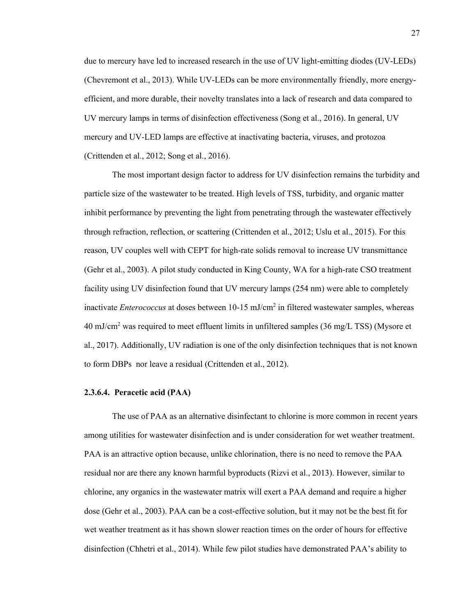due to mercury have led to increased research in the use of UV light-emitting diodes (UV-LEDs) (Chevremont et al., 2013). While UV-LEDs can be more environmentally friendly, more energyefficient, and more durable, their novelty translates into a lack of research and data compared to UV mercury lamps in terms of disinfection effectiveness (Song et al., 2016). In general, UV mercury and UV-LED lamps are effective at inactivating bacteria, viruses, and protozoa (Crittenden et al., 2012; Song et al., 2016).

The most important design factor to address for UV disinfection remains the turbidity and particle size of the wastewater to be treated. High levels of TSS, turbidity, and organic matter inhibit performance by preventing the light from penetrating through the wastewater effectively through refraction, reflection, or scattering (Crittenden et al., 2012; Uslu et al., 2015). For this reason, UV couples well with CEPT for high-rate solids removal to increase UV transmittance (Gehr et al., 2003). A pilot study conducted in King County, WA for a high-rate CSO treatment facility using UV disinfection found that UV mercury lamps (254 nm) were able to completely inactivate *Enterococcus* at doses between 10-15 mJ/cm2 in filtered wastewater samples, whereas  $40 \text{ mJ/cm}^2$  was required to meet effluent limits in unfiltered samples (36 mg/L TSS) (Mysore et al., 2017). Additionally, UV radiation is one of the only disinfection techniques that is not known to form DBPs nor leave a residual (Crittenden et al., 2012).

### **2.3.6.4. Peracetic acid (PAA)**

The use of PAA as an alternative disinfectant to chlorine is more common in recent years among utilities for wastewater disinfection and is under consideration for wet weather treatment. PAA is an attractive option because, unlike chlorination, there is no need to remove the PAA residual nor are there any known harmful byproducts (Rizvi et al., 2013). However, similar to chlorine, any organics in the wastewater matrix will exert a PAA demand and require a higher dose (Gehr et al., 2003). PAA can be a cost-effective solution, but it may not be the best fit for wet weather treatment as it has shown slower reaction times on the order of hours for effective disinfection (Chhetri et al., 2014). While few pilot studies have demonstrated PAA's ability to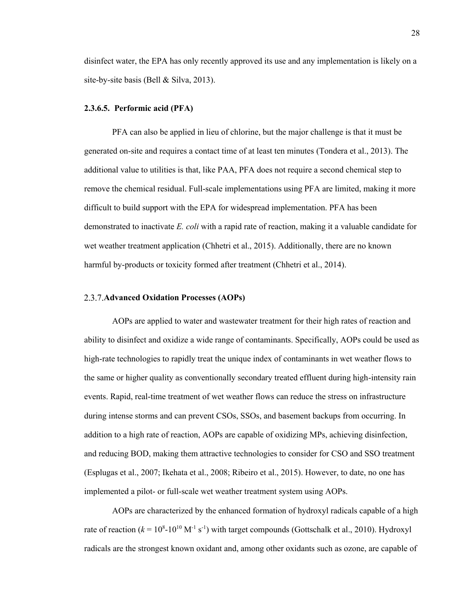disinfect water, the EPA has only recently approved its use and any implementation is likely on a site-by-site basis (Bell & Silva, 2013).

#### **2.3.6.5. Performic acid (PFA)**

PFA can also be applied in lieu of chlorine, but the major challenge is that it must be generated on-site and requires a contact time of at least ten minutes (Tondera et al., 2013). The additional value to utilities is that, like PAA, PFA does not require a second chemical step to remove the chemical residual. Full-scale implementations using PFA are limited, making it more difficult to build support with the EPA for widespread implementation. PFA has been demonstrated to inactivate *E. coli* with a rapid rate of reaction, making it a valuable candidate for wet weather treatment application (Chhetri et al., 2015). Additionally, there are no known harmful by-products or toxicity formed after treatment (Chhetri et al., 2014).

#### **Advanced Oxidation Processes (AOPs)**

AOPs are applied to water and wastewater treatment for their high rates of reaction and ability to disinfect and oxidize a wide range of contaminants. Specifically, AOPs could be used as high-rate technologies to rapidly treat the unique index of contaminants in wet weather flows to the same or higher quality as conventionally secondary treated effluent during high-intensity rain events. Rapid, real-time treatment of wet weather flows can reduce the stress on infrastructure during intense storms and can prevent CSOs, SSOs, and basement backups from occurring. In addition to a high rate of reaction, AOPs are capable of oxidizing MPs, achieving disinfection, and reducing BOD, making them attractive technologies to consider for CSO and SSO treatment (Esplugas et al., 2007; Ikehata et al., 2008; Ribeiro et al., 2015). However, to date, no one has implemented a pilot- or full-scale wet weather treatment system using AOPs.

AOPs are characterized by the enhanced formation of hydroxyl radicals capable of a high rate of reaction  $(k = 10<sup>8</sup> - 10<sup>10</sup> M<sup>-1</sup> s<sup>-1</sup>)$  with target compounds (Gottschalk et al., 2010). Hydroxyl radicals are the strongest known oxidant and, among other oxidants such as ozone, are capable of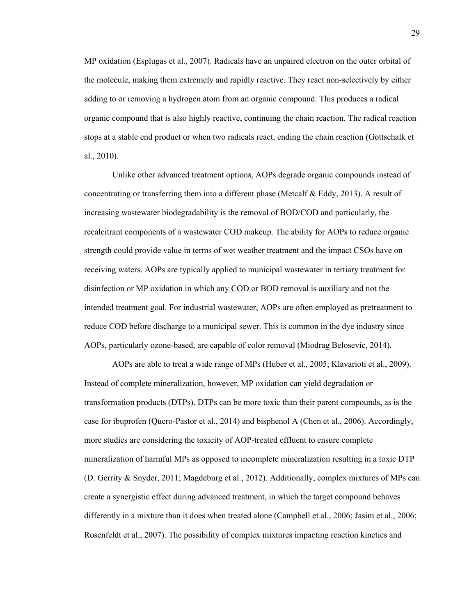MP oxidation (Esplugas et al., 2007). Radicals have an unpaired electron on the outer orbital of the molecule, making them extremely and rapidly reactive. They react non-selectively by either adding to or removing a hydrogen atom from an organic compound. This produces a radical organic compound that is also highly reactive, continuing the chain reaction. The radical reaction stops at a stable end product or when two radicals react, ending the chain reaction (Gottschalk et al., 2010).

Unlike other advanced treatment options, AOPs degrade organic compounds instead of concentrating or transferring them into a different phase (Metcalf & Eddy, 2013). A result of increasing wastewater biodegradability is the removal of BOD/COD and particularly, the recalcitrant components of a wastewater COD makeup. The ability for AOPs to reduce organic strength could provide value in terms of wet weather treatment and the impact CSOs have on receiving waters. AOPs are typically applied to municipal wastewater in tertiary treatment for disinfection or MP oxidation in which any COD or BOD removal is auxiliary and not the intended treatment goal. For industrial wastewater, AOPs are often employed as pretreatment to reduce COD before discharge to a municipal sewer. This is common in the dye industry since AOPs, particularly ozone-based, are capable of color removal (Miodrag Belosevic, 2014).

AOPs are able to treat a wide range of MPs (Huber et al., 2005; Klavarioti et al., 2009). Instead of complete mineralization, however, MP oxidation can yield degradation or transformation products (DTPs). DTPs can be more toxic than their parent compounds, as is the case for ibuprofen (Quero-Pastor et al., 2014) and bisphenol A (Chen et al., 2006). Accordingly, more studies are considering the toxicity of AOP-treated effluent to ensure complete mineralization of harmful MPs as opposed to incomplete mineralization resulting in a toxic DTP (D. Gerrity & Snyder, 2011; Magdeburg et al., 2012). Additionally, complex mixtures of MPs can create a synergistic effect during advanced treatment, in which the target compound behaves differently in a mixture than it does when treated alone (Campbell et al., 2006; Jasim et al., 2006; Rosenfeldt et al., 2007). The possibility of complex mixtures impacting reaction kinetics and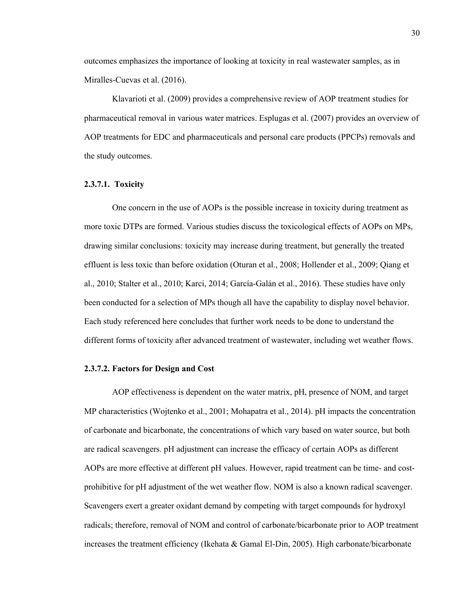outcomes emphasizes the importance of looking at toxicity in real wastewater samples, as in Miralles-Cuevas et al. (2016).

Klavarioti et al. (2009) provides a comprehensive review of AOP treatment studies for pharmaceutical removal in various water matrices. Esplugas et al. (2007) provides an overview of AOP treatments for EDC and pharmaceuticals and personal care products (PPCPs) removals and the study outcomes.

# **2.3.7.1. Toxicity**

One concern in the use of AOPs is the possible increase in toxicity during treatment as more toxic DTPs are formed. Various studies discuss the toxicological effects of AOPs on MPs, drawing similar conclusions: toxicity may increase during treatment, but generally the treated effluent is less toxic than before oxidation (Oturan et al., 2008; Hollender et al., 2009; Qiang et al., 2010; Stalter et al., 2010; Karci, 2014; García-Galán et al., 2016). These studies have only been conducted for a selection of MPs though all have the capability to display novel behavior. Each study referenced here concludes that further work needs to be done to understand the different forms of toxicity after advanced treatment of wastewater, including wet weather flows.

#### **2.3.7.2. Factors for Design and Cost**

AOP effectiveness is dependent on the water matrix, pH, presence of NOM, and target MP characteristics (Wojtenko et al., 2001; Mohapatra et al., 2014). pH impacts the concentration of carbonate and bicarbonate, the concentrations of which vary based on water source, but both are radical scavengers. pH adjustment can increase the efficacy of certain AOPs as different AOPs are more effective at different pH values. However, rapid treatment can be time- and costprohibitive for pH adjustment of the wet weather flow. NOM is also a known radical scavenger. Scavengers exert a greater oxidant demand by competing with target compounds for hydroxyl radicals; therefore, removal of NOM and control of carbonate/bicarbonate prior to AOP treatment increases the treatment efficiency (Ikehata & Gamal El-Din, 2005). High carbonate/bicarbonate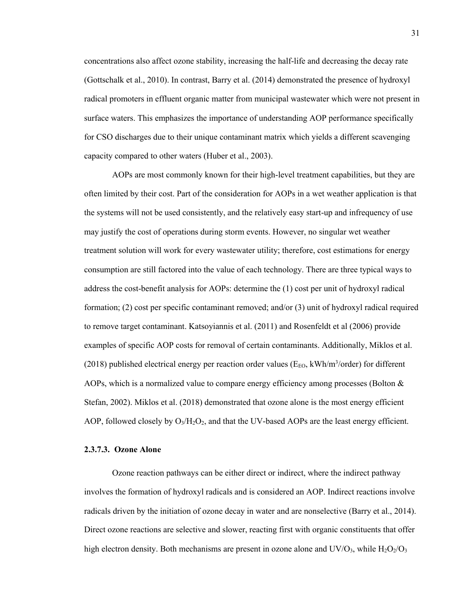concentrations also affect ozone stability, increasing the half-life and decreasing the decay rate (Gottschalk et al., 2010). In contrast, Barry et al. (2014) demonstrated the presence of hydroxyl radical promoters in effluent organic matter from municipal wastewater which were not present in surface waters. This emphasizes the importance of understanding AOP performance specifically for CSO discharges due to their unique contaminant matrix which yields a different scavenging capacity compared to other waters (Huber et al., 2003).

AOPs are most commonly known for their high-level treatment capabilities, but they are often limited by their cost. Part of the consideration for AOPs in a wet weather application is that the systems will not be used consistently, and the relatively easy start-up and infrequency of use may justify the cost of operations during storm events. However, no singular wet weather treatment solution will work for every wastewater utility; therefore, cost estimations for energy consumption are still factored into the value of each technology. There are three typical ways to address the cost-benefit analysis for AOPs: determine the (1) cost per unit of hydroxyl radical formation; (2) cost per specific contaminant removed; and/or (3) unit of hydroxyl radical required to remove target contaminant. Katsoyiannis et al. (2011) and Rosenfeldt et al (2006) provide examples of specific AOP costs for removal of certain contaminants. Additionally, Miklos et al. (2018) published electrical energy per reaction order values ( $E_{EO}$ , kWh/m<sup>3</sup>/order) for different AOPs, which is a normalized value to compare energy efficiency among processes (Bolton  $\&$ Stefan, 2002). Miklos et al. (2018) demonstrated that ozone alone is the most energy efficient AOP, followed closely by  $O_3/H_2O_2$ , and that the UV-based AOPs are the least energy efficient.

#### **2.3.7.3. Ozone Alone**

Ozone reaction pathways can be either direct or indirect, where the indirect pathway involves the formation of hydroxyl radicals and is considered an AOP. Indirect reactions involve radicals driven by the initiation of ozone decay in water and are nonselective (Barry et al., 2014). Direct ozone reactions are selective and slower, reacting first with organic constituents that offer high electron density. Both mechanisms are present in ozone alone and  $UV/O<sub>3</sub>$ , while  $H<sub>2</sub>O<sub>2</sub>/O<sub>3</sub>$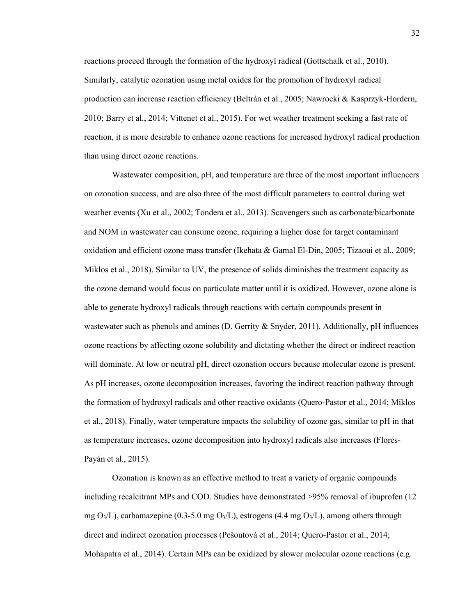reactions proceed through the formation of the hydroxyl radical (Gottschalk et al., 2010). Similarly, catalytic ozonation using metal oxides for the promotion of hydroxyl radical production can increase reaction efficiency (Beltrán et al., 2005; Nawrocki & Kasprzyk-Hordern, 2010; Barry et al., 2014; Vittenet et al., 2015). For wet weather treatment seeking a fast rate of reaction, it is more desirable to enhance ozone reactions for increased hydroxyl radical production than using direct ozone reactions.

Wastewater composition, pH, and temperature are three of the most important influencers on ozonation success, and are also three of the most difficult parameters to control during wet weather events (Xu et al., 2002; Tondera et al., 2013). Scavengers such as carbonate/bicarbonate and NOM in wastewater can consume ozone, requiring a higher dose for target contaminant oxidation and efficient ozone mass transfer (Ikehata & Gamal El-Din, 2005; Tizaoui et al., 2009; Miklos et al., 2018). Similar to UV, the presence of solids diminishes the treatment capacity as the ozone demand would focus on particulate matter until it is oxidized. However, ozone alone is able to generate hydroxyl radicals through reactions with certain compounds present in wastewater such as phenols and amines (D. Gerrity  $&$  Snyder, 2011). Additionally, pH influences ozone reactions by affecting ozone solubility and dictating whether the direct or indirect reaction will dominate. At low or neutral pH, direct ozonation occurs because molecular ozone is present. As pH increases, ozone decomposition increases, favoring the indirect reaction pathway through the formation of hydroxyl radicals and other reactive oxidants (Quero-Pastor et al., 2014; Miklos et al., 2018). Finally, water temperature impacts the solubility of ozone gas, similar to pH in that as temperature increases, ozone decomposition into hydroxyl radicals also increases (Flores-Payán et al., 2015).

Ozonation is known as an effective method to treat a variety of organic compounds including recalcitrant MPs and COD. Studies have demonstrated >95% removal of ibuprofen (12) mg O<sub>3</sub>/L), carbamazepine (0.3-5.0 mg O<sub>3</sub>/L), estrogens (4.4 mg O<sub>3</sub>/L), among others through direct and indirect ozonation processes (Pešoutová et al., 2014; Quero-Pastor et al., 2014; Mohapatra et al., 2014). Certain MPs can be oxidized by slower molecular ozone reactions (e.g.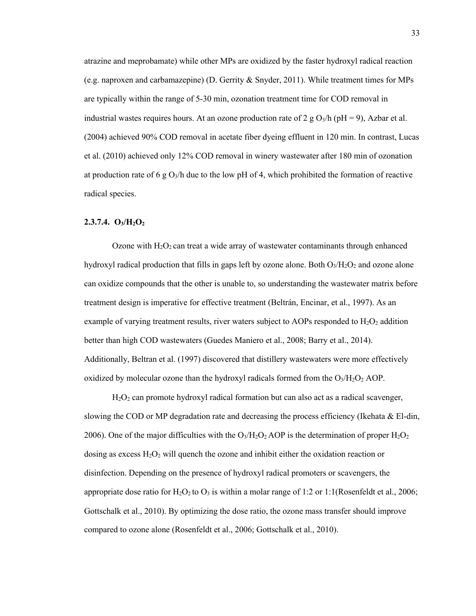atrazine and meprobamate) while other MPs are oxidized by the faster hydroxyl radical reaction (e.g. naproxen and carbamazepine) (D. Gerrity & Snyder, 2011). While treatment times for MPs are typically within the range of 5-30 min, ozonation treatment time for COD removal in industrial wastes requires hours. At an ozone production rate of 2 g O<sub>3</sub>/h (pH = 9), Azbar et al. (2004) achieved 90% COD removal in acetate fiber dyeing effluent in 120 min. In contrast, Lucas et al. (2010) achieved only 12% COD removal in winery wastewater after 180 min of ozonation at production rate of 6 g  $O_3/h$  due to the low pH of 4, which prohibited the formation of reactive radical species.

# **2.3.7.4. O3/H2O2**

Ozone with  $H_2O_2$  can treat a wide array of wastewater contaminants through enhanced hydroxyl radical production that fills in gaps left by ozone alone. Both  $O_3$ /H<sub>2</sub>O<sub>2</sub> and ozone alone can oxidize compounds that the other is unable to, so understanding the wastewater matrix before treatment design is imperative for effective treatment (Beltrán, Encinar, et al., 1997). As an example of varying treatment results, river waters subject to AOPs responded to  $H_2O_2$  addition better than high COD wastewaters (Guedes Maniero et al., 2008; Barry et al., 2014). Additionally, Beltran et al. (1997) discovered that distillery wastewaters were more effectively oxidized by molecular ozone than the hydroxyl radicals formed from the  $O<sub>3</sub>/H<sub>2</sub>O<sub>2</sub> AOP$ .

H2O2 can promote hydroxyl radical formation but can also act as a radical scavenger, slowing the COD or MP degradation rate and decreasing the process efficiency (Ikehata & El-din, 2006). One of the major difficulties with the O<sub>3</sub>/H<sub>2</sub>O<sub>2</sub> AOP is the determination of proper H<sub>2</sub>O<sub>2</sub> dosing as excess  $H_2O_2$  will quench the ozone and inhibit either the oxidation reaction or disinfection. Depending on the presence of hydroxyl radical promoters or scavengers, the appropriate dose ratio for  $H_2O_2$  to  $O_3$  is within a molar range of 1:2 or 1:1(Rosenfeldt et al., 2006; Gottschalk et al., 2010). By optimizing the dose ratio, the ozone mass transfer should improve compared to ozone alone (Rosenfeldt et al., 2006; Gottschalk et al., 2010).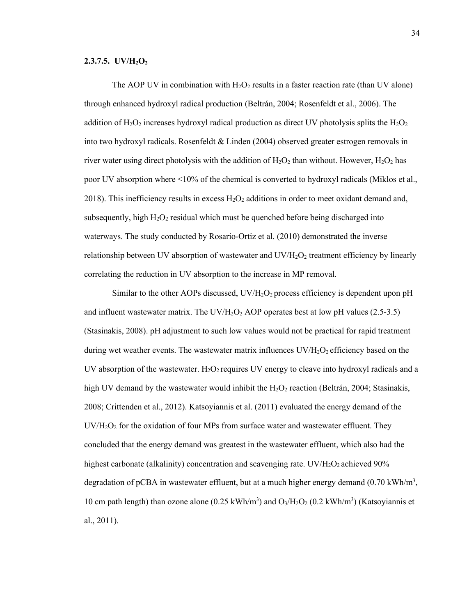#### **2.3.7.5. UV/H<sub>2</sub>O<sub>2</sub>**

The AOP UV in combination with  $H_2O_2$  results in a faster reaction rate (than UV alone) through enhanced hydroxyl radical production (Beltrán, 2004; Rosenfeldt et al., 2006). The addition of  $H_2O_2$  increases hydroxyl radical production as direct UV photolysis splits the  $H_2O_2$ into two hydroxyl radicals. Rosenfeldt & Linden (2004) observed greater estrogen removals in river water using direct photolysis with the addition of  $H_2O_2$  than without. However,  $H_2O_2$  has poor UV absorption where <10% of the chemical is converted to hydroxyl radicals (Miklos et al., 2018). This inefficiency results in excess  $H_2O_2$  additions in order to meet oxidant demand and, subsequently, high  $H_2O_2$  residual which must be quenched before being discharged into waterways. The study conducted by Rosario-Ortiz et al. (2010) demonstrated the inverse relationship between UV absorption of wastewater and UV/H<sub>2</sub>O<sub>2</sub> treatment efficiency by linearly correlating the reduction in UV absorption to the increase in MP removal.

Similar to the other AOPs discussed,  $UV/H<sub>2</sub>O<sub>2</sub>$  process efficiency is dependent upon pH and influent wastewater matrix. The UV/H<sub>2</sub>O<sub>2</sub> AOP operates best at low pH values (2.5-3.5) (Stasinakis, 2008). pH adjustment to such low values would not be practical for rapid treatment during wet weather events. The wastewater matrix influences  $UV/H_2O_2$  efficiency based on the UV absorption of the wastewater.  $H_2O_2$  requires UV energy to cleave into hydroxyl radicals and a high UV demand by the wastewater would inhibit the  $H_2O_2$  reaction (Beltrán, 2004; Stasinakis, 2008; Crittenden et al., 2012). Katsoyiannis et al. (2011) evaluated the energy demand of the  $UV/H<sub>2</sub>O<sub>2</sub>$  for the oxidation of four MPs from surface water and wastewater effluent. They concluded that the energy demand was greatest in the wastewater effluent, which also had the highest carbonate (alkalinity) concentration and scavenging rate.  $UV/H_2O_2$  achieved 90% degradation of pCBA in wastewater effluent, but at a much higher energy demand  $(0.70 \text{ kWh/m}^3)$ , 10 cm path length) than ozone alone (0.25 kWh/m<sup>3</sup>) and  $O_3/H_2O_2$  (0.2 kWh/m<sup>3</sup>) (Katsoyiannis et al., 2011).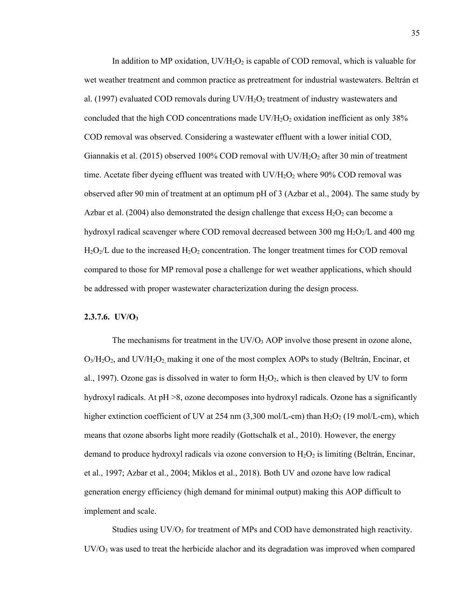In addition to MP oxidation,  $UV/H_2O_2$  is capable of COD removal, which is valuable for wet weather treatment and common practice as pretreatment for industrial wastewaters. Beltrán et al. (1997) evaluated COD removals during  $UV/H<sub>2</sub>O<sub>2</sub>$  treatment of industry wastewaters and concluded that the high COD concentrations made  $UV/H_2O_2$  oxidation inefficient as only 38% COD removal was observed. Considering a wastewater effluent with a lower initial COD, Giannakis et al. (2015) observed 100% COD removal with  $UV/H_2O_2$  after 30 min of treatment time. Acetate fiber dyeing effluent was treated with  $UV/H_2O_2$  where 90% COD removal was observed after 90 min of treatment at an optimum pH of 3 (Azbar et al., 2004). The same study by Azbar et al. (2004) also demonstrated the design challenge that excess  $H_2O_2$  can become a hydroxyl radical scavenger where COD removal decreased between 300 mg  $H_2O_2/L$  and 400 mg  $H_2O_2/L$  due to the increased  $H_2O_2$  concentration. The longer treatment times for COD removal compared to those for MP removal pose a challenge for wet weather applications, which should be addressed with proper wastewater characterization during the design process.

### **2.3.7.6. UV/O3**

The mechanisms for treatment in the  $UV/O<sub>3</sub> AOP$  involve those present in ozone alone,  $O<sub>3</sub>/H<sub>2</sub>O<sub>2</sub>$ , and UV/H<sub>2</sub>O<sub>2</sub>, making it one of the most complex AOPs to study (Beltrán, Encinar, et al., 1997). Ozone gas is dissolved in water to form  $H_2O_2$ , which is then cleaved by UV to form hydroxyl radicals. At pH >8, ozone decomposes into hydroxyl radicals. Ozone has a significantly higher extinction coefficient of UV at 254 nm  $(3,300 \text{ mol/L-cm})$  than  $H_2O_2$  (19 mol/L-cm), which means that ozone absorbs light more readily (Gottschalk et al., 2010). However, the energy demand to produce hydroxyl radicals via ozone conversion to  $H_2O_2$  is limiting (Beltrán, Encinar, et al., 1997; Azbar et al., 2004; Miklos et al., 2018). Both UV and ozone have low radical generation energy efficiency (high demand for minimal output) making this AOP difficult to implement and scale.

Studies using  $UV/O<sub>3</sub>$  for treatment of MPs and COD have demonstrated high reactivity.  $UV/O<sub>3</sub>$  was used to treat the herbicide alachor and its degradation was improved when compared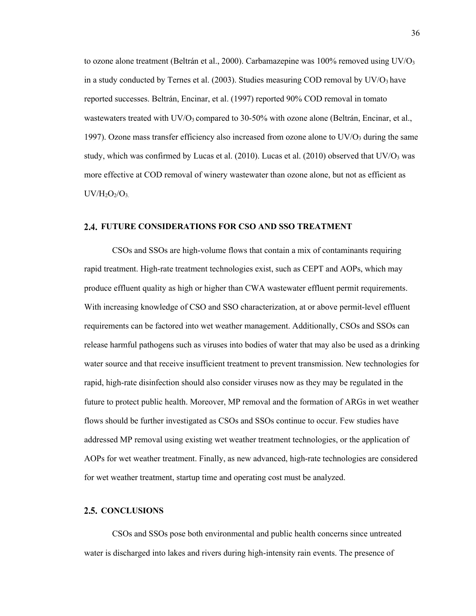to ozone alone treatment (Beltrán et al., 2000). Carbamazepine was  $100\%$  removed using UV/O<sub>3</sub> in a study conducted by Ternes et al. (2003). Studies measuring COD removal by  $UV/O<sub>3</sub>$  have reported successes. Beltrán, Encinar, et al. (1997) reported 90% COD removal in tomato wastewaters treated with  $UV/O_3$  compared to 30-50% with ozone alone (Beltrán, Encinar, et al., 1997). Ozone mass transfer efficiency also increased from ozone alone to  $UV/O<sub>3</sub>$  during the same study, which was confirmed by Lucas et al. (2010). Lucas et al. (2010) observed that  $UV/O<sub>3</sub>$  was more effective at COD removal of winery wastewater than ozone alone, but not as efficient as  $UV/H<sub>2</sub>O<sub>2</sub>/O<sub>3</sub>$ 

# **FUTURE CONSIDERATIONS FOR CSO AND SSO TREATMENT**

CSOs and SSOs are high-volume flows that contain a mix of contaminants requiring rapid treatment. High-rate treatment technologies exist, such as CEPT and AOPs, which may produce effluent quality as high or higher than CWA wastewater effluent permit requirements. With increasing knowledge of CSO and SSO characterization, at or above permit-level effluent requirements can be factored into wet weather management. Additionally, CSOs and SSOs can release harmful pathogens such as viruses into bodies of water that may also be used as a drinking water source and that receive insufficient treatment to prevent transmission. New technologies for rapid, high-rate disinfection should also consider viruses now as they may be regulated in the future to protect public health. Moreover, MP removal and the formation of ARGs in wet weather flows should be further investigated as CSOs and SSOs continue to occur. Few studies have addressed MP removal using existing wet weather treatment technologies, or the application of AOPs for wet weather treatment. Finally, as new advanced, high-rate technologies are considered for wet weather treatment, startup time and operating cost must be analyzed.

## 2.5. CONCLUSIONS

CSOs and SSOs pose both environmental and public health concerns since untreated water is discharged into lakes and rivers during high-intensity rain events. The presence of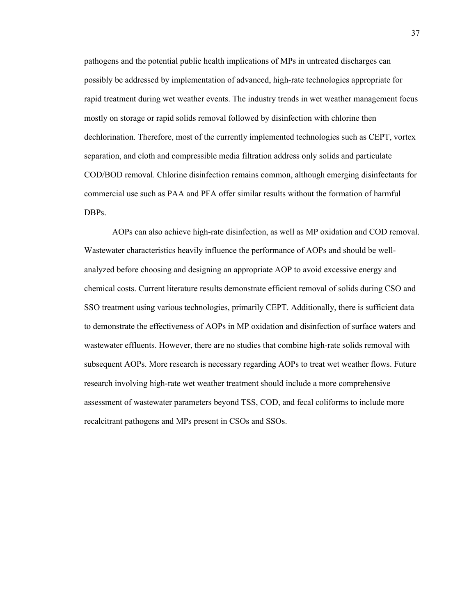pathogens and the potential public health implications of MPs in untreated discharges can possibly be addressed by implementation of advanced, high-rate technologies appropriate for rapid treatment during wet weather events. The industry trends in wet weather management focus mostly on storage or rapid solids removal followed by disinfection with chlorine then dechlorination. Therefore, most of the currently implemented technologies such as CEPT, vortex separation, and cloth and compressible media filtration address only solids and particulate COD/BOD removal. Chlorine disinfection remains common, although emerging disinfectants for commercial use such as PAA and PFA offer similar results without the formation of harmful DBPs.

AOPs can also achieve high-rate disinfection, as well as MP oxidation and COD removal. Wastewater characteristics heavily influence the performance of AOPs and should be wellanalyzed before choosing and designing an appropriate AOP to avoid excessive energy and chemical costs. Current literature results demonstrate efficient removal of solids during CSO and SSO treatment using various technologies, primarily CEPT. Additionally, there is sufficient data to demonstrate the effectiveness of AOPs in MP oxidation and disinfection of surface waters and wastewater effluents. However, there are no studies that combine high-rate solids removal with subsequent AOPs. More research is necessary regarding AOPs to treat wet weather flows. Future research involving high-rate wet weather treatment should include a more comprehensive assessment of wastewater parameters beyond TSS, COD, and fecal coliforms to include more recalcitrant pathogens and MPs present in CSOs and SSOs.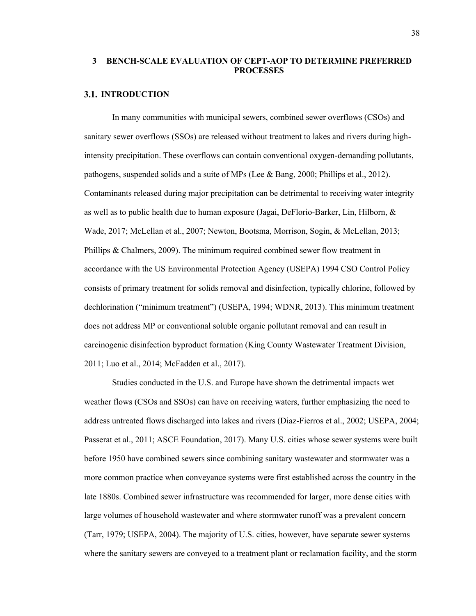# **3 BENCH-SCALE EVALUATION OF CEPT-AOP TO DETERMINE PREFERRED PROCESSES**

# **3.1. INTRODUCTION**

In many communities with municipal sewers, combined sewer overflows (CSOs) and sanitary sewer overflows (SSOs) are released without treatment to lakes and rivers during highintensity precipitation. These overflows can contain conventional oxygen-demanding pollutants, pathogens, suspended solids and a suite of MPs (Lee & Bang, 2000; Phillips et al., 2012). Contaminants released during major precipitation can be detrimental to receiving water integrity as well as to public health due to human exposure (Jagai, DeFlorio-Barker, Lin, Hilborn, & Wade, 2017; McLellan et al., 2007; Newton, Bootsma, Morrison, Sogin, & McLellan, 2013; Phillips & Chalmers, 2009). The minimum required combined sewer flow treatment in accordance with the US Environmental Protection Agency (USEPA) 1994 CSO Control Policy consists of primary treatment for solids removal and disinfection, typically chlorine, followed by dechlorination ("minimum treatment") (USEPA, 1994; WDNR, 2013). This minimum treatment does not address MP or conventional soluble organic pollutant removal and can result in carcinogenic disinfection byproduct formation (King County Wastewater Treatment Division, 2011; Luo et al., 2014; McFadden et al., 2017).

Studies conducted in the U.S. and Europe have shown the detrimental impacts wet weather flows (CSOs and SSOs) can have on receiving waters, further emphasizing the need to address untreated flows discharged into lakes and rivers (Diaz-Fierros et al., 2002; USEPA, 2004; Passerat et al., 2011; ASCE Foundation, 2017). Many U.S. cities whose sewer systems were built before 1950 have combined sewers since combining sanitary wastewater and stormwater was a more common practice when conveyance systems were first established across the country in the late 1880s. Combined sewer infrastructure was recommended for larger, more dense cities with large volumes of household wastewater and where stormwater runoff was a prevalent concern (Tarr, 1979; USEPA, 2004). The majority of U.S. cities, however, have separate sewer systems where the sanitary sewers are conveyed to a treatment plant or reclamation facility, and the storm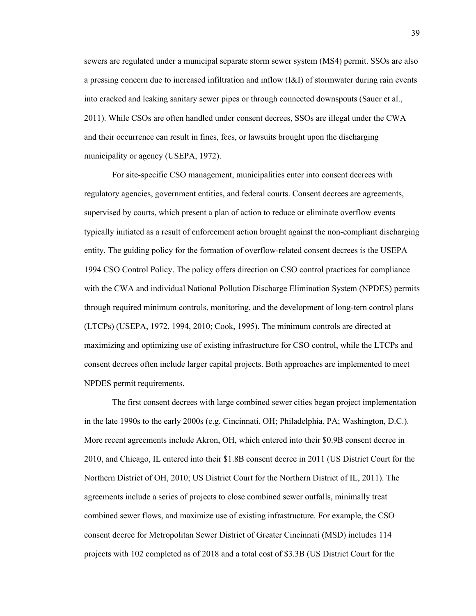sewers are regulated under a municipal separate storm sewer system (MS4) permit. SSOs are also a pressing concern due to increased infiltration and inflow (I&I) of stormwater during rain events into cracked and leaking sanitary sewer pipes or through connected downspouts (Sauer et al., 2011). While CSOs are often handled under consent decrees, SSOs are illegal under the CWA and their occurrence can result in fines, fees, or lawsuits brought upon the discharging municipality or agency (USEPA, 1972).

For site-specific CSO management, municipalities enter into consent decrees with regulatory agencies, government entities, and federal courts. Consent decrees are agreements, supervised by courts, which present a plan of action to reduce or eliminate overflow events typically initiated as a result of enforcement action brought against the non-compliant discharging entity. The guiding policy for the formation of overflow-related consent decrees is the USEPA 1994 CSO Control Policy. The policy offers direction on CSO control practices for compliance with the CWA and individual National Pollution Discharge Elimination System (NPDES) permits through required minimum controls, monitoring, and the development of long-tern control plans (LTCPs) (USEPA, 1972, 1994, 2010; Cook, 1995). The minimum controls are directed at maximizing and optimizing use of existing infrastructure for CSO control, while the LTCPs and consent decrees often include larger capital projects. Both approaches are implemented to meet NPDES permit requirements.

The first consent decrees with large combined sewer cities began project implementation in the late 1990s to the early 2000s (e.g. Cincinnati, OH; Philadelphia, PA; Washington, D.C.). More recent agreements include Akron, OH, which entered into their \$0.9B consent decree in 2010, and Chicago, IL entered into their \$1.8B consent decree in 2011 (US District Court for the Northern District of OH, 2010; US District Court for the Northern District of IL, 2011). The agreements include a series of projects to close combined sewer outfalls, minimally treat combined sewer flows, and maximize use of existing infrastructure. For example, the CSO consent decree for Metropolitan Sewer District of Greater Cincinnati (MSD) includes 114 projects with 102 completed as of 2018 and a total cost of \$3.3B (US District Court for the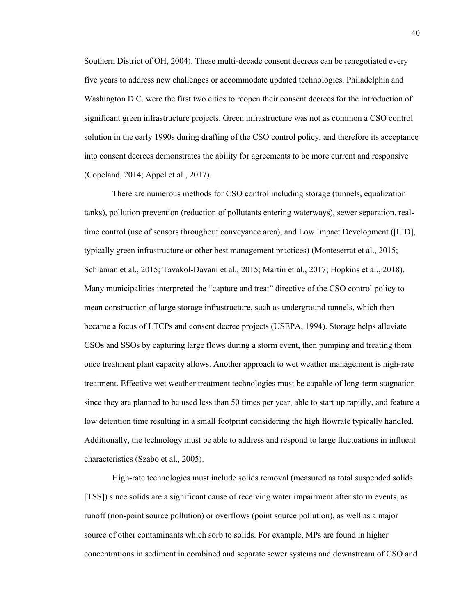Southern District of OH, 2004). These multi-decade consent decrees can be renegotiated every five years to address new challenges or accommodate updated technologies. Philadelphia and Washington D.C. were the first two cities to reopen their consent decrees for the introduction of significant green infrastructure projects. Green infrastructure was not as common a CSO control solution in the early 1990s during drafting of the CSO control policy, and therefore its acceptance into consent decrees demonstrates the ability for agreements to be more current and responsive (Copeland, 2014; Appel et al., 2017).

There are numerous methods for CSO control including storage (tunnels, equalization tanks), pollution prevention (reduction of pollutants entering waterways), sewer separation, realtime control (use of sensors throughout conveyance area), and Low Impact Development ([LID], typically green infrastructure or other best management practices) (Monteserrat et al., 2015; Schlaman et al., 2015; Tavakol-Davani et al., 2015; Martin et al., 2017; Hopkins et al., 2018). Many municipalities interpreted the "capture and treat" directive of the CSO control policy to mean construction of large storage infrastructure, such as underground tunnels, which then became a focus of LTCPs and consent decree projects (USEPA, 1994). Storage helps alleviate CSOs and SSOs by capturing large flows during a storm event, then pumping and treating them once treatment plant capacity allows. Another approach to wet weather management is high-rate treatment. Effective wet weather treatment technologies must be capable of long-term stagnation since they are planned to be used less than 50 times per year, able to start up rapidly, and feature a low detention time resulting in a small footprint considering the high flowrate typically handled. Additionally, the technology must be able to address and respond to large fluctuations in influent characteristics (Szabo et al., 2005).

High-rate technologies must include solids removal (measured as total suspended solids [TSS]) since solids are a significant cause of receiving water impairment after storm events, as runoff (non-point source pollution) or overflows (point source pollution), as well as a major source of other contaminants which sorb to solids. For example, MPs are found in higher concentrations in sediment in combined and separate sewer systems and downstream of CSO and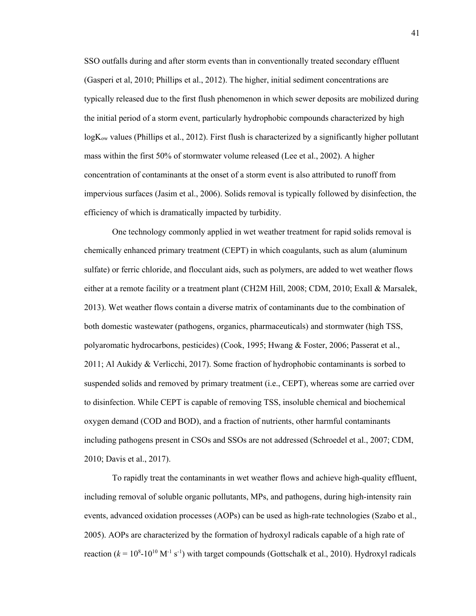SSO outfalls during and after storm events than in conventionally treated secondary effluent (Gasperi et al, 2010; Phillips et al., 2012). The higher, initial sediment concentrations are typically released due to the first flush phenomenon in which sewer deposits are mobilized during the initial period of a storm event, particularly hydrophobic compounds characterized by high logK<sub>ow</sub> values (Phillips et al., 2012). First flush is characterized by a significantly higher pollutant mass within the first 50% of stormwater volume released (Lee et al., 2002). A higher concentration of contaminants at the onset of a storm event is also attributed to runoff from impervious surfaces (Jasim et al., 2006). Solids removal is typically followed by disinfection, the efficiency of which is dramatically impacted by turbidity.

One technology commonly applied in wet weather treatment for rapid solids removal is chemically enhanced primary treatment (CEPT) in which coagulants, such as alum (aluminum sulfate) or ferric chloride, and flocculant aids, such as polymers, are added to wet weather flows either at a remote facility or a treatment plant (CH2M Hill, 2008; CDM, 2010; Exall & Marsalek, 2013). Wet weather flows contain a diverse matrix of contaminants due to the combination of both domestic wastewater (pathogens, organics, pharmaceuticals) and stormwater (high TSS, polyaromatic hydrocarbons, pesticides) (Cook, 1995; Hwang & Foster, 2006; Passerat et al., 2011; Al Aukidy & Verlicchi, 2017). Some fraction of hydrophobic contaminants is sorbed to suspended solids and removed by primary treatment (i.e., CEPT), whereas some are carried over to disinfection. While CEPT is capable of removing TSS, insoluble chemical and biochemical oxygen demand (COD and BOD), and a fraction of nutrients, other harmful contaminants including pathogens present in CSOs and SSOs are not addressed (Schroedel et al., 2007; CDM, 2010; Davis et al., 2017).

To rapidly treat the contaminants in wet weather flows and achieve high-quality effluent, including removal of soluble organic pollutants, MPs, and pathogens, during high-intensity rain events, advanced oxidation processes (AOPs) can be used as high-rate technologies (Szabo et al., 2005). AOPs are characterized by the formation of hydroxyl radicals capable of a high rate of reaction  $(k = 10<sup>8</sup> - 10<sup>10</sup> M<sup>-1</sup> s<sup>-1</sup>)$  with target compounds (Gottschalk et al., 2010). Hydroxyl radicals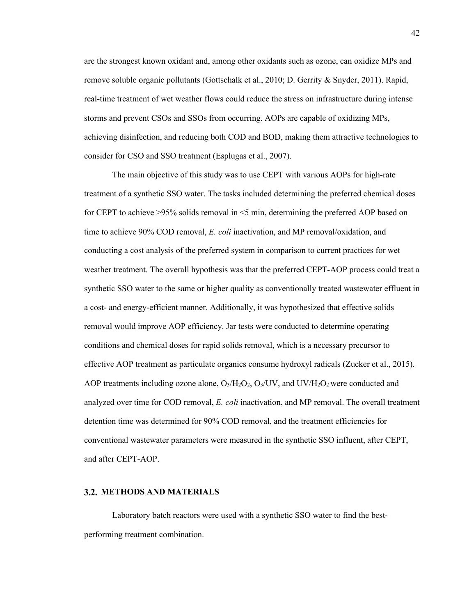are the strongest known oxidant and, among other oxidants such as ozone, can oxidize MPs and remove soluble organic pollutants (Gottschalk et al., 2010; D. Gerrity & Snyder, 2011). Rapid, real-time treatment of wet weather flows could reduce the stress on infrastructure during intense storms and prevent CSOs and SSOs from occurring. AOPs are capable of oxidizing MPs, achieving disinfection, and reducing both COD and BOD, making them attractive technologies to consider for CSO and SSO treatment (Esplugas et al., 2007).

The main objective of this study was to use CEPT with various AOPs for high-rate treatment of a synthetic SSO water. The tasks included determining the preferred chemical doses for CEPT to achieve >95% solids removal in <5 min, determining the preferred AOP based on time to achieve 90% COD removal, *E. coli* inactivation, and MP removal/oxidation, and conducting a cost analysis of the preferred system in comparison to current practices for wet weather treatment. The overall hypothesis was that the preferred CEPT-AOP process could treat a synthetic SSO water to the same or higher quality as conventionally treated wastewater effluent in a cost- and energy-efficient manner. Additionally, it was hypothesized that effective solids removal would improve AOP efficiency. Jar tests were conducted to determine operating conditions and chemical doses for rapid solids removal, which is a necessary precursor to effective AOP treatment as particulate organics consume hydroxyl radicals (Zucker et al., 2015). AOP treatments including ozone alone,  $O_3/H_2O_2$ ,  $O_3/UV$ , and UV/H<sub>2</sub>O<sub>2</sub> were conducted and analyzed over time for COD removal, *E. coli* inactivation, and MP removal. The overall treatment detention time was determined for 90% COD removal, and the treatment efficiencies for conventional wastewater parameters were measured in the synthetic SSO influent, after CEPT, and after CEPT-AOP.

# **METHODS AND MATERIALS**

Laboratory batch reactors were used with a synthetic SSO water to find the bestperforming treatment combination.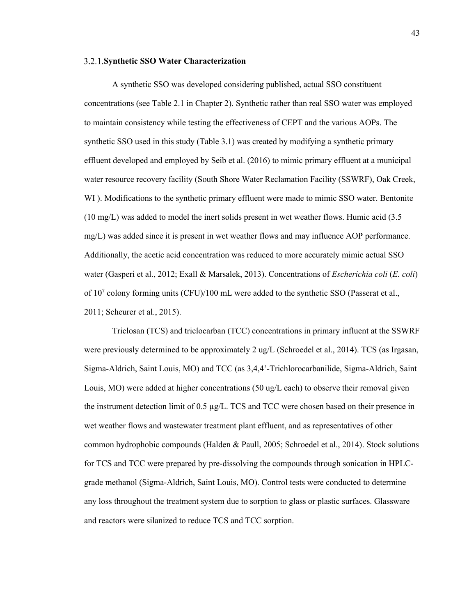#### **Synthetic SSO Water Characterization**

A synthetic SSO was developed considering published, actual SSO constituent concentrations (see Table 2.1 in Chapter 2). Synthetic rather than real SSO water was employed to maintain consistency while testing the effectiveness of CEPT and the various AOPs. The synthetic SSO used in this study (Table 3.1) was created by modifying a synthetic primary effluent developed and employed by Seib et al. (2016) to mimic primary effluent at a municipal water resource recovery facility (South Shore Water Reclamation Facility (SSWRF), Oak Creek, WI ). Modifications to the synthetic primary effluent were made to mimic SSO water. Bentonite (10 mg/L) was added to model the inert solids present in wet weather flows. Humic acid (3.5 mg/L) was added since it is present in wet weather flows and may influence AOP performance. Additionally, the acetic acid concentration was reduced to more accurately mimic actual SSO water (Gasperi et al., 2012; Exall & Marsalek, 2013). Concentrations of *Escherichia coli* (*E. coli*) of  $10<sup>7</sup>$  colony forming units (CFU)/100 mL were added to the synthetic SSO (Passerat et al., 2011; Scheurer et al., 2015).

Triclosan (TCS) and triclocarban (TCC) concentrations in primary influent at the SSWRF were previously determined to be approximately 2 ug/L (Schroedel et al., 2014). TCS (as Irgasan, Sigma-Aldrich, Saint Louis, MO) and TCC (as 3,4,4'-Trichlorocarbanilide, Sigma-Aldrich, Saint Louis, MO) were added at higher concentrations (50 ug/L each) to observe their removal given the instrument detection limit of 0.5 µg/L. TCS and TCC were chosen based on their presence in wet weather flows and wastewater treatment plant effluent, and as representatives of other common hydrophobic compounds (Halden & Paull, 2005; Schroedel et al., 2014). Stock solutions for TCS and TCC were prepared by pre-dissolving the compounds through sonication in HPLCgrade methanol (Sigma-Aldrich, Saint Louis, MO). Control tests were conducted to determine any loss throughout the treatment system due to sorption to glass or plastic surfaces. Glassware and reactors were silanized to reduce TCS and TCC sorption.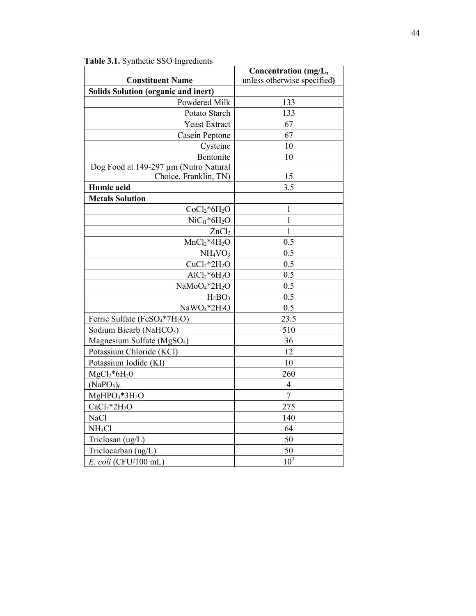|                                                       | Concentration (mg/L,        |  |  |  |
|-------------------------------------------------------|-----------------------------|--|--|--|
| <b>Constituent Name</b>                               | unless otherwise specified) |  |  |  |
| <b>Solids Solution (organic and inert)</b>            |                             |  |  |  |
| Powdered Milk                                         | 133                         |  |  |  |
| Potato Starch                                         | 133                         |  |  |  |
| Yeast Extract                                         | 67                          |  |  |  |
| Casein Peptone                                        | 67                          |  |  |  |
| Cysteine                                              | 10                          |  |  |  |
| Bentonite                                             | 10                          |  |  |  |
| Dog Food at 149-297 µm (Nutro Natural                 |                             |  |  |  |
| Choice, Franklin, TN)                                 | 15                          |  |  |  |
| Humic acid                                            | 3.5                         |  |  |  |
| <b>Metals Solution</b>                                |                             |  |  |  |
| $CoCl2*6H2O$                                          | $\mathbf{1}$                |  |  |  |
| $\text{NiC}_{11}$ * $6\text{H}_2\text{O}$             | $\mathbf{1}$                |  |  |  |
| ZnCl <sub>2</sub>                                     | $\mathbf{1}$                |  |  |  |
| $MnCl2*4H2O$                                          | 0.5                         |  |  |  |
| NH <sub>4</sub> VO <sub>3</sub>                       | 0.5                         |  |  |  |
| $CuCl2*2H2O$                                          | 0.5                         |  |  |  |
| $AlCl2*6H2O$                                          | 0.5                         |  |  |  |
| NaMoO <sub>4</sub> *2H <sub>2</sub> O                 | 0.5                         |  |  |  |
| $H_2BO_3$                                             | 0.5                         |  |  |  |
| NaWO <sub>4</sub> *2H <sub>2</sub> O                  | 0.5                         |  |  |  |
| Ferric Sulfate (FeSO <sub>4</sub> *7H <sub>2</sub> O) | 23.5                        |  |  |  |
| Sodium Bicarb (NaHCO <sub>3</sub> )                   | 510                         |  |  |  |
| Magnesium Sulfate (MgSO <sub>4</sub> )                | 36                          |  |  |  |
| Potassium Chloride (KCl)                              | 12                          |  |  |  |
| Potassium Iodide (KI)                                 | 10                          |  |  |  |
| $MgCl2*6H20$                                          | 260                         |  |  |  |
| (NaPO <sub>3</sub> ) <sub>6</sub>                     | $\overline{\mathcal{A}}$    |  |  |  |
| MgHPO <sub>4</sub> *3H <sub>2</sub> O                 | $\overline{7}$              |  |  |  |
| $CaCl2*2H2O$                                          | 275                         |  |  |  |
| <b>NaCl</b>                                           | 140                         |  |  |  |
| NH <sub>4</sub> Cl                                    | 64                          |  |  |  |
| Triclosan (ug/L)                                      | 50                          |  |  |  |
| Triclocarban (ug/L)                                   | 50                          |  |  |  |
| E. coli (CFU/100 mL)                                  | 10 <sup>7</sup>             |  |  |  |

**Table 3.1.** Synthetic SSO Ingredients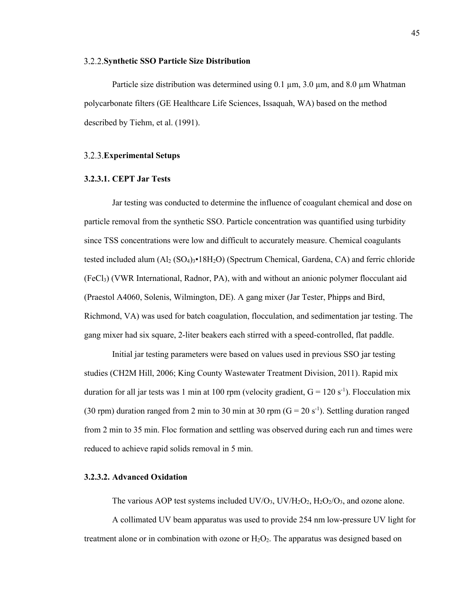#### **Synthetic SSO Particle Size Distribution**

Particle size distribution was determined using  $0.1 \mu m$ ,  $3.0 \mu m$ , and  $8.0 \mu m$  Whatman polycarbonate filters (GE Healthcare Life Sciences, Issaquah, WA) based on the method described by Tiehm, et al. (1991).

# **Experimental Setups**

## **3.2.3.1. CEPT Jar Tests**

Jar testing was conducted to determine the influence of coagulant chemical and dose on particle removal from the synthetic SSO. Particle concentration was quantified using turbidity since TSS concentrations were low and difficult to accurately measure. Chemical coagulants tested included alum  $(A_2 (SO_4)_{3} \cdot 18 H_2 O)$  (Spectrum Chemical, Gardena, CA) and ferric chloride (FeCl3) (VWR International, Radnor, PA), with and without an anionic polymer flocculant aid (Praestol A4060, Solenis, Wilmington, DE). A gang mixer (Jar Tester, Phipps and Bird, Richmond, VA) was used for batch coagulation, flocculation, and sedimentation jar testing. The gang mixer had six square, 2-liter beakers each stirred with a speed-controlled, flat paddle.

Initial jar testing parameters were based on values used in previous SSO jar testing studies (CH2M Hill, 2006; King County Wastewater Treatment Division, 2011). Rapid mix duration for all jar tests was 1 min at 100 rpm (velocity gradient,  $G = 120 s^{-1}$ ). Flocculation mix (30 rpm) duration ranged from 2 min to 30 min at 30 rpm ( $G = 20 s^{-1}$ ). Settling duration ranged from 2 min to 35 min. Floc formation and settling was observed during each run and times were reduced to achieve rapid solids removal in 5 min.

## **3.2.3.2. Advanced Oxidation**

The various AOP test systems included  $UV/O_3$ ,  $UV/H_2O_2$ ,  $H_2O_2/O_3$ , and ozone alone.

A collimated UV beam apparatus was used to provide 254 nm low-pressure UV light for treatment alone or in combination with ozone or  $H_2O_2$ . The apparatus was designed based on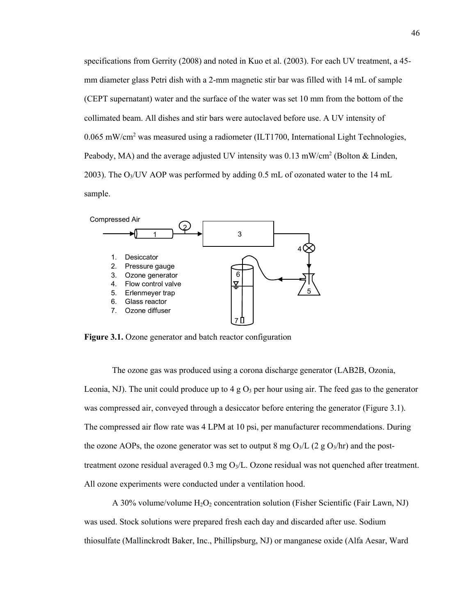specifications from Gerrity (2008) and noted in Kuo et al. (2003). For each UV treatment, a 45 mm diameter glass Petri dish with a 2-mm magnetic stir bar was filled with 14 mL of sample (CEPT supernatant) water and the surface of the water was set 10 mm from the bottom of the collimated beam. All dishes and stir bars were autoclaved before use. A UV intensity of 0.065 mW/cm<sup>2</sup> was measured using a radiometer (ILT1700, International Light Technologies, Peabody, MA) and the average adjusted UV intensity was 0.13 mW/cm<sup>2</sup> (Bolton & Linden, 2003). The  $O<sub>3</sub>/UV$  AOP was performed by adding 0.5 mL of ozonated water to the 14 mL sample.



**Figure 3.1.** Ozone generator and batch reactor configuration

The ozone gas was produced using a corona discharge generator (LAB2B, Ozonia, Leonia, NJ). The unit could produce up to 4 g  $O_3$  per hour using air. The feed gas to the generator was compressed air, conveyed through a desiccator before entering the generator (Figure 3.1). The compressed air flow rate was 4 LPM at 10 psi, per manufacturer recommendations. During the ozone AOPs, the ozone generator was set to output 8 mg  $O_3/L$  (2 g  $O_3/hr$ ) and the posttreatment ozone residual averaged  $0.3 \text{ mg O}_3/\text{L}$ . Ozone residual was not quenched after treatment. All ozone experiments were conducted under a ventilation hood.

A 30% volume/volume  $H_2O_2$  concentration solution (Fisher Scientific (Fair Lawn, NJ) was used. Stock solutions were prepared fresh each day and discarded after use. Sodium thiosulfate (Mallinckrodt Baker, Inc., Phillipsburg, NJ) or manganese oxide (Alfa Aesar, Ward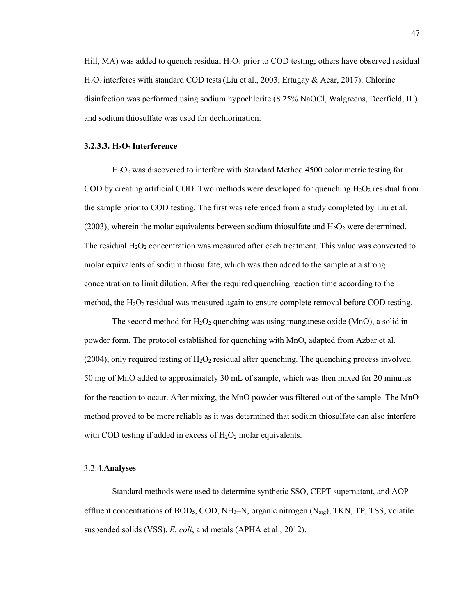Hill, MA) was added to quench residual  $H_2O_2$  prior to COD testing; others have observed residual  $H_2O_2$  interferes with standard COD tests (Liu et al., 2003; Ertugay & Acar, 2017). Chlorine disinfection was performed using sodium hypochlorite (8.25% NaOCl, Walgreens, Deerfield, IL) and sodium thiosulfate was used for dechlorination.

## **3.2.3.3. H2O2 Interference**

H2O2 was discovered to interfere with Standard Method 4500 colorimetric testing for COD by creating artificial COD. Two methods were developed for quenching  $H_2O_2$  residual from the sample prior to COD testing. The first was referenced from a study completed by Liu et al. (2003), wherein the molar equivalents between sodium thiosulfate and  $H_2O_2$  were determined. The residual  $H_2O_2$  concentration was measured after each treatment. This value was converted to molar equivalents of sodium thiosulfate, which was then added to the sample at a strong concentration to limit dilution. After the required quenching reaction time according to the method, the  $H_2O_2$  residual was measured again to ensure complete removal before COD testing.

The second method for  $H_2O_2$  quenching was using manganese oxide (MnO), a solid in powder form. The protocol established for quenching with MnO, adapted from Azbar et al. (2004), only required testing of  $H_2O_2$  residual after quenching. The quenching process involved 50 mg of MnO added to approximately 30 mL of sample, which was then mixed for 20 minutes for the reaction to occur. After mixing, the MnO powder was filtered out of the sample. The MnO method proved to be more reliable as it was determined that sodium thiosulfate can also interfere with COD testing if added in excess of  $H_2O_2$  molar equivalents.

#### **Analyses**

Standard methods were used to determine synthetic SSO, CEPT supernatant, and AOP effluent concentrations of BOD<sub>5</sub>, COD, NH<sub>3</sub>–N, organic nitrogen  $(N_{\text{org}})$ , TKN, TP, TSS, volatile suspended solids (VSS), *E. coli*, and metals (APHA et al., 2012).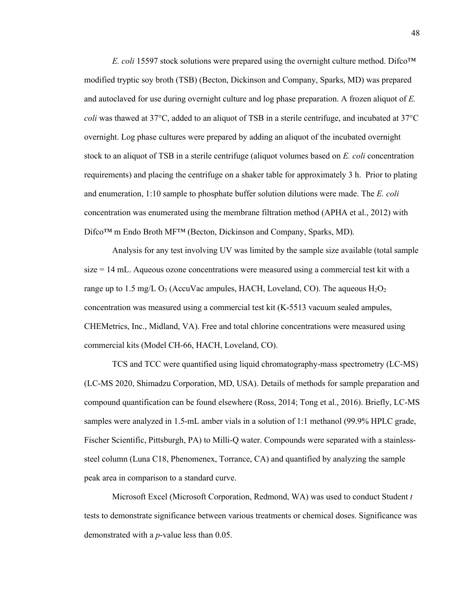*E. coli* 15597 stock solutions were prepared using the overnight culture method. Difco™ modified tryptic soy broth (TSB) (Becton, Dickinson and Company, Sparks, MD) was prepared and autoclaved for use during overnight culture and log phase preparation. A frozen aliquot of *E. coli* was thawed at 37°C, added to an aliquot of TSB in a sterile centrifuge, and incubated at 37°C overnight. Log phase cultures were prepared by adding an aliquot of the incubated overnight stock to an aliquot of TSB in a sterile centrifuge (aliquot volumes based on *E. coli* concentration requirements) and placing the centrifuge on a shaker table for approximately 3 h. Prior to plating and enumeration, 1:10 sample to phosphate buffer solution dilutions were made. The *E. coli* concentration was enumerated using the membrane filtration method (APHA et al., 2012) with Difco™ m Endo Broth MF™ (Becton, Dickinson and Company, Sparks, MD).

Analysis for any test involving UV was limited by the sample size available (total sample size = 14 mL. Aqueous ozone concentrations were measured using a commercial test kit with a range up to 1.5 mg/L O<sub>3</sub> (AccuVac ampules, HACH, Loveland, CO). The aqueous  $H_2O_2$ concentration was measured using a commercial test kit (K-5513 vacuum sealed ampules, CHEMetrics, Inc., Midland, VA). Free and total chlorine concentrations were measured using commercial kits (Model CH-66, HACH, Loveland, CO).

TCS and TCC were quantified using liquid chromatography-mass spectrometry (LC-MS) (LC-MS 2020, Shimadzu Corporation, MD, USA). Details of methods for sample preparation and compound quantification can be found elsewhere (Ross, 2014; Tong et al., 2016). Briefly, LC-MS samples were analyzed in 1.5-mL amber vials in a solution of 1:1 methanol (99.9% HPLC grade, Fischer Scientific, Pittsburgh, PA) to Milli-Q water. Compounds were separated with a stainlesssteel column (Luna C18, Phenomenex, Torrance, CA) and quantified by analyzing the sample peak area in comparison to a standard curve.

Microsoft Excel (Microsoft Corporation, Redmond, WA) was used to conduct Student *t* tests to demonstrate significance between various treatments or chemical doses. Significance was demonstrated with a *p*-value less than 0.05.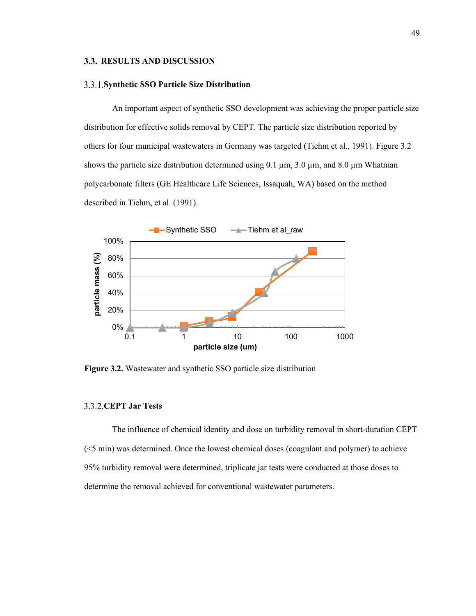# **3.3. RESULTS AND DISCUSSION**

#### **Synthetic SSO Particle Size Distribution**

An important aspect of synthetic SSO development was achieving the proper particle size distribution for effective solids removal by CEPT. The particle size distribution reported by others for four municipal wastewaters in Germany was targeted (Tiehm et al., 1991). Figure 3.2 shows the particle size distribution determined using  $0.1 \mu m$ ,  $3.0 \mu m$ , and  $8.0 \mu m$  Whatman polycarbonate filters (GE Healthcare Life Sciences, Issaquah, WA) based on the method described in Tiehm, et al. (1991).



**Figure 3.2.** Wastewater and synthetic SSO particle size distribution

# **CEPT Jar Tests**

The influence of chemical identity and dose on turbidity removal in short-duration CEPT (<5 min) was determined. Once the lowest chemical doses (coagulant and polymer) to achieve 95% turbidity removal were determined, triplicate jar tests were conducted at those doses to determine the removal achieved for conventional wastewater parameters.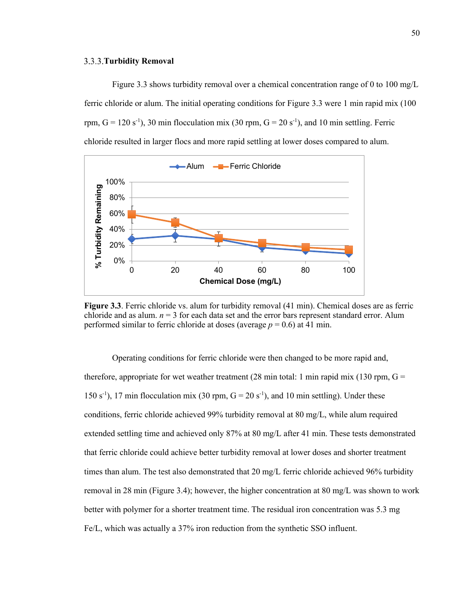#### **Turbidity Removal**

Figure 3.3 shows turbidity removal over a chemical concentration range of 0 to 100 mg/L ferric chloride or alum. The initial operating conditions for Figure 3.3 were 1 min rapid mix (100 rpm,  $G = 120 s^{-1}$ ), 30 min flocculation mix (30 rpm,  $G = 20 s^{-1}$ ), and 10 min settling. Ferric chloride resulted in larger flocs and more rapid settling at lower doses compared to alum.



**Figure 3.3**. Ferric chloride vs. alum for turbidity removal (41 min). Chemical doses are as ferric chloride and as alum.  $n = 3$  for each data set and the error bars represent standard error. Alum performed similar to ferric chloride at doses (average  $p = 0.6$ ) at 41 min.

Operating conditions for ferric chloride were then changed to be more rapid and, therefore, appropriate for wet weather treatment  $(28 \text{ min total}: 1 \text{ min rapid mix } (130 \text{ rpm}, G =$ 150 s<sup>-1</sup>), 17 min flocculation mix (30 rpm,  $G = 20$  s<sup>-1</sup>), and 10 min settling). Under these conditions, ferric chloride achieved 99% turbidity removal at 80 mg/L, while alum required extended settling time and achieved only 87% at 80 mg/L after 41 min. These tests demonstrated that ferric chloride could achieve better turbidity removal at lower doses and shorter treatment times than alum. The test also demonstrated that 20 mg/L ferric chloride achieved 96% turbidity removal in 28 min (Figure 3.4); however, the higher concentration at 80 mg/L was shown to work better with polymer for a shorter treatment time. The residual iron concentration was 5.3 mg Fe/L, which was actually a 37% iron reduction from the synthetic SSO influent.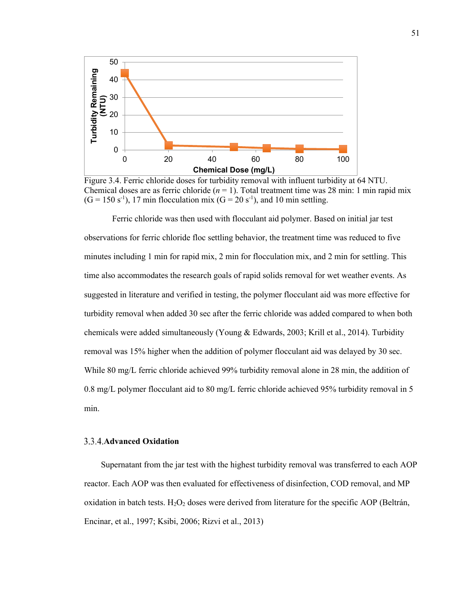

Figure 3.4. Ferric chloride doses for turbidity removal with influent turbidity at 64 NTU. Chemical doses are as ferric chloride  $(n = 1)$ . Total treatment time was 28 min: 1 min rapid mix  $(G = 150 \text{ s}^{-1})$ , 17 min flocculation mix  $(G = 20 \text{ s}^{-1})$ , and 10 min settling.

Ferric chloride was then used with flocculant aid polymer. Based on initial jar test observations for ferric chloride floc settling behavior, the treatment time was reduced to five minutes including 1 min for rapid mix, 2 min for flocculation mix, and 2 min for settling. This time also accommodates the research goals of rapid solids removal for wet weather events. As suggested in literature and verified in testing, the polymer flocculant aid was more effective for turbidity removal when added 30 sec after the ferric chloride was added compared to when both chemicals were added simultaneously (Young & Edwards, 2003; Krill et al., 2014). Turbidity removal was 15% higher when the addition of polymer flocculant aid was delayed by 30 sec. While 80 mg/L ferric chloride achieved 99% turbidity removal alone in 28 min, the addition of 0.8 mg/L polymer flocculant aid to 80 mg/L ferric chloride achieved 95% turbidity removal in 5 min.

# **Advanced Oxidation**

Supernatant from the jar test with the highest turbidity removal was transferred to each AOP reactor. Each AOP was then evaluated for effectiveness of disinfection, COD removal, and MP oxidation in batch tests.  $H_2O_2$  doses were derived from literature for the specific AOP (Beltrán, Encinar, et al., 1997; Ksibi, 2006; Rizvi et al., 2013)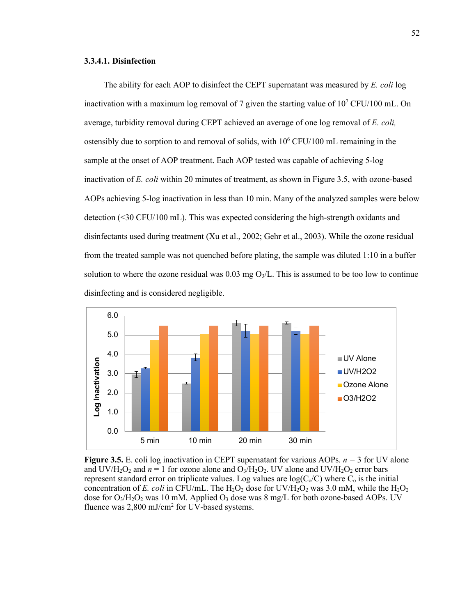### **3.3.4.1. Disinfection**

The ability for each AOP to disinfect the CEPT supernatant was measured by *E. coli* log inactivation with a maximum log removal of 7 given the starting value of  $10^7$  CFU/100 mL. On average, turbidity removal during CEPT achieved an average of one log removal of *E. coli,* ostensibly due to sorption to and removal of solids, with  $10^6$  CFU/100 mL remaining in the sample at the onset of AOP treatment. Each AOP tested was capable of achieving 5-log inactivation of *E. coli* within 20 minutes of treatment, as shown in Figure 3.5, with ozone-based AOPs achieving 5-log inactivation in less than 10 min. Many of the analyzed samples were below detection (<30 CFU/100 mL). This was expected considering the high-strength oxidants and disinfectants used during treatment (Xu et al., 2002; Gehr et al., 2003). While the ozone residual from the treated sample was not quenched before plating, the sample was diluted 1:10 in a buffer solution to where the ozone residual was  $0.03 \text{ mg O}_3/\text{L}$ . This is assumed to be too low to continue disinfecting and is considered negligible.



**Figure 3.5.** E. coli log inactivation in CEPT supernatant for various AOPs. *n =* 3 for UV alone and UV/H<sub>2</sub>O<sub>2</sub> and  $n = 1$  for ozone alone and O<sub>3</sub>/H<sub>2</sub>O<sub>2</sub>. UV alone and UV/H<sub>2</sub>O<sub>2</sub> error bars represent standard error on triplicate values. Log values are  $log(C_0/C)$  where  $C_0$  is the initial concentration of *E. coli* in CFU/mL. The  $H_2O_2$  dose for UV/ $H_2O_2$  was 3.0 mM, while the  $H_2O_2$ dose for  $O_3/H_2O_2$  was 10 mM. Applied  $O_3$  dose was 8 mg/L for both ozone-based AOPs. UV fluence was 2,800 mJ/cm<sup>2</sup> for UV-based systems.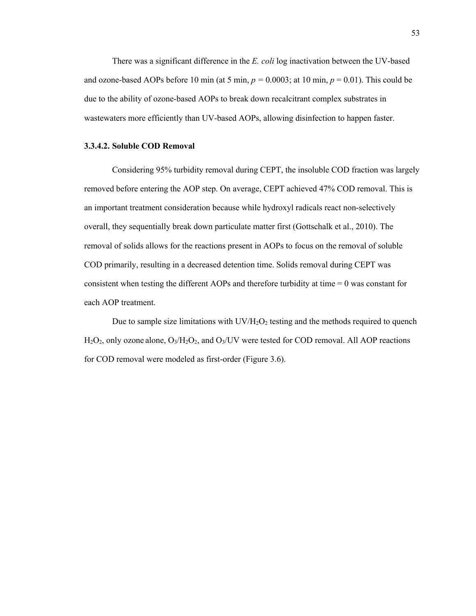There was a significant difference in the *E. coli* log inactivation between the UV-based and ozone-based AOPs before 10 min (at 5 min,  $p = 0.0003$ ; at 10 min,  $p = 0.01$ ). This could be due to the ability of ozone-based AOPs to break down recalcitrant complex substrates in wastewaters more efficiently than UV-based AOPs, allowing disinfection to happen faster.

#### **3.3.4.2. Soluble COD Removal**

Considering 95% turbidity removal during CEPT, the insoluble COD fraction was largely removed before entering the AOP step. On average, CEPT achieved 47% COD removal. This is an important treatment consideration because while hydroxyl radicals react non-selectively overall, they sequentially break down particulate matter first (Gottschalk et al., 2010). The removal of solids allows for the reactions present in AOPs to focus on the removal of soluble COD primarily, resulting in a decreased detention time. Solids removal during CEPT was consistent when testing the different AOPs and therefore turbidity at time  $= 0$  was constant for each AOP treatment.

Due to sample size limitations with  $UV/H_2O_2$  testing and the methods required to quench  $H_2O_2$ , only ozone alone,  $O_3/H_2O_2$ , and  $O_3/UV$  were tested for COD removal. All AOP reactions for COD removal were modeled as first-order (Figure 3.6).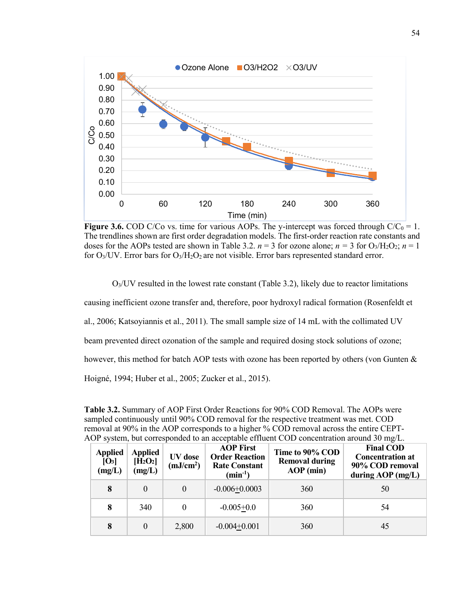

**Figure 3.6.** COD C/Co vs. time for various AOPs. The y-intercept was forced through  $C/C_0 = 1$ . The trendlines shown are first order degradation models. The first-order reaction rate constants and doses for the AOPs tested are shown in Table 3.2.  $n = 3$  for ozone alone;  $n = 3$  for  $O_3/H_2O_2$ ;  $n = 1$ for  $O_3$ /UV. Error bars for  $O_3$ /H<sub>2</sub>O<sub>2</sub> are not visible. Error bars represented standard error.

 $O<sub>3</sub>/UV$  resulted in the lowest rate constant (Table 3.2), likely due to reactor limitations causing inefficient ozone transfer and, therefore, poor hydroxyl radical formation (Rosenfeldt et al., 2006; Katsoyiannis et al., 2011). The small sample size of 14 mL with the collimated UV beam prevented direct ozonation of the sample and required dosing stock solutions of ozone; however, this method for batch AOP tests with ozone has been reported by others (von Gunten & Hoigné, 1994; Huber et al., 2005; Zucker et al., 2015).

**Table 3.2.** Summary of AOP First Order Reactions for 90% COD Removal. The AOPs were sampled continuously until 90% COD removal for the respective treatment was met. COD removal at 90% in the AOP corresponds to a higher % COD removal across the entire CEPT-AOP system, but corresponded to an acceptable effluent COD concentration around 30 mg/L.

| <b>Applied</b><br>[ <b>O</b> <sub>3</sub> ]<br>(mg/L) | <b>Applied</b><br>$[H_2O_2]$<br>(mg/L) | UV dose<br>(mJ/cm <sup>2</sup> ) | <b>AOP First</b><br><b>Order Reaction</b><br><b>Rate Constant</b><br>$(min^{-1})$ | Time to 90% COD<br><b>Removal during</b><br>$AOP$ (min) | <b>Final COD</b><br><b>Concentration at</b><br>90% COD removal<br>during $AOP$ (mg/L) |
|-------------------------------------------------------|----------------------------------------|----------------------------------|-----------------------------------------------------------------------------------|---------------------------------------------------------|---------------------------------------------------------------------------------------|
| 8                                                     | $\Omega$                               | $\Omega$                         | $-0.006 + 0.0003$                                                                 | 360                                                     | 50                                                                                    |
| 8                                                     | 340                                    |                                  | $-0.005+0.0$                                                                      | 360                                                     | 54                                                                                    |
| 8                                                     | $\theta$                               | 2,800                            | $-0.004 + 0.001$                                                                  | 360                                                     | 45                                                                                    |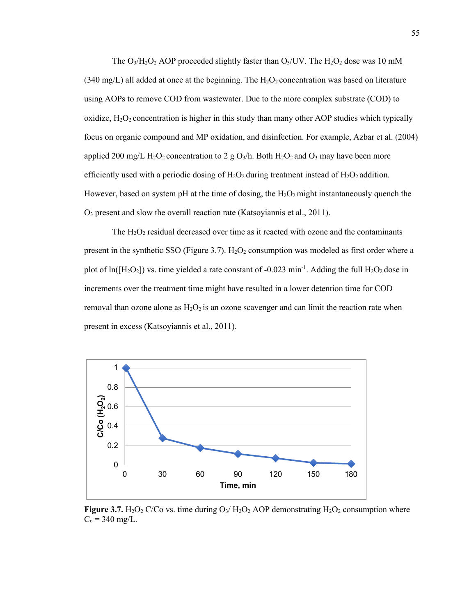The  $O_3/H_2O_2$  AOP proceeded slightly faster than  $O_3$ /UV. The  $H_2O_2$  dose was 10 mM (340 mg/L) all added at once at the beginning. The  $H_2O_2$  concentration was based on literature using AOPs to remove COD from wastewater. Due to the more complex substrate (COD) to oxidize,  $H_2O_2$  concentration is higher in this study than many other AOP studies which typically focus on organic compound and MP oxidation, and disinfection. For example, Azbar et al. (2004) applied 200 mg/L H<sub>2</sub>O<sub>2</sub> concentration to 2 g O<sub>3</sub>/h. Both H<sub>2</sub>O<sub>2</sub> and O<sub>3</sub> may have been more efficiently used with a periodic dosing of  $H_2O_2$  during treatment instead of  $H_2O_2$  addition. However, based on system pH at the time of dosing, the  $H_2O_2$  might instantaneously quench the O3 present and slow the overall reaction rate (Katsoyiannis et al., 2011).

The  $H_2O_2$  residual decreased over time as it reacted with ozone and the contaminants present in the synthetic SSO (Figure 3.7).  $H_2O_2$  consumption was modeled as first order where a plot of  $ln([H_2O_2])$  vs. time yielded a rate constant of -0.023 min<sup>-1</sup>. Adding the full  $H_2O_2$  dose in increments over the treatment time might have resulted in a lower detention time for COD removal than ozone alone as  $H_2O_2$  is an ozone scavenger and can limit the reaction rate when present in excess (Katsoyiannis et al., 2011).



**Figure 3.7.** H<sub>2</sub>O<sub>2</sub> C/Co vs. time during  $O_3$ / H<sub>2</sub>O<sub>2</sub> AOP demonstrating H<sub>2</sub>O<sub>2</sub> consumption where  $C_0 = 340$  mg/L.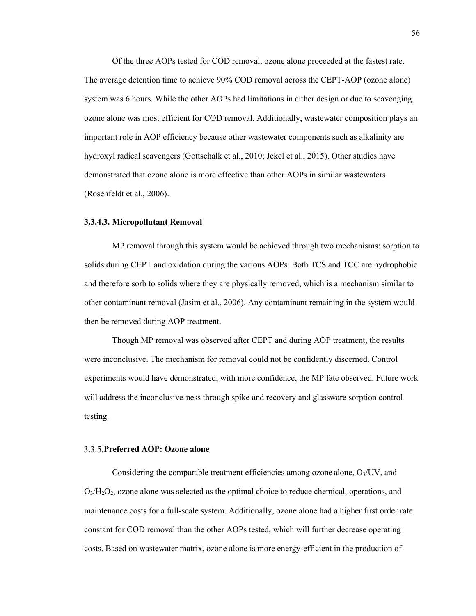Of the three AOPs tested for COD removal, ozone alone proceeded at the fastest rate. The average detention time to achieve 90% COD removal across the CEPT-AOP (ozone alone) system was 6 hours. While the other AOPs had limitations in either design or due to scavenging, ozone alone was most efficient for COD removal. Additionally, wastewater composition plays an important role in AOP efficiency because other wastewater components such as alkalinity are hydroxyl radical scavengers (Gottschalk et al., 2010; Jekel et al., 2015). Other studies have demonstrated that ozone alone is more effective than other AOPs in similar wastewaters (Rosenfeldt et al., 2006).

#### **3.3.4.3. Micropollutant Removal**

MP removal through this system would be achieved through two mechanisms: sorption to solids during CEPT and oxidation during the various AOPs. Both TCS and TCC are hydrophobic and therefore sorb to solids where they are physically removed, which is a mechanism similar to other contaminant removal (Jasim et al., 2006). Any contaminant remaining in the system would then be removed during AOP treatment.

Though MP removal was observed after CEPT and during AOP treatment, the results were inconclusive. The mechanism for removal could not be confidently discerned. Control experiments would have demonstrated, with more confidence, the MP fate observed. Future work will address the inconclusive-ness through spike and recovery and glassware sorption control testing.

# **Preferred AOP: Ozone alone**

Considering the comparable treatment efficiencies among ozone alone,  $O<sub>3</sub>/UV$ , and O3/H2O2, ozone alone was selected as the optimal choice to reduce chemical, operations, and maintenance costs for a full-scale system. Additionally, ozone alone had a higher first order rate constant for COD removal than the other AOPs tested, which will further decrease operating costs. Based on wastewater matrix, ozone alone is more energy-efficient in the production of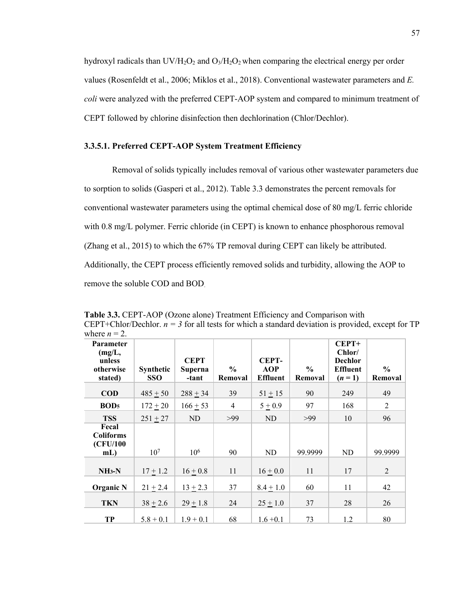hydroxyl radicals than  $UV/H_2O_2$  and  $O_3/H_2O_2$  when comparing the electrical energy per order values (Rosenfeldt et al., 2006; Miklos et al., 2018). Conventional wastewater parameters and *E. coli* were analyzed with the preferred CEPT-AOP system and compared to minimum treatment of CEPT followed by chlorine disinfection then dechlorination (Chlor/Dechlor).

# **3.3.5.1. Preferred CEPT-AOP System Treatment Efficiency**

Removal of solids typically includes removal of various other wastewater parameters due to sorption to solids (Gasperi et al., 2012). Table 3.3 demonstrates the percent removals for conventional wastewater parameters using the optimal chemical dose of 80 mg/L ferric chloride with 0.8 mg/L polymer. Ferric chloride (in CEPT) is known to enhance phosphorous removal (Zhang et al., 2015) to which the 67% TP removal during CEPT can likely be attributed. Additionally, the CEPT process efficiently removed solids and turbidity, allowing the AOP to remove the soluble COD and BOD.

**Table 3.3.** CEPT-AOP (Ozone alone) Treatment Efficiency and Comparison with CEPT+Chlor/Dechlor.  $n = 3$  for all tests for which a standard deviation is provided, except for TP where  $n = 2$ .

| <b>Parameter</b><br>(mg/L,<br>unless<br>otherwise<br>stated) | <b>Synthetic</b><br><b>SSO</b> | <b>CEPT</b><br>Superna<br>-tant | $\frac{0}{0}$<br>Removal | <b>CEPT-</b><br><b>AOP</b><br><b>Effluent</b> | $\frac{0}{0}$<br>Removal | $CEPT+$<br>Chlor/<br><b>Dechlor</b><br><b>Effluent</b><br>$(n = 1)$ | $\frac{0}{0}$<br>Removal |
|--------------------------------------------------------------|--------------------------------|---------------------------------|--------------------------|-----------------------------------------------|--------------------------|---------------------------------------------------------------------|--------------------------|
| <b>COD</b>                                                   | $485 + 50$                     | $288 + 34$                      | 39                       | $51 + 15$                                     | 90                       | 249                                                                 | 49                       |
| BOD <sub>5</sub>                                             | $172 \pm 20$                   | $166 + 53$                      | $\overline{4}$           | $5 + 0.9$                                     | 97                       | 168                                                                 | $\overline{2}$           |
| <b>TSS</b>                                                   | $251 + 27$                     | ND                              | >99                      | ND                                            | >99                      | 10                                                                  | 96                       |
| Fecal<br><b>Coliforms</b><br>(CFU/100<br>$mL$ )              | 10 <sup>7</sup>                | $10^{6}$                        | 90                       | <b>ND</b>                                     | 99.9999                  | <b>ND</b>                                                           | 99.9999                  |
| $NH3-N$                                                      | $17 + 1.2$                     | $16 + 0.8$                      | 11                       | $16 \pm 0.0$                                  | 11                       | 17                                                                  | $\overline{2}$           |
| <b>Organic N</b>                                             | $21 \pm 2.4$                   | $13 + 2.3$                      | 37                       | $8.4 \pm 1.0$                                 | 60                       | 11                                                                  | 42                       |
| <b>TKN</b>                                                   | $38 + 2.6$                     | $29 + 1.8$                      | 24                       | $25 \pm 1.0$                                  | 37                       | 28                                                                  | 26                       |
| TP                                                           | $5.8 + 0.1$                    | $1.9 + 0.1$                     | 68                       | $1.6 + 0.1$                                   | 73                       | 1.2                                                                 | 80                       |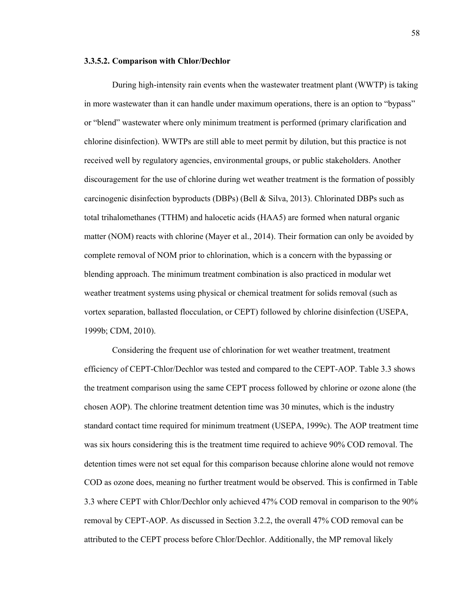#### **3.3.5.2. Comparison with Chlor/Dechlor**

During high-intensity rain events when the wastewater treatment plant (WWTP) is taking in more wastewater than it can handle under maximum operations, there is an option to "bypass" or "blend" wastewater where only minimum treatment is performed (primary clarification and chlorine disinfection). WWTPs are still able to meet permit by dilution, but this practice is not received well by regulatory agencies, environmental groups, or public stakeholders. Another discouragement for the use of chlorine during wet weather treatment is the formation of possibly carcinogenic disinfection byproducts (DBPs) (Bell & Silva, 2013). Chlorinated DBPs such as total trihalomethanes (TTHM) and halocetic acids (HAA5) are formed when natural organic matter (NOM) reacts with chlorine (Mayer et al., 2014). Their formation can only be avoided by complete removal of NOM prior to chlorination, which is a concern with the bypassing or blending approach. The minimum treatment combination is also practiced in modular wet weather treatment systems using physical or chemical treatment for solids removal (such as vortex separation, ballasted flocculation, or CEPT) followed by chlorine disinfection (USEPA, 1999b; CDM, 2010).

Considering the frequent use of chlorination for wet weather treatment, treatment efficiency of CEPT-Chlor/Dechlor was tested and compared to the CEPT-AOP. Table 3.3 shows the treatment comparison using the same CEPT process followed by chlorine or ozone alone (the chosen AOP). The chlorine treatment detention time was 30 minutes, which is the industry standard contact time required for minimum treatment (USEPA, 1999c). The AOP treatment time was six hours considering this is the treatment time required to achieve 90% COD removal. The detention times were not set equal for this comparison because chlorine alone would not remove COD as ozone does, meaning no further treatment would be observed. This is confirmed in Table 3.3 where CEPT with Chlor/Dechlor only achieved 47% COD removal in comparison to the 90% removal by CEPT-AOP. As discussed in Section 3.2.2, the overall 47% COD removal can be attributed to the CEPT process before Chlor/Dechlor. Additionally, the MP removal likely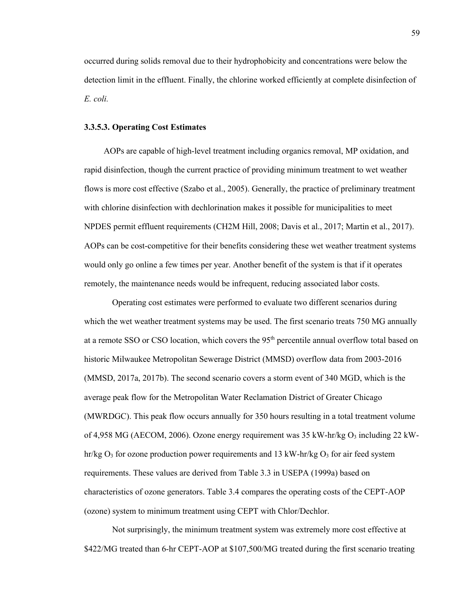occurred during solids removal due to their hydrophobicity and concentrations were below the detection limit in the effluent. Finally, the chlorine worked efficiently at complete disinfection of *E. coli.* 

## **3.3.5.3. Operating Cost Estimates**

AOPs are capable of high-level treatment including organics removal, MP oxidation, and rapid disinfection, though the current practice of providing minimum treatment to wet weather flows is more cost effective (Szabo et al., 2005). Generally, the practice of preliminary treatment with chlorine disinfection with dechlorination makes it possible for municipalities to meet NPDES permit effluent requirements (CH2M Hill, 2008; Davis et al., 2017; Martin et al., 2017). AOPs can be cost-competitive for their benefits considering these wet weather treatment systems would only go online a few times per year. Another benefit of the system is that if it operates remotely, the maintenance needs would be infrequent, reducing associated labor costs.

Operating cost estimates were performed to evaluate two different scenarios during which the wet weather treatment systems may be used. The first scenario treats 750 MG annually at a remote SSO or CSO location, which covers the 95<sup>th</sup> percentile annual overflow total based on historic Milwaukee Metropolitan Sewerage District (MMSD) overflow data from 2003-2016 (MMSD, 2017a, 2017b). The second scenario covers a storm event of 340 MGD, which is the average peak flow for the Metropolitan Water Reclamation District of Greater Chicago (MWRDGC). This peak flow occurs annually for 350 hours resulting in a total treatment volume of 4,958 MG (AECOM, 2006). Ozone energy requirement was  $35 \text{ kW-hr/kg O}_3$  including  $22 \text{ kW}$ hr/kg  $O_3$  for ozone production power requirements and 13 kW-hr/kg  $O_3$  for air feed system requirements. These values are derived from Table 3.3 in USEPA (1999a) based on characteristics of ozone generators. Table 3.4 compares the operating costs of the CEPT-AOP (ozone) system to minimum treatment using CEPT with Chlor/Dechlor.

Not surprisingly, the minimum treatment system was extremely more cost effective at \$422/MG treated than 6-hr CEPT-AOP at \$107,500/MG treated during the first scenario treating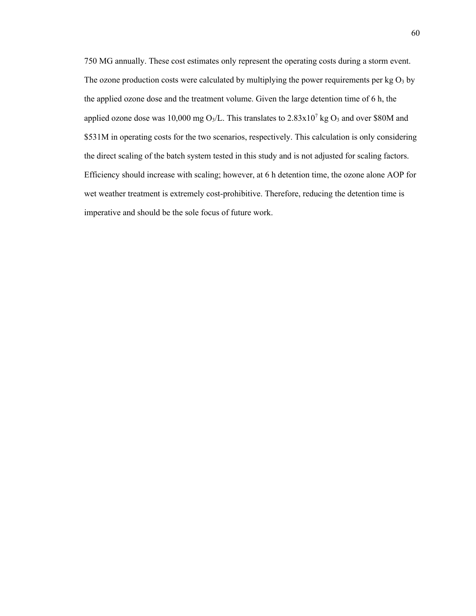750 MG annually. These cost estimates only represent the operating costs during a storm event. The ozone production costs were calculated by multiplying the power requirements per  $kg O<sub>3</sub>$  by the applied ozone dose and the treatment volume. Given the large detention time of 6 h, the applied ozone dose was 10,000 mg O<sub>3</sub>/L. This translates to  $2.83 \times 10^7$  kg O<sub>3</sub> and over \$80M and \$531M in operating costs for the two scenarios, respectively. This calculation is only considering the direct scaling of the batch system tested in this study and is not adjusted for scaling factors. Efficiency should increase with scaling; however, at 6 h detention time, the ozone alone AOP for wet weather treatment is extremely cost-prohibitive. Therefore, reducing the detention time is imperative and should be the sole focus of future work.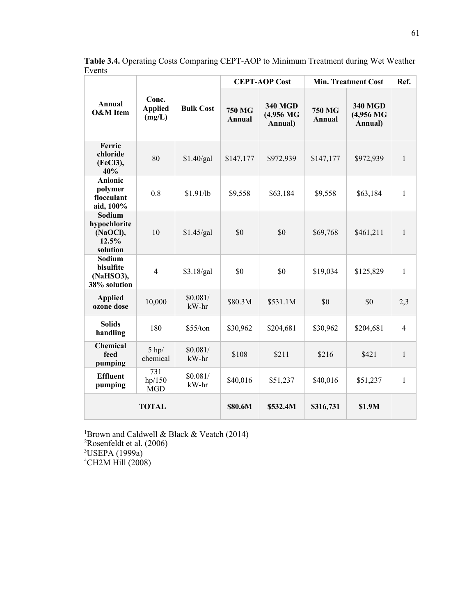|                                                         | Conc.<br><b>Applied</b><br>(mg/L) | <b>Bulk Cost</b>  | <b>CEPT-AOP Cost</b>    |                                        | <b>Min. Treatment Cost</b> |                                        | Ref.           |
|---------------------------------------------------------|-----------------------------------|-------------------|-------------------------|----------------------------------------|----------------------------|----------------------------------------|----------------|
| Annual<br><b>O&amp;M</b> Item                           |                                   |                   | <b>750 MG</b><br>Annual | <b>340 MGD</b><br>(4,956 MG<br>Annual) | <b>750 MG</b><br>Annual    | <b>340 MGD</b><br>(4,956 MG<br>Annual) |                |
| Ferric<br>chloride<br>(FeCl3),<br>40%                   | 80                                | \$1.40/gal        | \$147,177               | \$972,939                              | \$147,177                  | \$972,939                              | $\mathbf{1}$   |
| <b>Anionic</b><br>polymer<br>flocculant<br>aid, 100%    | 0.8                               | \$1.91/lb         | \$9,558                 | \$63,184                               | \$9,558                    | \$63,184                               | $\mathbf{1}$   |
| Sodium<br>hypochlorite<br>(NaOCl),<br>12.5%<br>solution | 10                                | \$1.45/gal        | \$0                     | \$0                                    | \$69,768                   | \$461,211                              | $\mathbf{1}$   |
| Sodium<br>bisulfite<br>(NaHSO3),<br>38% solution        | $\overline{4}$                    | \$3.18/gal        | \$0                     | \$0                                    | \$19,034                   | \$125,829                              | $\mathbf{1}$   |
| <b>Applied</b><br>ozone dose                            | 10,000                            | \$0.081/<br>kW-hr | \$80.3M                 | \$531.1M                               | \$0                        | \$0                                    | 2,3            |
| <b>Solids</b><br>handling                               | 180                               | \$55/ton          | \$30,962                | \$204,681                              | \$30,962                   | \$204,681                              | $\overline{4}$ |
| <b>Chemical</b><br>feed<br>pumping                      | $5$ hp/<br>chemical               | \$0.081/<br>kW-hr | \$108                   | \$211                                  | \$216                      | \$421                                  | $\mathbf{1}$   |
| <b>Effluent</b><br>pumping                              | 731<br>hp/150<br><b>MGD</b>       | \$0.081/<br>kW-hr | \$40,016                | \$51,237                               | \$40,016                   | \$51,237                               | $\mathbf{1}$   |
| <b>TOTAL</b>                                            |                                   |                   | \$80.6M                 | \$532.4M                               | \$316,731                  | \$1.9M                                 |                |

**Table 3.4.** Operating Costs Comparing CEPT-AOP to Minimum Treatment during Wet Weather Events

<sup>1</sup>Brown and Caldwell & Black & Veatch (2014)<sup>2</sup>Rosenfeldt et al. (2006) <sup>3</sup>USEPA (1999a)<br><sup>4</sup>CH2M Hill (2008)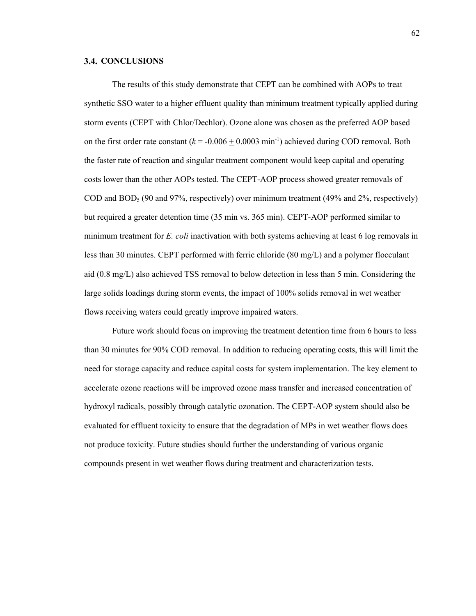## **3.4. CONCLUSIONS**

The results of this study demonstrate that CEPT can be combined with AOPs to treat synthetic SSO water to a higher effluent quality than minimum treatment typically applied during storm events (CEPT with Chlor/Dechlor). Ozone alone was chosen as the preferred AOP based on the first order rate constant  $(k = -0.006 \pm 0.0003 \text{ min}^{-1})$  achieved during COD removal. Both the faster rate of reaction and singular treatment component would keep capital and operating costs lower than the other AOPs tested. The CEPT-AOP process showed greater removals of COD and  $BOD_5$  (90 and 97%, respectively) over minimum treatment (49% and 2%, respectively) but required a greater detention time (35 min vs. 365 min). CEPT-AOP performed similar to minimum treatment for *E. coli* inactivation with both systems achieving at least 6 log removals in less than 30 minutes. CEPT performed with ferric chloride (80 mg/L) and a polymer flocculant aid (0.8 mg/L) also achieved TSS removal to below detection in less than 5 min. Considering the large solids loadings during storm events, the impact of 100% solids removal in wet weather flows receiving waters could greatly improve impaired waters.

Future work should focus on improving the treatment detention time from 6 hours to less than 30 minutes for 90% COD removal. In addition to reducing operating costs, this will limit the need for storage capacity and reduce capital costs for system implementation. The key element to accelerate ozone reactions will be improved ozone mass transfer and increased concentration of hydroxyl radicals, possibly through catalytic ozonation. The CEPT-AOP system should also be evaluated for effluent toxicity to ensure that the degradation of MPs in wet weather flows does not produce toxicity. Future studies should further the understanding of various organic compounds present in wet weather flows during treatment and characterization tests.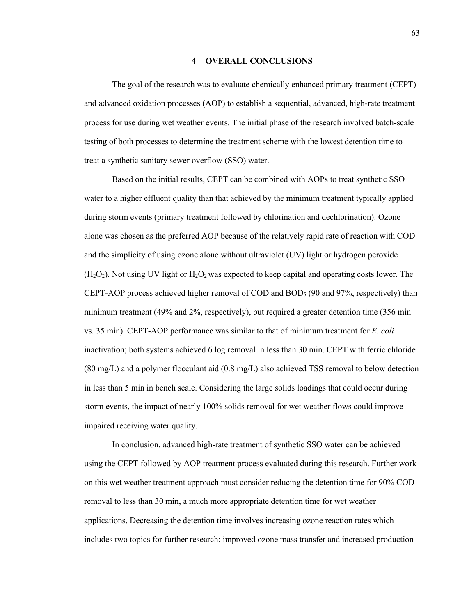## **4 OVERALL CONCLUSIONS**

The goal of the research was to evaluate chemically enhanced primary treatment (CEPT) and advanced oxidation processes (AOP) to establish a sequential, advanced, high-rate treatment process for use during wet weather events. The initial phase of the research involved batch-scale testing of both processes to determine the treatment scheme with the lowest detention time to treat a synthetic sanitary sewer overflow (SSO) water.

Based on the initial results, CEPT can be combined with AOPs to treat synthetic SSO water to a higher effluent quality than that achieved by the minimum treatment typically applied during storm events (primary treatment followed by chlorination and dechlorination). Ozone alone was chosen as the preferred AOP because of the relatively rapid rate of reaction with COD and the simplicity of using ozone alone without ultraviolet (UV) light or hydrogen peroxide  $(H<sub>2</sub>O<sub>2</sub>)$ . Not using UV light or  $H<sub>2</sub>O<sub>2</sub>$  was expected to keep capital and operating costs lower. The CEPT-AOP process achieved higher removal of COD and BOD5 (90 and 97%, respectively) than minimum treatment (49% and 2%, respectively), but required a greater detention time (356 min vs. 35 min). CEPT-AOP performance was similar to that of minimum treatment for *E. coli* inactivation; both systems achieved 6 log removal in less than 30 min. CEPT with ferric chloride (80 mg/L) and a polymer flocculant aid (0.8 mg/L) also achieved TSS removal to below detection in less than 5 min in bench scale. Considering the large solids loadings that could occur during storm events, the impact of nearly 100% solids removal for wet weather flows could improve impaired receiving water quality.

In conclusion, advanced high-rate treatment of synthetic SSO water can be achieved using the CEPT followed by AOP treatment process evaluated during this research. Further work on this wet weather treatment approach must consider reducing the detention time for 90% COD removal to less than 30 min, a much more appropriate detention time for wet weather applications. Decreasing the detention time involves increasing ozone reaction rates which includes two topics for further research: improved ozone mass transfer and increased production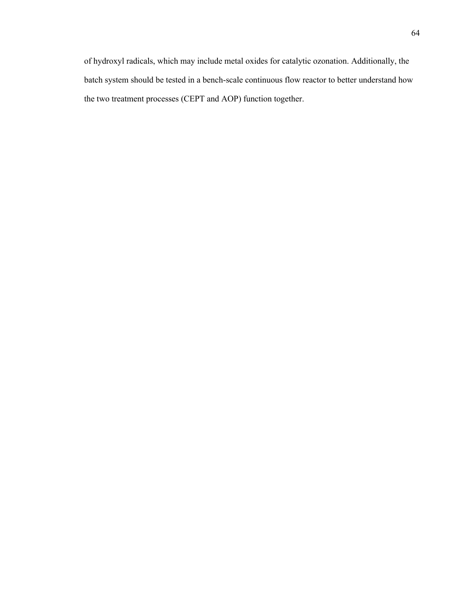of hydroxyl radicals, which may include metal oxides for catalytic ozonation. Additionally, the batch system should be tested in a bench-scale continuous flow reactor to better understand how the two treatment processes (CEPT and AOP) function together.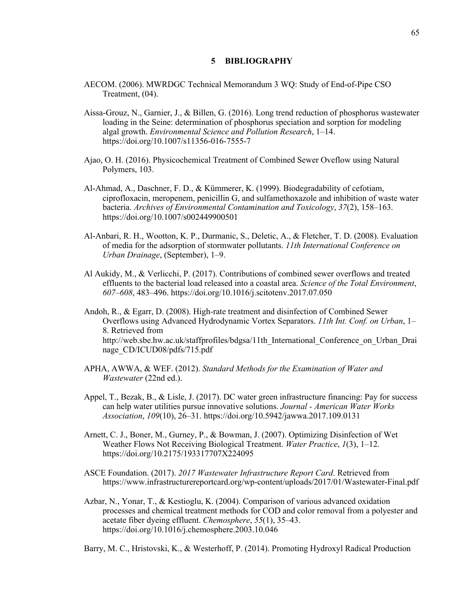## **5 BIBLIOGRAPHY**

- AECOM. (2006). MWRDGC Technical Memorandum 3 WQ: Study of End-of-Pipe CSO Treatment, (04).
- Aissa-Grouz, N., Garnier, J., & Billen, G. (2016). Long trend reduction of phosphorus wastewater loading in the Seine: determination of phosphorus speciation and sorption for modeling algal growth. *Environmental Science and Pollution Research*, 1–14. https://doi.org/10.1007/s11356-016-7555-7
- Ajao, O. H. (2016). Physicochemical Treatment of Combined Sewer Oveflow using Natural Polymers, 103.
- Al-Ahmad, A., Daschner, F. D., & Kümmerer, K. (1999). Biodegradability of cefotiam, ciprofloxacin, meropenem, penicillin G, and sulfamethoxazole and inhibition of waste water bacteria. *Archives of Environmental Contamination and Toxicology*, *37*(2), 158–163. https://doi.org/10.1007/s002449900501
- Al-Anbari, R. H., Wootton, K. P., Durmanic, S., Deletic, A., & Fletcher, T. D. (2008). Evaluation of media for the adsorption of stormwater pollutants. *11th International Conference on Urban Drainage*, (September), 1–9.
- Al Aukidy, M., & Verlicchi, P. (2017). Contributions of combined sewer overflows and treated effluents to the bacterial load released into a coastal area. *Science of the Total Environment*, *607*–*608*, 483–496. https://doi.org/10.1016/j.scitotenv.2017.07.050
- Andoh, R., & Egarr, D. (2008). High-rate treatment and disinfection of Combined Sewer Overflows using Advanced Hydrodynamic Vortex Separators. *11th Int. Conf. on Urban*, 1– 8. Retrieved from http://web.sbe.hw.ac.uk/staffprofiles/bdgsa/11th\_International\_Conference\_on\_Urban\_Drai nage\_CD/ICUD08/pdfs/715.pdf
- APHA, AWWA, & WEF. (2012). *Standard Methods for the Examination of Water and Wastewater* (22nd ed.).
- Appel, T., Bezak, B., & Lisle, J. (2017). DC water green infrastructure financing: Pay for success can help water utilities pursue innovative solutions. *Journal - American Water Works Association*, *109*(10), 26–31. https://doi.org/10.5942/jawwa.2017.109.0131
- Arnett, C. J., Boner, M., Gurney, P., & Bowman, J. (2007). Optimizing Disinfection of Wet Weather Flows Not Receiving Biological Treatment. *Water Practice*, *1*(3), 1–12. https://doi.org/10.2175/193317707X224095
- ASCE Foundation. (2017). *2017 Wastewater Infrastructure Report Card*. Retrieved from https://www.infrastructurereportcard.org/wp-content/uploads/2017/01/Wastewater-Final.pdf
- Azbar, N., Yonar, T., & Kestioglu, K. (2004). Comparison of various advanced oxidation processes and chemical treatment methods for COD and color removal from a polyester and acetate fiber dyeing effluent. *Chemosphere*, *55*(1), 35–43. https://doi.org/10.1016/j.chemosphere.2003.10.046

Barry, M. C., Hristovski, K., & Westerhoff, P. (2014). Promoting Hydroxyl Radical Production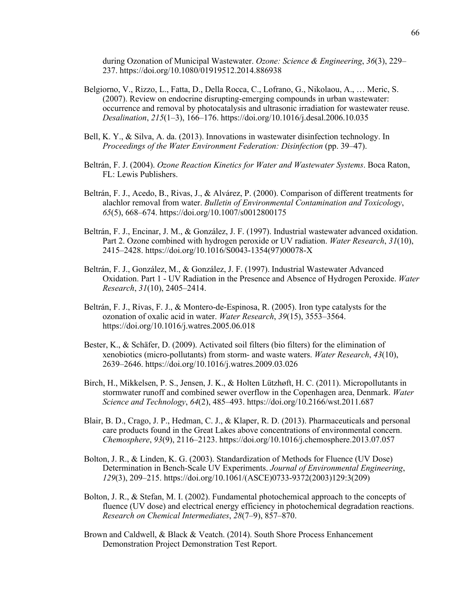during Ozonation of Municipal Wastewater. *Ozone: Science & Engineering*, *36*(3), 229– 237. https://doi.org/10.1080/01919512.2014.886938

- Belgiorno, V., Rizzo, L., Fatta, D., Della Rocca, C., Lofrano, G., Nikolaou, A., … Meric, S. (2007). Review on endocrine disrupting-emerging compounds in urban wastewater: occurrence and removal by photocatalysis and ultrasonic irradiation for wastewater reuse. *Desalination*, *215*(1–3), 166–176. https://doi.org/10.1016/j.desal.2006.10.035
- Bell, K. Y., & Silva, A. da. (2013). Innovations in wastewater disinfection technology. In *Proceedings of the Water Environment Federation: Disinfection* (pp. 39–47).
- Beltrán, F. J. (2004). *Ozone Reaction Kinetics for Water and Wastewater Systems*. Boca Raton, FL: Lewis Publishers.
- Beltrán, F. J., Acedo, B., Rivas, J., & Alvárez, P. (2000). Comparison of different treatments for alachlor removal from water. *Bulletin of Environmental Contamination and Toxicology*, *65*(5), 668–674. https://doi.org/10.1007/s0012800175
- Beltrán, F. J., Encinar, J. M., & González, J. F. (1997). Industrial wastewater advanced oxidation. Part 2. Ozone combined with hydrogen peroxide or UV radiation. *Water Research*, *31*(10), 2415–2428. https://doi.org/10.1016/S0043-1354(97)00078-X
- Beltrán, F. J., González, M., & González, J. F. (1997). Industrial Wastewater Advanced Oxidation. Part 1 - UV Radiation in the Presence and Absence of Hydrogen Peroxide. *Water Research*, *31*(10), 2405–2414.
- Beltrán, F. J., Rivas, F. J., & Montero-de-Espinosa, R. (2005). Iron type catalysts for the ozonation of oxalic acid in water. *Water Research*, *39*(15), 3553–3564. https://doi.org/10.1016/j.watres.2005.06.018
- Bester, K., & Schäfer, D. (2009). Activated soil filters (bio filters) for the elimination of xenobiotics (micro-pollutants) from storm- and waste waters. *Water Research*, *43*(10), 2639–2646. https://doi.org/10.1016/j.watres.2009.03.026
- Birch, H., Mikkelsen, P. S., Jensen, J. K., & Holten Lützhøft, H. C. (2011). Micropollutants in stormwater runoff and combined sewer overflow in the Copenhagen area, Denmark. *Water Science and Technology*, *64*(2), 485–493. https://doi.org/10.2166/wst.2011.687
- Blair, B. D., Crago, J. P., Hedman, C. J., & Klaper, R. D. (2013). Pharmaceuticals and personal care products found in the Great Lakes above concentrations of environmental concern. *Chemosphere*, *93*(9), 2116–2123. https://doi.org/10.1016/j.chemosphere.2013.07.057
- Bolton, J. R., & Linden, K. G. (2003). Standardization of Methods for Fluence (UV Dose) Determination in Bench-Scale UV Experiments. *Journal of Environmental Engineering*, *129*(3), 209–215. https://doi.org/10.1061/(ASCE)0733-9372(2003)129:3(209)
- Bolton, J. R., & Stefan, M. I. (2002). Fundamental photochemical approach to the concepts of fluence (UV dose) and electrical energy efficiency in photochemical degradation reactions. *Research on Chemical Intermediates*, *28*(7–9), 857–870.
- Brown and Caldwell, & Black & Veatch. (2014). South Shore Process Enhancement Demonstration Project Demonstration Test Report.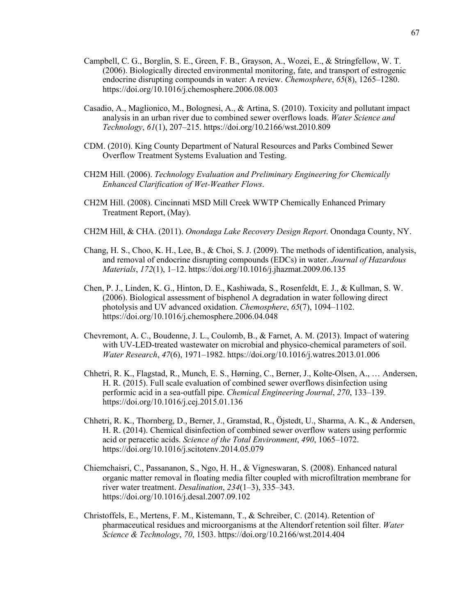- Campbell, C. G., Borglin, S. E., Green, F. B., Grayson, A., Wozei, E., & Stringfellow, W. T. (2006). Biologically directed environmental monitoring, fate, and transport of estrogenic endocrine disrupting compounds in water: A review. *Chemosphere*, *65*(8), 1265–1280. https://doi.org/10.1016/j.chemosphere.2006.08.003
- Casadio, A., Maglionico, M., Bolognesi, A., & Artina, S. (2010). Toxicity and pollutant impact analysis in an urban river due to combined sewer overflows loads. *Water Science and Technology*, *61*(1), 207–215. https://doi.org/10.2166/wst.2010.809
- CDM. (2010). King County Department of Natural Resources and Parks Combined Sewer Overflow Treatment Systems Evaluation and Testing.
- CH2M Hill. (2006). *Technology Evaluation and Preliminary Engineering for Chemically Enhanced Clarification of Wet-Weather Flows*.
- CH2M Hill. (2008). Cincinnati MSD Mill Creek WWTP Chemically Enhanced Primary Treatment Report, (May).
- CH2M Hill, & CHA. (2011). *Onondaga Lake Recovery Design Report*. Onondaga County, NY.
- Chang, H. S., Choo, K. H., Lee, B., & Choi, S. J. (2009). The methods of identification, analysis, and removal of endocrine disrupting compounds (EDCs) in water. *Journal of Hazardous Materials*, *172*(1), 1–12. https://doi.org/10.1016/j.jhazmat.2009.06.135
- Chen, P. J., Linden, K. G., Hinton, D. E., Kashiwada, S., Rosenfeldt, E. J., & Kullman, S. W. (2006). Biological assessment of bisphenol A degradation in water following direct photolysis and UV advanced oxidation. *Chemosphere*, *65*(7), 1094–1102. https://doi.org/10.1016/j.chemosphere.2006.04.048
- Chevremont, A. C., Boudenne, J. L., Coulomb, B., & Farnet, A. M. (2013). Impact of watering with UV-LED-treated wastewater on microbial and physico-chemical parameters of soil. *Water Research*, *47*(6), 1971–1982. https://doi.org/10.1016/j.watres.2013.01.006
- Chhetri, R. K., Flagstad, R., Munch, E. S., Hørning, C., Berner, J., Kolte-Olsen, A., … Andersen, H. R. (2015). Full scale evaluation of combined sewer overflows disinfection using performic acid in a sea-outfall pipe. *Chemical Engineering Journal*, *270*, 133–139. https://doi.org/10.1016/j.cej.2015.01.136
- Chhetri, R. K., Thornberg, D., Berner, J., Gramstad, R., Öjstedt, U., Sharma, A. K., & Andersen, H. R. (2014). Chemical disinfection of combined sewer overflow waters using performic acid or peracetic acids. *Science of the Total Environment*, *490*, 1065–1072. https://doi.org/10.1016/j.scitotenv.2014.05.079
- Chiemchaisri, C., Passananon, S., Ngo, H. H., & Vigneswaran, S. (2008). Enhanced natural organic matter removal in floating media filter coupled with microfiltration membrane for river water treatment. *Desalination*, *234*(1–3), 335–343. https://doi.org/10.1016/j.desal.2007.09.102
- Christoffels, E., Mertens, F. M., Kistemann, T., & Schreiber, C. (2014). Retention of pharmaceutical residues and microorganisms at the Altendorf retention soil filter. *Water Science & Technology*, *70*, 1503. https://doi.org/10.2166/wst.2014.404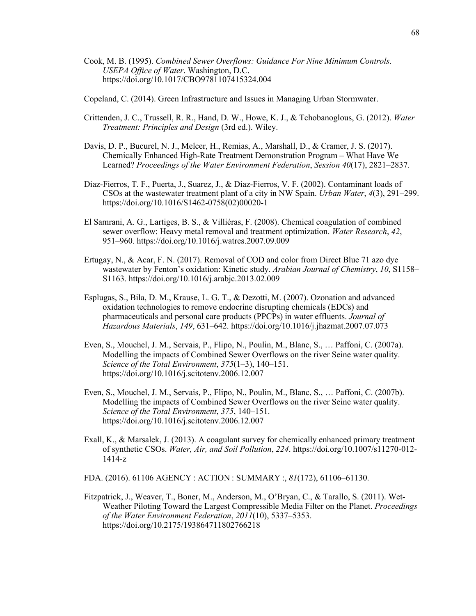Cook, M. B. (1995). *Combined Sewer Overflows: Guidance For Nine Minimum Controls*. *USEPA Office of Water*. Washington, D.C. https://doi.org/10.1017/CBO9781107415324.004

Copeland, C. (2014). Green Infrastructure and Issues in Managing Urban Stormwater.

- Crittenden, J. C., Trussell, R. R., Hand, D. W., Howe, K. J., & Tchobanoglous, G. (2012). *Water Treatment: Principles and Design* (3rd ed.). Wiley.
- Davis, D. P., Bucurel, N. J., Melcer, H., Remias, A., Marshall, D., & Cramer, J. S. (2017). Chemically Enhanced High-Rate Treatment Demonstration Program – What Have We Learned? *Proceedings of the Water Environment Federation*, *Session 40*(17), 2821–2837.
- Diaz-Fierros, T. F., Puerta, J., Suarez, J., & Diaz-Fierros, V. F. (2002). Contaminant loads of CSOs at the wastewater treatment plant of a city in NW Spain. *Urban Water*, *4*(3), 291–299. https://doi.org/10.1016/S1462-0758(02)00020-1
- El Samrani, A. G., Lartiges, B. S., & Villiéras, F. (2008). Chemical coagulation of combined sewer overflow: Heavy metal removal and treatment optimization. *Water Research*, *42*, 951–960. https://doi.org/10.1016/j.watres.2007.09.009
- Ertugay, N., & Acar, F. N. (2017). Removal of COD and color from Direct Blue 71 azo dye wastewater by Fenton's oxidation: Kinetic study. *Arabian Journal of Chemistry*, *10*, S1158– S1163. https://doi.org/10.1016/j.arabjc.2013.02.009
- Esplugas, S., Bila, D. M., Krause, L. G. T., & Dezotti, M. (2007). Ozonation and advanced oxidation technologies to remove endocrine disrupting chemicals (EDCs) and pharmaceuticals and personal care products (PPCPs) in water effluents. *Journal of Hazardous Materials*, *149*, 631–642. https://doi.org/10.1016/j.jhazmat.2007.07.073
- Even, S., Mouchel, J. M., Servais, P., Flipo, N., Poulin, M., Blanc, S., … Paffoni, C. (2007a). Modelling the impacts of Combined Sewer Overflows on the river Seine water quality. *Science of the Total Environment*, *375*(1–3), 140–151. https://doi.org/10.1016/j.scitotenv.2006.12.007
- Even, S., Mouchel, J. M., Servais, P., Flipo, N., Poulin, M., Blanc, S., … Paffoni, C. (2007b). Modelling the impacts of Combined Sewer Overflows on the river Seine water quality. *Science of the Total Environment*, *375*, 140–151. https://doi.org/10.1016/j.scitotenv.2006.12.007
- Exall, K., & Marsalek, J. (2013). A coagulant survey for chemically enhanced primary treatment of synthetic CSOs. *Water, Air, and Soil Pollution*, *224*. https://doi.org/10.1007/s11270-012- 1414-z

FDA. (2016). 61106 AGENCY : ACTION : SUMMARY :, *81*(172), 61106–61130.

Fitzpatrick, J., Weaver, T., Boner, M., Anderson, M., O'Bryan, C., & Tarallo, S. (2011). Wet-Weather Piloting Toward the Largest Compressible Media Filter on the Planet. *Proceedings of the Water Environment Federation*, *2011*(10), 5337–5353. https://doi.org/10.2175/193864711802766218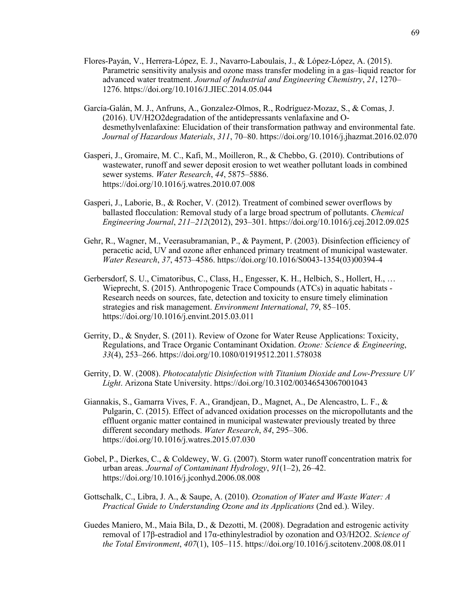- Flores-Payán, V., Herrera-López, E. J., Navarro-Laboulais, J., & López-López, A. (2015). Parametric sensitivity analysis and ozone mass transfer modeling in a gas–liquid reactor for advanced water treatment. *Journal of Industrial and Engineering Chemistry*, *21*, 1270– 1276. https://doi.org/10.1016/J.JIEC.2014.05.044
- García-Galán, M. J., Anfruns, A., Gonzalez-Olmos, R., Rodríguez-Mozaz, S., & Comas, J. (2016). UV/H2O2degradation of the antidepressants venlafaxine and Odesmethylvenlafaxine: Elucidation of their transformation pathway and environmental fate. *Journal of Hazardous Materials*, *311*, 70–80. https://doi.org/10.1016/j.jhazmat.2016.02.070
- Gasperi, J., Gromaire, M. C., Kafi, M., Moilleron, R., & Chebbo, G. (2010). Contributions of wastewater, runoff and sewer deposit erosion to wet weather pollutant loads in combined sewer systems. *Water Research*, *44*, 5875–5886. https://doi.org/10.1016/j.watres.2010.07.008
- Gasperi, J., Laborie, B., & Rocher, V. (2012). Treatment of combined sewer overflows by ballasted flocculation: Removal study of a large broad spectrum of pollutants. *Chemical Engineering Journal*, *211*–*212*(2012), 293–301. https://doi.org/10.1016/j.cej.2012.09.025
- Gehr, R., Wagner, M., Veerasubramanian, P., & Payment, P. (2003). Disinfection efficiency of peracetic acid, UV and ozone after enhanced primary treatment of municipal wastewater. *Water Research*, *37*, 4573–4586. https://doi.org/10.1016/S0043-1354(03)00394-4
- Gerbersdorf, S. U., Cimatoribus, C., Class, H., Engesser, K. H., Helbich, S., Hollert, H., … Wieprecht, S. (2015). Anthropogenic Trace Compounds (ATCs) in aquatic habitats - Research needs on sources, fate, detection and toxicity to ensure timely elimination strategies and risk management. *Environment International*, *79*, 85–105. https://doi.org/10.1016/j.envint.2015.03.011
- Gerrity, D., & Snyder, S. (2011). Review of Ozone for Water Reuse Applications: Toxicity, Regulations, and Trace Organic Contaminant Oxidation. *Ozone: Science & Engineering*, *33*(4), 253–266. https://doi.org/10.1080/01919512.2011.578038
- Gerrity, D. W. (2008). *Photocatalytic Disinfection with Titanium Dioxide and Low-Pressure UV Light*. Arizona State University. https://doi.org/10.3102/00346543067001043
- Giannakis, S., Gamarra Vives, F. A., Grandjean, D., Magnet, A., De Alencastro, L. F., & Pulgarin, C. (2015). Effect of advanced oxidation processes on the micropollutants and the effluent organic matter contained in municipal wastewater previously treated by three different secondary methods. *Water Research*, *84*, 295–306. https://doi.org/10.1016/j.watres.2015.07.030
- Gobel, P., Dierkes, C., & Coldewey, W. G. (2007). Storm water runoff concentration matrix for urban areas. *Journal of Contaminant Hydrology*, *91*(1–2), 26–42. https://doi.org/10.1016/j.jconhyd.2006.08.008
- Gottschalk, C., Libra, J. A., & Saupe, A. (2010). *Ozonation of Water and Waste Water: A Practical Guide to Understanding Ozone and its Applications* (2nd ed.). Wiley.
- Guedes Maniero, M., Maia Bila, D., & Dezotti, M. (2008). Degradation and estrogenic activity removal of 17β-estradiol and 17α-ethinylestradiol by ozonation and O3/H2O2. *Science of the Total Environment*, *407*(1), 105–115. https://doi.org/10.1016/j.scitotenv.2008.08.011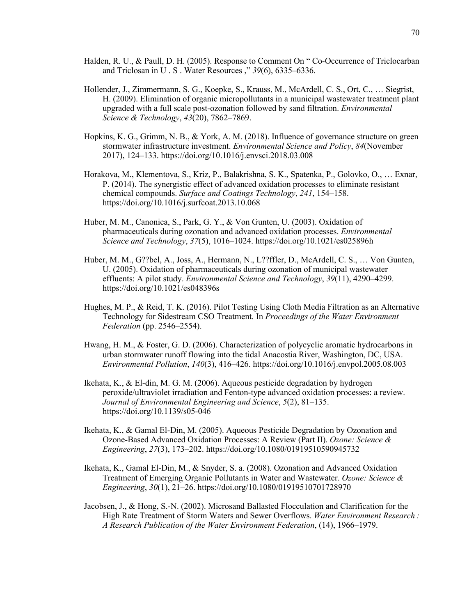- Halden, R. U., & Paull, D. H. (2005). Response to Comment On " Co-Occurrence of Triclocarban and Triclosan in U . S . Water Resources ," *39*(6), 6335–6336.
- Hollender, J., Zimmermann, S. G., Koepke, S., Krauss, M., McArdell, C. S., Ort, C., … Siegrist, H. (2009). Elimination of organic micropollutants in a municipal wastewater treatment plant upgraded with a full scale post-ozonation followed by sand filtration. *Environmental Science & Technology*, *43*(20), 7862–7869.
- Hopkins, K. G., Grimm, N. B., & York, A. M. (2018). Influence of governance structure on green stormwater infrastructure investment. *Environmental Science and Policy*, *84*(November 2017), 124–133. https://doi.org/10.1016/j.envsci.2018.03.008
- Horakova, M., Klementova, S., Kriz, P., Balakrishna, S. K., Spatenka, P., Golovko, O., … Exnar, P. (2014). The synergistic effect of advanced oxidation processes to eliminate resistant chemical compounds. *Surface and Coatings Technology*, *241*, 154–158. https://doi.org/10.1016/j.surfcoat.2013.10.068
- Huber, M. M., Canonica, S., Park, G. Y., & Von Gunten, U. (2003). Oxidation of pharmaceuticals during ozonation and advanced oxidation processes. *Environmental Science and Technology*, *37*(5), 1016–1024. https://doi.org/10.1021/es025896h
- Huber, M. M., G??bel, A., Joss, A., Hermann, N., L??ffler, D., McArdell, C. S., … Von Gunten, U. (2005). Oxidation of pharmaceuticals during ozonation of municipal wastewater effluents: A pilot study. *Environmental Science and Technology*, *39*(11), 4290–4299. https://doi.org/10.1021/es048396s
- Hughes, M. P., & Reid, T. K. (2016). Pilot Testing Using Cloth Media Filtration as an Alternative Technology for Sidestream CSO Treatment. In *Proceedings of the Water Environment Federation* (pp. 2546–2554).
- Hwang, H. M., & Foster, G. D. (2006). Characterization of polycyclic aromatic hydrocarbons in urban stormwater runoff flowing into the tidal Anacostia River, Washington, DC, USA. *Environmental Pollution*, *140*(3), 416–426. https://doi.org/10.1016/j.envpol.2005.08.003
- Ikehata, K., & El-din, M. G. M. (2006). Aqueous pesticide degradation by hydrogen peroxide/ultraviolet irradiation and Fenton-type advanced oxidation processes: a review. *Journal of Environmental Engineering and Science*, *5*(2), 81–135. https://doi.org/10.1139/s05-046
- Ikehata, K., & Gamal El-Din, M. (2005). Aqueous Pesticide Degradation by Ozonation and Ozone-Based Advanced Oxidation Processes: A Review (Part II). *Ozone: Science & Engineering*, *27*(3), 173–202. https://doi.org/10.1080/01919510590945732
- Ikehata, K., Gamal El-Din, M., & Snyder, S. a. (2008). Ozonation and Advanced Oxidation Treatment of Emerging Organic Pollutants in Water and Wastewater. *Ozone: Science & Engineering*, *30*(1), 21–26. https://doi.org/10.1080/01919510701728970
- Jacobsen, J., & Hong, S.-N. (2002). Microsand Ballasted Flocculation and Clarification for the High Rate Treatment of Storm Waters and Sewer Overflows. *Water Environment Research : A Research Publication of the Water Environment Federation*, (14), 1966–1979.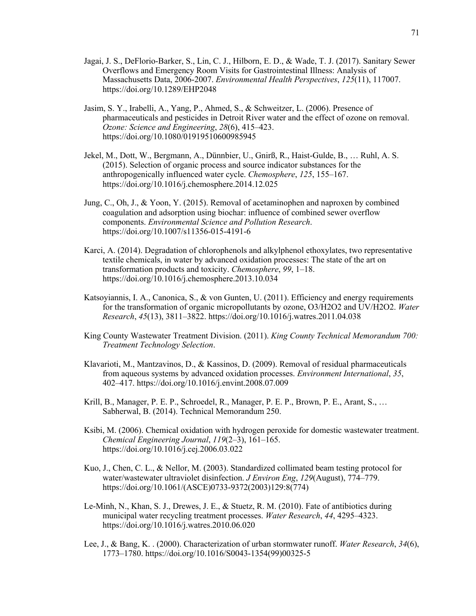- Jagai, J. S., DeFlorio-Barker, S., Lin, C. J., Hilborn, E. D., & Wade, T. J. (2017). Sanitary Sewer Overflows and Emergency Room Visits for Gastrointestinal Illness: Analysis of Massachusetts Data, 2006-2007. *Environmental Health Perspectives*, *125*(11), 117007. https://doi.org/10.1289/EHP2048
- Jasim, S. Y., Irabelli, A., Yang, P., Ahmed, S., & Schweitzer, L. (2006). Presence of pharmaceuticals and pesticides in Detroit River water and the effect of ozone on removal. *Ozone: Science and Engineering*, *28*(6), 415–423. https://doi.org/10.1080/01919510600985945
- Jekel, M., Dott, W., Bergmann, A., Dünnbier, U., Gnirß, R., Haist-Gulde, B., … Ruhl, A. S. (2015). Selection of organic process and source indicator substances for the anthropogenically influenced water cycle. *Chemosphere*, *125*, 155–167. https://doi.org/10.1016/j.chemosphere.2014.12.025
- Jung, C., Oh, J., & Yoon, Y. (2015). Removal of acetaminophen and naproxen by combined coagulation and adsorption using biochar: influence of combined sewer overflow components. *Environmental Science and Pollution Research*. https://doi.org/10.1007/s11356-015-4191-6
- Karci, A. (2014). Degradation of chlorophenols and alkylphenol ethoxylates, two representative textile chemicals, in water by advanced oxidation processes: The state of the art on transformation products and toxicity. *Chemosphere*, *99*, 1–18. https://doi.org/10.1016/j.chemosphere.2013.10.034
- Katsoyiannis, I. A., Canonica, S., & von Gunten, U. (2011). Efficiency and energy requirements for the transformation of organic micropollutants by ozone, O3/H2O2 and UV/H2O2. *Water Research*, *45*(13), 3811–3822. https://doi.org/10.1016/j.watres.2011.04.038
- King County Wastewater Treatment Division. (2011). *King County Technical Memorandum 700: Treatment Technology Selection*.
- Klavarioti, M., Mantzavinos, D., & Kassinos, D. (2009). Removal of residual pharmaceuticals from aqueous systems by advanced oxidation processes. *Environment International*, *35*, 402–417. https://doi.org/10.1016/j.envint.2008.07.009
- Krill, B., Manager, P. E. P., Schroedel, R., Manager, P. E. P., Brown, P. E., Arant, S., … Sabherwal, B. (2014). Technical Memorandum 250.
- Ksibi, M. (2006). Chemical oxidation with hydrogen peroxide for domestic wastewater treatment. *Chemical Engineering Journal*, *119*(2–3), 161–165. https://doi.org/10.1016/j.cej.2006.03.022
- Kuo, J., Chen, C. L., & Nellor, M. (2003). Standardized collimated beam testing protocol for water/wastewater ultraviolet disinfection. *J Environ Eng*, *129*(August), 774–779. https://doi.org/10.1061/(ASCE)0733-9372(2003)129:8(774)
- Le-Minh, N., Khan, S. J., Drewes, J. E., & Stuetz, R. M. (2010). Fate of antibiotics during municipal water recycling treatment processes. *Water Research*, *44*, 4295–4323. https://doi.org/10.1016/j.watres.2010.06.020
- Lee, J., & Bang, K. . (2000). Characterization of urban stormwater runoff. *Water Research*, *34*(6), 1773–1780. https://doi.org/10.1016/S0043-1354(99)00325-5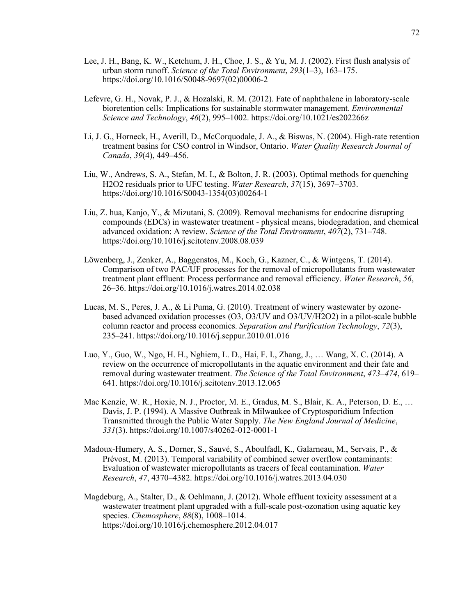- Lee, J. H., Bang, K. W., Ketchum, J. H., Choe, J. S., & Yu, M. J. (2002). First flush analysis of urban storm runoff. *Science of the Total Environment*, *293*(1–3), 163–175. https://doi.org/10.1016/S0048-9697(02)00006-2
- Lefevre, G. H., Novak, P. J., & Hozalski, R. M. (2012). Fate of naphthalene in laboratory-scale bioretention cells: Implications for sustainable stormwater management. *Environmental Science and Technology*, *46*(2), 995–1002. https://doi.org/10.1021/es202266z
- Li, J. G., Horneck, H., Averill, D., McCorquodale, J. A., & Biswas, N. (2004). High-rate retention treatment basins for CSO control in Windsor, Ontario. *Water Quality Research Journal of Canada*, *39*(4), 449–456.
- Liu, W., Andrews, S. A., Stefan, M. I., & Bolton, J. R. (2003). Optimal methods for quenching H2O2 residuals prior to UFC testing. *Water Research*, *37*(15), 3697–3703. https://doi.org/10.1016/S0043-1354(03)00264-1
- Liu, Z. hua, Kanjo, Y., & Mizutani, S. (2009). Removal mechanisms for endocrine disrupting compounds (EDCs) in wastewater treatment - physical means, biodegradation, and chemical advanced oxidation: A review. *Science of the Total Environment*, *407*(2), 731–748. https://doi.org/10.1016/j.scitotenv.2008.08.039
- Löwenberg, J., Zenker, A., Baggenstos, M., Koch, G., Kazner, C., & Wintgens, T. (2014). Comparison of two PAC/UF processes for the removal of micropollutants from wastewater treatment plant effluent: Process performance and removal efficiency. *Water Research*, *56*, 26–36. https://doi.org/10.1016/j.watres.2014.02.038
- Lucas, M. S., Peres, J. A., & Li Puma, G. (2010). Treatment of winery wastewater by ozonebased advanced oxidation processes (O3, O3/UV and O3/UV/H2O2) in a pilot-scale bubble column reactor and process economics. *Separation and Purification Technology*, *72*(3), 235–241. https://doi.org/10.1016/j.seppur.2010.01.016
- Luo, Y., Guo, W., Ngo, H. H., Nghiem, L. D., Hai, F. I., Zhang, J., … Wang, X. C. (2014). A review on the occurrence of micropollutants in the aquatic environment and their fate and removal during wastewater treatment. *The Science of the Total Environment*, *473*–*474*, 619– 641. https://doi.org/10.1016/j.scitotenv.2013.12.065
- Mac Kenzie, W. R., Hoxie, N. J., Proctor, M. E., Gradus, M. S., Blair, K. A., Peterson, D. E., … Davis, J. P. (1994). A Massive Outbreak in Milwaukee of Cryptosporidium Infection Transmitted through the Public Water Supply. *The New England Journal of Medicine*, *331*(3). https://doi.org/10.1007/s40262-012-0001-1
- Madoux-Humery, A. S., Dorner, S., Sauvé, S., Aboulfadl, K., Galarneau, M., Servais, P., & Prévost, M. (2013). Temporal variability of combined sewer overflow contaminants: Evaluation of wastewater micropollutants as tracers of fecal contamination. *Water Research*, *47*, 4370–4382. https://doi.org/10.1016/j.watres.2013.04.030
- Magdeburg, A., Stalter, D., & Oehlmann, J. (2012). Whole effluent toxicity assessment at a wastewater treatment plant upgraded with a full-scale post-ozonation using aquatic key species. *Chemosphere*, *88*(8), 1008–1014. https://doi.org/10.1016/j.chemosphere.2012.04.017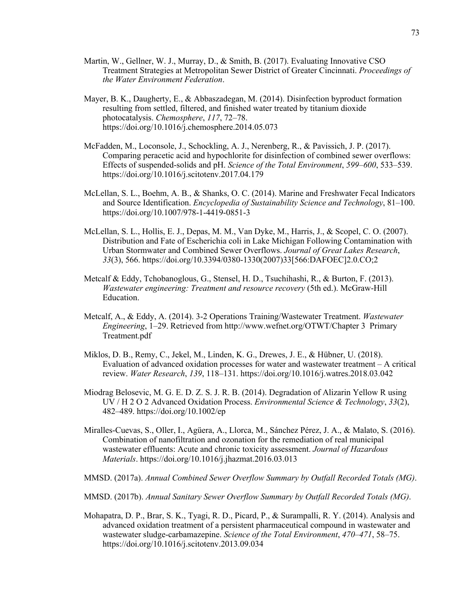- Martin, W., Gellner, W. J., Murray, D., & Smith, B. (2017). Evaluating Innovative CSO Treatment Strategies at Metropolitan Sewer District of Greater Cincinnati. *Proceedings of the Water Environment Federation*.
- Mayer, B. K., Daugherty, E., & Abbaszadegan, M. (2014). Disinfection byproduct formation resulting from settled, filtered, and finished water treated by titanium dioxide photocatalysis. *Chemosphere*, *117*, 72–78. https://doi.org/10.1016/j.chemosphere.2014.05.073
- McFadden, M., Loconsole, J., Schockling, A. J., Nerenberg, R., & Pavissich, J. P. (2017). Comparing peracetic acid and hypochlorite for disinfection of combined sewer overflows: Effects of suspended-solids and pH. *Science of the Total Environment*, *599*–*600*, 533–539. https://doi.org/10.1016/j.scitotenv.2017.04.179
- McLellan, S. L., Boehm, A. B., & Shanks, O. C. (2014). Marine and Freshwater Fecal Indicators and Source Identification. *Encyclopedia of Sustainability Science and Technology*, 81–100. https://doi.org/10.1007/978-1-4419-0851-3
- McLellan, S. L., Hollis, E. J., Depas, M. M., Van Dyke, M., Harris, J., & Scopel, C. O. (2007). Distribution and Fate of Escherichia coli in Lake Michigan Following Contamination with Urban Stormwater and Combined Sewer Overflows. *Journal of Great Lakes Research*, *33*(3), 566. https://doi.org/10.3394/0380-1330(2007)33[566:DAFOEC]2.0.CO;2
- Metcalf & Eddy, Tchobanoglous, G., Stensel, H. D., Tsuchihashi, R., & Burton, F. (2013). *Wastewater engineering: Treatment and resource recovery* (5th ed.). McGraw-Hill Education.
- Metcalf, A., & Eddy, A. (2014). 3-2 Operations Training/Wastewater Treatment. *Wastewater Engineering*, 1–29. Retrieved from http://www.wefnet.org/OTWT/Chapter 3 Primary Treatment.pdf
- Miklos, D. B., Remy, C., Jekel, M., Linden, K. G., Drewes, J. E., & Hübner, U. (2018). Evaluation of advanced oxidation processes for water and wastewater treatment – A critical review. *Water Research*, *139*, 118–131. https://doi.org/10.1016/j.watres.2018.03.042
- Miodrag Belosevic, M. G. E. D. Z. S. J. R. B. (2014). Degradation of Alizarin Yellow R using UV / H 2 O 2 Advanced Oxidation Process. *Environmental Science & Technology*, *33*(2), 482–489. https://doi.org/10.1002/ep
- Miralles-Cuevas, S., Oller, I., Agüera, A., Llorca, M., Sánchez Pérez, J. A., & Malato, S. (2016). Combination of nanofiltration and ozonation for the remediation of real municipal wastewater effluents: Acute and chronic toxicity assessment. *Journal of Hazardous Materials*. https://doi.org/10.1016/j.jhazmat.2016.03.013
- MMSD. (2017a). *Annual Combined Sewer Overflow Summary by Outfall Recorded Totals (MG)*.
- MMSD. (2017b). *Annual Sanitary Sewer Overflow Summary by Outfall Recorded Totals (MG)*.
- Mohapatra, D. P., Brar, S. K., Tyagi, R. D., Picard, P., & Surampalli, R. Y. (2014). Analysis and advanced oxidation treatment of a persistent pharmaceutical compound in wastewater and wastewater sludge-carbamazepine. *Science of the Total Environment*, *470*–*471*, 58–75. https://doi.org/10.1016/j.scitotenv.2013.09.034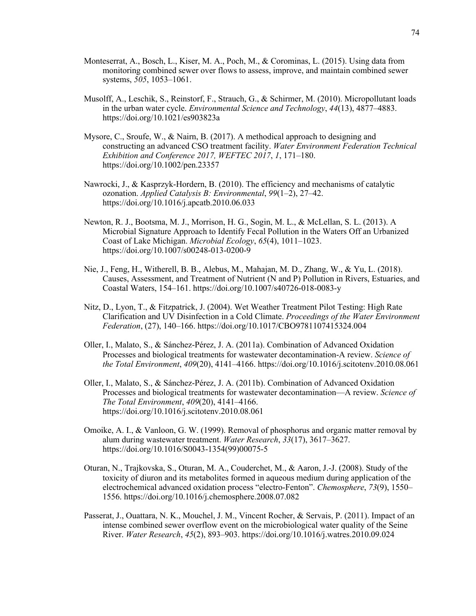- Monteserrat, A., Bosch, L., Kiser, M. A., Poch, M., & Corominas, L. (2015). Using data from monitoring combined sewer over flows to assess, improve, and maintain combined sewer systems, *505*, 1053–1061.
- Musolff, A., Leschik, S., Reinstorf, F., Strauch, G., & Schirmer, M. (2010). Micropollutant loads in the urban water cycle. *Environmental Science and Technology*, *44*(13), 4877–4883. https://doi.org/10.1021/es903823a
- Mysore, C., Sroufe, W., & Nairn, B. (2017). A methodical approach to designing and constructing an advanced CSO treatment facility. *Water Environment Federation Technical Exhibition and Conference 2017, WEFTEC 2017*, *1*, 171–180. https://doi.org/10.1002/pen.23357
- Nawrocki, J., & Kasprzyk-Hordern, B. (2010). The efficiency and mechanisms of catalytic ozonation. *Applied Catalysis B: Environmental*, *99*(1–2), 27–42. https://doi.org/10.1016/j.apcatb.2010.06.033
- Newton, R. J., Bootsma, M. J., Morrison, H. G., Sogin, M. L., & McLellan, S. L. (2013). A Microbial Signature Approach to Identify Fecal Pollution in the Waters Off an Urbanized Coast of Lake Michigan. *Microbial Ecology*, *65*(4), 1011–1023. https://doi.org/10.1007/s00248-013-0200-9
- Nie, J., Feng, H., Witherell, B. B., Alebus, M., Mahajan, M. D., Zhang, W., & Yu, L. (2018). Causes, Assessment, and Treatment of Nutrient (N and P) Pollution in Rivers, Estuaries, and Coastal Waters, 154–161. https://doi.org/10.1007/s40726-018-0083-y
- Nitz, D., Lyon, T., & Fitzpatrick, J. (2004). Wet Weather Treatment Pilot Testing: High Rate Clarification and UV Disinfection in a Cold Climate. *Proceedings of the Water Environment Federation*, (27), 140–166. https://doi.org/10.1017/CBO9781107415324.004
- Oller, I., Malato, S., & Sánchez-Pérez, J. A. (2011a). Combination of Advanced Oxidation Processes and biological treatments for wastewater decontamination-A review. *Science of the Total Environment*, *409*(20), 4141–4166. https://doi.org/10.1016/j.scitotenv.2010.08.061
- Oller, I., Malato, S., & Sánchez-Pérez, J. A. (2011b). Combination of Advanced Oxidation Processes and biological treatments for wastewater decontamination—A review. *Science of The Total Environment*, *409*(20), 4141–4166. https://doi.org/10.1016/j.scitotenv.2010.08.061
- Omoike, A. I., & Vanloon, G. W. (1999). Removal of phosphorus and organic matter removal by alum during wastewater treatment. *Water Research*, *33*(17), 3617–3627. https://doi.org/10.1016/S0043-1354(99)00075-5
- Oturan, N., Trajkovska, S., Oturan, M. A., Couderchet, M., & Aaron, J.-J. (2008). Study of the toxicity of diuron and its metabolites formed in aqueous medium during application of the electrochemical advanced oxidation process "electro-Fenton". *Chemosphere*, *73*(9), 1550– 1556. https://doi.org/10.1016/j.chemosphere.2008.07.082
- Passerat, J., Ouattara, N. K., Mouchel, J. M., Vincent Rocher, & Servais, P. (2011). Impact of an intense combined sewer overflow event on the microbiological water quality of the Seine River. *Water Research*, *45*(2), 893–903. https://doi.org/10.1016/j.watres.2010.09.024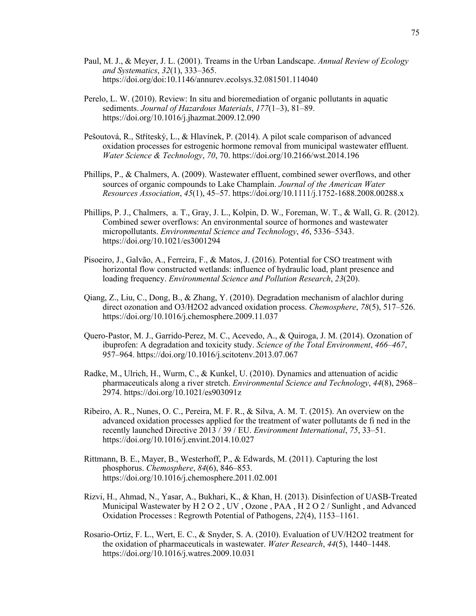- Paul, M. J., & Meyer, J. L. (2001). Treams in the Urban Landscape. *Annual Review of Ecology and Systematics*, *32*(1), 333–365. https://doi.org/doi:10.1146/annurev.ecolsys.32.081501.114040
- Perelo, L. W. (2010). Review: In situ and bioremediation of organic pollutants in aquatic sediments. *Journal of Hazardous Materials*, *177*(1–3), 81–89. https://doi.org/10.1016/j.jhazmat.2009.12.090
- Pešoutová, R., Stříteský, L., & Hlavínek, P. (2014). A pilot scale comparison of advanced oxidation processes for estrogenic hormone removal from municipal wastewater effluent. *Water Science & Technology*, *70*, 70. https://doi.org/10.2166/wst.2014.196
- Phillips, P., & Chalmers, A. (2009). Wastewater effluent, combined sewer overflows, and other sources of organic compounds to Lake Champlain. *Journal of the American Water Resources Association*, *45*(1), 45–57. https://doi.org/10.1111/j.1752-1688.2008.00288.x
- Phillips, P. J., Chalmers, a. T., Gray, J. L., Kolpin, D. W., Foreman, W. T., & Wall, G. R. (2012). Combined sewer overflows: An environmental source of hormones and wastewater micropollutants. *Environmental Science and Technology*, *46*, 5336–5343. https://doi.org/10.1021/es3001294
- Pisoeiro, J., Galvão, A., Ferreira, F., & Matos, J. (2016). Potential for CSO treatment with horizontal flow constructed wetlands: influence of hydraulic load, plant presence and loading frequency. *Environmental Science and Pollution Research*, *23*(20).
- Qiang, Z., Liu, C., Dong, B., & Zhang, Y. (2010). Degradation mechanism of alachlor during direct ozonation and O3/H2O2 advanced oxidation process. *Chemosphere*, *78*(5), 517–526. https://doi.org/10.1016/j.chemosphere.2009.11.037
- Quero-Pastor, M. J., Garrido-Perez, M. C., Acevedo, A., & Quiroga, J. M. (2014). Ozonation of ibuprofen: A degradation and toxicity study. *Science of the Total Environment*, *466*–*467*, 957–964. https://doi.org/10.1016/j.scitotenv.2013.07.067
- Radke, M., Ulrich, H., Wurm, C., & Kunkel, U. (2010). Dynamics and attenuation of acidic pharmaceuticals along a river stretch. *Environmental Science and Technology*, *44*(8), 2968– 2974. https://doi.org/10.1021/es903091z
- Ribeiro, A. R., Nunes, O. C., Pereira, M. F. R., & Silva, A. M. T. (2015). An overview on the advanced oxidation processes applied for the treatment of water pollutants de fi ned in the recently launched Directive 2013 / 39 / EU. *Environment International*, *75*, 33–51. https://doi.org/10.1016/j.envint.2014.10.027
- Rittmann, B. E., Mayer, B., Westerhoff, P., & Edwards, M. (2011). Capturing the lost phosphorus. *Chemosphere*, *84*(6), 846–853. https://doi.org/10.1016/j.chemosphere.2011.02.001
- Rizvi, H., Ahmad, N., Yasar, A., Bukhari, K., & Khan, H. (2013). Disinfection of UASB-Treated Municipal Wastewater by H 2 O 2 , UV , Ozone , PAA , H 2 O 2 / Sunlight , and Advanced Oxidation Processes : Regrowth Potential of Pathogens, *22*(4), 1153–1161.
- Rosario-Ortiz, F. L., Wert, E. C., & Snyder, S. A. (2010). Evaluation of UV/H2O2 treatment for the oxidation of pharmaceuticals in wastewater. *Water Research*, *44*(5), 1440–1448. https://doi.org/10.1016/j.watres.2009.10.031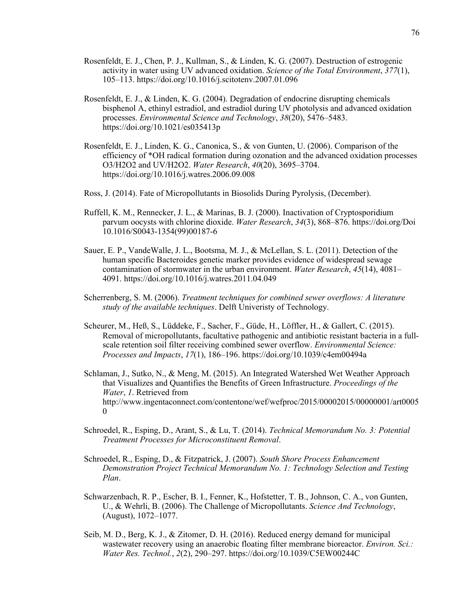- Rosenfeldt, E. J., Chen, P. J., Kullman, S., & Linden, K. G. (2007). Destruction of estrogenic activity in water using UV advanced oxidation. *Science of the Total Environment*, *377*(1), 105–113. https://doi.org/10.1016/j.scitotenv.2007.01.096
- Rosenfeldt, E. J., & Linden, K. G. (2004). Degradation of endocrine disrupting chemicals bisphenol A, ethinyl estradiol, and estradiol during UV photolysis and advanced oxidation processes. *Environmental Science and Technology*, *38*(20), 5476–5483. https://doi.org/10.1021/es035413p
- Rosenfeldt, E. J., Linden, K. G., Canonica, S., & von Gunten, U. (2006). Comparison of the efficiency of \*OH radical formation during ozonation and the advanced oxidation processes O3/H2O2 and UV/H2O2. *Water Research*, *40*(20), 3695–3704. https://doi.org/10.1016/j.watres.2006.09.008
- Ross, J. (2014). Fate of Micropollutants in Biosolids During Pyrolysis, (December).
- Ruffell, K. M., Rennecker, J. L., & Marinas, B. J. (2000). Inactivation of Cryptosporidium parvum oocysts with chlorine dioxide. *Water Research*, *34*(3), 868–876. https://doi.org/Doi 10.1016/S0043-1354(99)00187-6
- Sauer, E. P., VandeWalle, J. L., Bootsma, M. J., & McLellan, S. L. (2011). Detection of the human specific Bacteroides genetic marker provides evidence of widespread sewage contamination of stormwater in the urban environment. *Water Research*, *45*(14), 4081– 4091. https://doi.org/10.1016/j.watres.2011.04.049
- Scherrenberg, S. M. (2006). *Treatment techniques for combined sewer overflows: A literature study of the available techniques*. Delft Univeristy of Technology.
- Scheurer, M., Heß, S., Lüddeke, F., Sacher, F., Güde, H., Löffler, H., & Gallert, C. (2015). Removal of micropollutants, facultative pathogenic and antibiotic resistant bacteria in a fullscale retention soil filter receiving combined sewer overflow. *Environmental Science: Processes and Impacts*, *17*(1), 186–196. https://doi.org/10.1039/c4em00494a
- Schlaman, J., Sutko, N., & Meng, M. (2015). An Integrated Watershed Wet Weather Approach that Visualizes and Quantifies the Benefits of Green Infrastructure. *Proceedings of the Water*, *1*. Retrieved from http://www.ingentaconnect.com/contentone/wef/wefproc/2015/00002015/00000001/art0005  $\theta$
- Schroedel, R., Esping, D., Arant, S., & Lu, T. (2014). *Technical Memorandum No. 3: Potential Treatment Processes for Microconstituent Removal*.
- Schroedel, R., Esping, D., & Fitzpatrick, J. (2007). *South Shore Process Enhancement Demonstration Project Technical Memorandum No. 1: Technology Selection and Testing Plan*.
- Schwarzenbach, R. P., Escher, B. I., Fenner, K., Hofstetter, T. B., Johnson, C. A., von Gunten, U., & Wehrli, B. (2006). The Challenge of Micropollutants. *Science And Technology*, (August), 1072–1077.
- Seib, M. D., Berg, K. J., & Zitomer, D. H. (2016). Reduced energy demand for municipal wastewater recovery using an anaerobic floating filter membrane bioreactor. *Environ. Sci.: Water Res. Technol.*, *2*(2), 290–297. https://doi.org/10.1039/C5EW00244C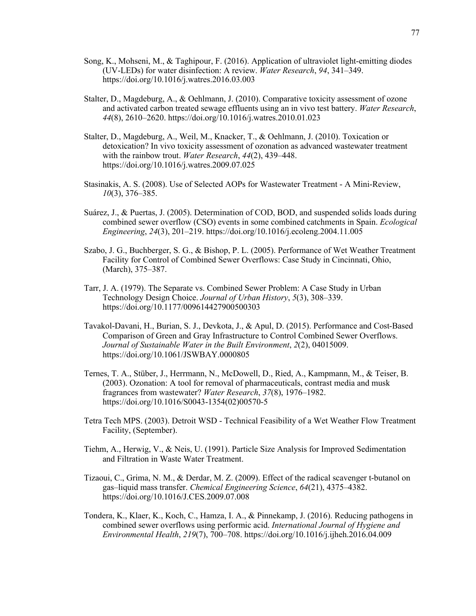- Song, K., Mohseni, M., & Taghipour, F. (2016). Application of ultraviolet light-emitting diodes (UV-LEDs) for water disinfection: A review. *Water Research*, *94*, 341–349. https://doi.org/10.1016/j.watres.2016.03.003
- Stalter, D., Magdeburg, A., & Oehlmann, J. (2010). Comparative toxicity assessment of ozone and activated carbon treated sewage effluents using an in vivo test battery. *Water Research*, *44*(8), 2610–2620. https://doi.org/10.1016/j.watres.2010.01.023
- Stalter, D., Magdeburg, A., Weil, M., Knacker, T., & Oehlmann, J. (2010). Toxication or detoxication? In vivo toxicity assessment of ozonation as advanced wastewater treatment with the rainbow trout. *Water Research*, *44*(2), 439–448. https://doi.org/10.1016/j.watres.2009.07.025
- Stasinakis, A. S. (2008). Use of Selected AOPs for Wastewater Treatment A Mini-Review, *10*(3), 376–385.
- Suárez, J., & Puertas, J. (2005). Determination of COD, BOD, and suspended solids loads during combined sewer overflow (CSO) events in some combined catchments in Spain. *Ecological Engineering*, *24*(3), 201–219. https://doi.org/10.1016/j.ecoleng.2004.11.005
- Szabo, J. G., Buchberger, S. G., & Bishop, P. L. (2005). Performance of Wet Weather Treatment Facility for Control of Combined Sewer Overflows: Case Study in Cincinnati, Ohio, (March), 375–387.
- Tarr, J. A. (1979). The Separate vs. Combined Sewer Problem: A Case Study in Urban Technology Design Choice. *Journal of Urban History*, *5*(3), 308–339. https://doi.org/10.1177/009614427900500303
- Tavakol-Davani, H., Burian, S. J., Devkota, J., & Apul, D. (2015). Performance and Cost-Based Comparison of Green and Gray Infrastructure to Control Combined Sewer Overflows. *Journal of Sustainable Water in the Built Environment*, *2*(2), 04015009. https://doi.org/10.1061/JSWBAY.0000805
- Ternes, T. A., Stüber, J., Herrmann, N., McDowell, D., Ried, A., Kampmann, M., & Teiser, B. (2003). Ozonation: A tool for removal of pharmaceuticals, contrast media and musk fragrances from wastewater? *Water Research*, *37*(8), 1976–1982. https://doi.org/10.1016/S0043-1354(02)00570-5
- Tetra Tech MPS. (2003). Detroit WSD Technical Feasibility of a Wet Weather Flow Treatment Facility, (September).
- Tiehm, A., Herwig, V., & Neis, U. (1991). Particle Size Analysis for Improved Sedimentation and Filtration in Waste Water Treatment.
- Tizaoui, C., Grima, N. M., & Derdar, M. Z. (2009). Effect of the radical scavenger t-butanol on gas–liquid mass transfer. *Chemical Engineering Science*, *64*(21), 4375–4382. https://doi.org/10.1016/J.CES.2009.07.008
- Tondera, K., Klaer, K., Koch, C., Hamza, I. A., & Pinnekamp, J. (2016). Reducing pathogens in combined sewer overflows using performic acid. *International Journal of Hygiene and Environmental Health*, *219*(7), 700–708. https://doi.org/10.1016/j.ijheh.2016.04.009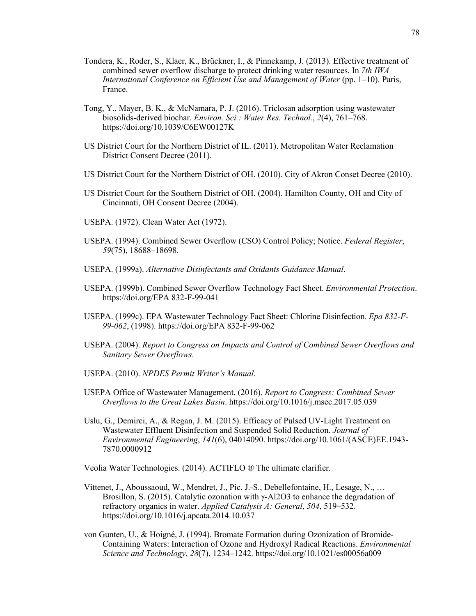- Tondera, K., Roder, S., Klaer, K., Brückner, I., & Pinnekamp, J. (2013). Effective treatment of combined sewer overflow discharge to protect drinking water resources. In *7th IWA International Conference on Efficient Use and Management of Water* (pp. 1–10). Paris, France.
- Tong, Y., Mayer, B. K., & McNamara, P. J. (2016). Triclosan adsorption using wastewater biosolids-derived biochar. *Environ. Sci.: Water Res. Technol.*, *2*(4), 761–768. https://doi.org/10.1039/C6EW00127K
- US District Court for the Northern District of IL. (2011). Metropolitan Water Reclamation District Consent Decree (2011).
- US District Court for the Northern District of OH. (2010). City of Akron Conset Decree (2010).
- US District Court for the Southern District of OH. (2004). Hamilton County, OH and City of Cincinnati, OH Consent Decree (2004).
- USEPA. (1972). Clean Water Act (1972).
- USEPA. (1994). Combined Sewer Overflow (CSO) Control Policy; Notice. *Federal Register*, *59*(75), 18688–18698.
- USEPA. (1999a). *Alternative Disinfectants and Oxidants Guidance Manual*.
- USEPA. (1999b). Combined Sewer Overflow Technology Fact Sheet. *Environmental Protection*. https://doi.org/EPA 832-F-99-041
- USEPA. (1999c). EPA Wastewater Technology Fact Sheet: Chlorine Disinfection. *Epa 832-F-99-062*, (1998). https://doi.org/EPA 832-F-99-062
- USEPA. (2004). *Report to Congress on Impacts and Control of Combined Sewer Overflows and Sanitary Sewer Overflows*.
- USEPA. (2010). *NPDES Permit Writer's Manual*.
- USEPA Office of Wastewater Management. (2016). *Report to Congress: Combined Sewer Overflows to the Great Lakes Basin*. https://doi.org/10.1016/j.msec.2017.05.039
- Uslu, G., Demirci, A., & Regan, J. M. (2015). Efficacy of Pulsed UV-Light Treatment on Wastewater Effluent Disinfection and Suspended Solid Reduction. *Journal of Environmental Engineering*, *141*(6), 04014090. https://doi.org/10.1061/(ASCE)EE.1943- 7870.0000912
- Veolia Water Technologies. (2014). ACTIFLO ® The ultimate clarifier.
- Vittenet, J., Aboussaoud, W., Mendret, J., Pic, J.-S., Debellefontaine, H., Lesage, N., … Brosillon, S. (2015). Catalytic ozonation with  $\gamma$ -Al2O3 to enhance the degradation of refractory organics in water. *Applied Catalysis A: General*, *504*, 519–532. https://doi.org/10.1016/j.apcata.2014.10.037
- von Gunten, U., & Hoigné, J. (1994). Bromate Formation during Ozonization of Bromide-Containing Waters: Interaction of Ozone and Hydroxyl Radical Reactions. *Environmental Science and Technology*, *28*(7), 1234–1242. https://doi.org/10.1021/es00056a009